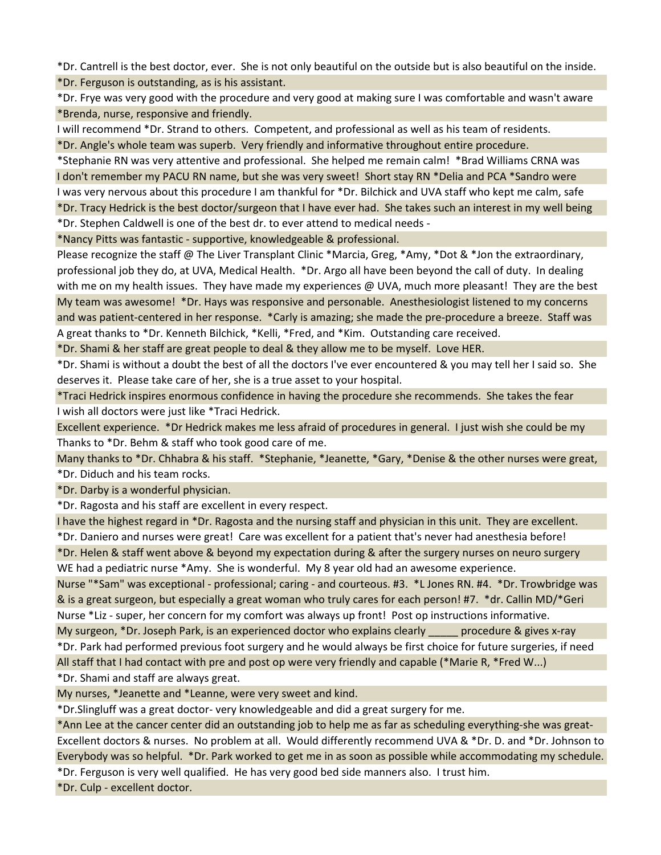\*Dr. Cantrell is the best doctor, ever. She is not only beautiful on the outside but is also beautiful on the inside. \*Dr. Ferguson is outstanding, as is his assistant.

\*Dr. Frye was very good with the procedure and very good at making sure I was comfortable and wasn't aware \*Brenda, nurse, responsive and friendly.

I will recommend \*Dr. Strand to others. Competent, and professional as well as his team of residents.

\*Dr. Angle's whole team was superb. Very friendly and informative throughout entire procedure.

\*Stephanie RN was very attentive and professional. She helped me remain calm! \*Brad Williams CRNA was I don't remember my PACU RN name, but she was very sweet! Short stay RN \*Delia and PCA \*Sandro were I was very nervous about this procedure I am thankful for \*Dr. Bilchick and UVA staff who kept me calm, safe \*Dr. Tracy Hedrick is the best doctor/surgeon that I have ever had. She takes such an interest in my well being

\*Dr. Stephen Caldwell is one of the best dr. to ever attend to medical needs -

\*Nancy Pitts was fantastic - supportive, knowledgeable & professional.

Please recognize the staff @ The Liver Transplant Clinic \*Marcia, Greg, \*Amy, \*Dot & \*Jon the extraordinary, professional job they do, at UVA, Medical Health. \*Dr. Argo all have been beyond the call of duty. In dealing with me on my health issues. They have made my experiences @ UVA, much more pleasant! They are the best My team was awesome! \*Dr. Hays was responsive and personable. Anesthesiologist listened to my concerns and was patient-centered in her response. \*Carly is amazing; she made the pre-procedure a breeze. Staff was A great thanks to \*Dr. Kenneth Bilchick, \*Kelli, \*Fred, and \*Kim. Outstanding care received.

\*Dr. Shami & her staff are great people to deal & they allow me to be myself. Love HER.

\*Dr. Shami is without a doubt the best of all the doctors I've ever encountered & you may tell her I said so. She deserves it. Please take care of her, she is a true asset to your hospital.

\*Traci Hedrick inspires enormous confidence in having the procedure she recommends. She takes the fear I wish all doctors were just like \*Traci Hedrick.

Excellent experience. \*Dr Hedrick makes me less afraid of procedures in general. I just wish she could be my Thanks to \*Dr. Behm & staff who took good care of me.

Many thanks to \*Dr. Chhabra & his staff. \*Stephanie, \*Jeanette, \*Gary, \*Denise & the other nurses were great, \*Dr. Diduch and his team rocks.

\*Dr. Darby is a wonderful physician.

\*Dr. Ragosta and his staff are excellent in every respect.

I have the highest regard in \*Dr. Ragosta and the nursing staff and physician in this unit. They are excellent. \*Dr. Daniero and nurses were great! Care was excellent for a patient that's never had anesthesia before!

\*Dr. Helen & staff went above & beyond my expectation during & after the surgery nurses on neuro surgery WE had a pediatric nurse \*Amy. She is wonderful. My 8 year old had an awesome experience.

Nurse "\*Sam" was exceptional - professional; caring - and courteous. #3. \*L Jones RN. #4. \*Dr. Trowbridge was & is a great surgeon, but especially a great woman who truly cares for each person! #7. \*dr. Callin MD/\*Geri Nurse \*Liz - super, her concern for my comfort was always up front! Post op instructions informative.

My surgeon, \*Dr. Joseph Park, is an experienced doctor who explains clearly expressedure & gives x-ray \*Dr. Park had performed previous foot surgery and he would always be first choice for future surgeries, if need All staff that I had contact with pre and post op were very friendly and capable (\*Marie R, \*Fred W...) \*Dr. Shami and staff are always great.

My nurses, \*Jeanette and \*Leanne, were very sweet and kind.

\*Dr.Slingluff was a great doctor- very knowledgeable and did a great surgery for me.

\*Ann Lee at the cancer center did an outstanding job to help me as far as scheduling everything-she was great-Excellent doctors & nurses. No problem at all. Would differently recommend UVA & \*Dr. D. and \*Dr. Johnson to Everybody was so helpful. \*Dr. Park worked to get me in as soon as possible while accommodating my schedule.

\*Dr. Ferguson is very well qualified. He has very good bed side manners also. I trust him.

\*Dr. Culp - excellent doctor.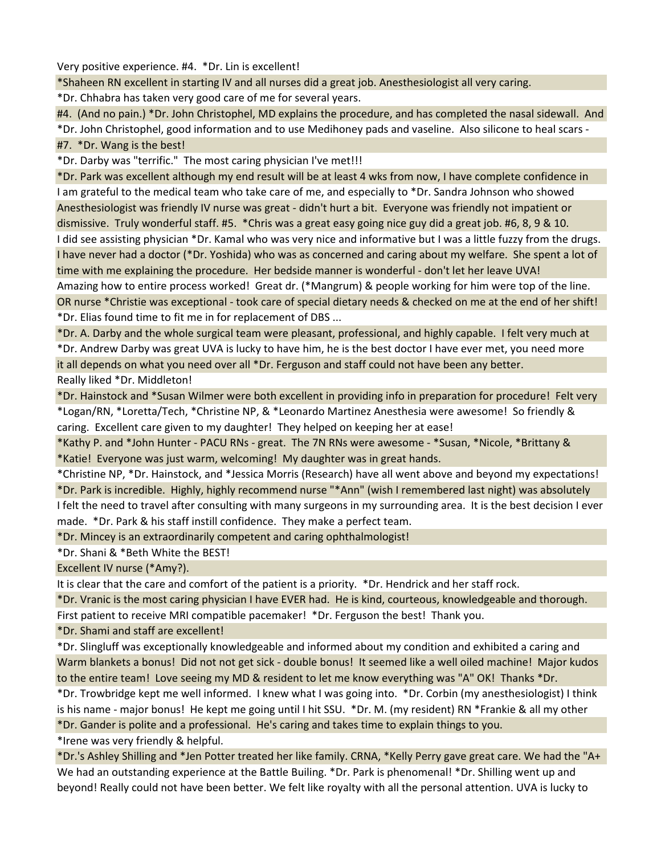Very positive experience. #4. \*Dr. Lin is excellent!

\*Shaheen RN excellent in starting IV and all nurses did a great job. Anesthesiologist all very caring.

\*Dr. Chhabra has taken very good care of me for several years.

#4. (And no pain.) \*Dr. John Christophel, MD explains the procedure, and has completed the nasal sidewall. And

\*Dr. John Christophel, good information and to use Medihoney pads and vaseline. Also silicone to heal scars -

## #7. \*Dr. Wang is the best!

\*Dr. Darby was "terrific." The most caring physician I've met!!!

\*Dr. Park was excellent although my end result will be at least 4 wks from now, I have complete confidence in I am grateful to the medical team who take care of me, and especially to \*Dr. Sandra Johnson who showed Anesthesiologist was friendly IV nurse was great - didn't hurt a bit. Everyone was friendly not impatient or dismissive. Truly wonderful staff. #5. \*Chris was a great easy going nice guy did a great job. #6, 8, 9 & 10. I did see assisting physician \*Dr. Kamal who was very nice and informative but I was a little fuzzy from the drugs. I have never had a doctor (\*Dr. Yoshida) who was as concerned and caring about my welfare. She spent a lot of time with me explaining the procedure. Her bedside manner is wonderful - don't let her leave UVA! Amazing how to entire process worked! Great dr. (\*Mangrum) & people working for him were top of the line. OR nurse \*Christie was exceptional - took care of special dietary needs & checked on me at the end of her shift! \*Dr. Elias found time to fit me in for replacement of DBS ...

\*Dr. A. Darby and the whole surgical team were pleasant, professional, and highly capable. I felt very much at \*Dr. Andrew Darby was great UVA is lucky to have him, he is the best doctor I have ever met, you need more it all depends on what you need over all \*Dr. Ferguson and staff could not have been any better. Really liked \*Dr. Middleton!

\*Dr. Hainstock and \*Susan Wilmer were both excellent in providing info in preparation for procedure! Felt very \*Logan/RN, \*Loretta/Tech, \*Christine NP, & \*Leonardo Martinez Anesthesia were awesome! So friendly & caring. Excellent care given to my daughter! They helped on keeping her at ease!

\*Kathy P. and \*John Hunter - PACU RNs - great. The 7N RNs were awesome - \*Susan, \*Nicole, \*Brittany & \*Katie! Everyone was just warm, welcoming! My daughter was in great hands.

\*Christine NP, \*Dr. Hainstock, and \*Jessica Morris (Research) have all went above and beyond my expectations! \*Dr. Park is incredible. Highly, highly recommend nurse "\*Ann" (wish I remembered last night) was absolutely I felt the need to travel after consulting with many surgeons in my surrounding area. It is the best decision I ever made. \*Dr. Park & his staff instill confidence. They make a perfect team.

\*Dr. Mincey is an extraordinarily competent and caring ophthalmologist!

\*Dr. Shani & \*Beth White the BEST!

Excellent IV nurse (\*Amy?).

It is clear that the care and comfort of the patient is a priority. \*Dr. Hendrick and her staff rock.

\*Dr. Vranic is the most caring physician I have EVER had. He is kind, courteous, knowledgeable and thorough.

First patient to receive MRI compatible pacemaker! \*Dr. Ferguson the best! Thank you.

\*Dr. Shami and staff are excellent!

\*Dr. Slingluff was exceptionally knowledgeable and informed about my condition and exhibited a caring and Warm blankets a bonus! Did not not get sick - double bonus! It seemed like a well oiled machine! Major kudos to the entire team! Love seeing my MD & resident to let me know everything was "A" OK! Thanks \*Dr.

\*Dr. Trowbridge kept me well informed. I knew what I was going into. \*Dr. Corbin (my anesthesiologist) I think is his name - major bonus! He kept me going until I hit SSU. \*Dr. M. (my resident) RN \*Frankie & all my other \*Dr. Gander is polite and a professional. He's caring and takes time to explain things to you.

\*Irene was very friendly & helpful.

\*Dr.'s Ashley Shilling and \*Jen Potter treated her like family. CRNA, \*Kelly Perry gave great care. We had the "A+ We had an outstanding experience at the Battle Builing. \*Dr. Park is phenomenal! \*Dr. Shilling went up and beyond! Really could not have been better. We felt like royalty with all the personal attention. UVA is lucky to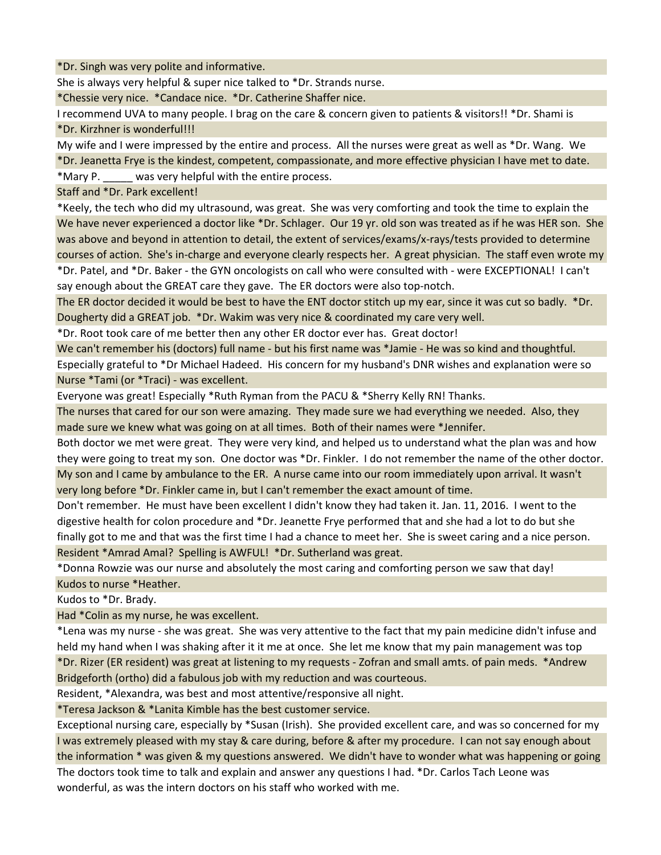\*Dr. Singh was very polite and informative.

She is always very helpful & super nice talked to \*Dr. Strands nurse.

\*Chessie very nice. \*Candace nice. \*Dr. Catherine Shaffer nice.

I recommend UVA to many people. I brag on the care & concern given to patients & visitors!! \*Dr. Shami is \*Dr. Kirzhner is wonderful!!!

My wife and I were impressed by the entire and process. All the nurses were great as well as \*Dr. Wang. We \*Dr. Jeanetta Frye is the kindest, competent, compassionate, and more effective physician I have met to date. \*Mary P. \_\_\_\_\_ was very helpful with the entire process.

Staff and \*Dr. Park excellent!

\*Keely, the tech who did my ultrasound, was great. She was very comforting and took the time to explain the We have never experienced a doctor like \*Dr. Schlager. Our 19 yr. old son was treated as if he was HER son. She was above and beyond in attention to detail, the extent of services/exams/x-rays/tests provided to determine courses of action. She's in-charge and everyone clearly respects her. A great physician. The staff even wrote my \*Dr. Patel, and \*Dr. Baker - the GYN oncologists on call who were consulted with - were EXCEPTIONAL! I can't say enough about the GREAT care they gave. The ER doctors were also top-notch.

The ER doctor decided it would be best to have the ENT doctor stitch up my ear, since it was cut so badly. \*Dr. Dougherty did a GREAT job. \*Dr. Wakim was very nice & coordinated my care very well.

\*Dr. Root took care of me better then any other ER doctor ever has. Great doctor!

We can't remember his (doctors) full name - but his first name was \*Jamie - He was so kind and thoughtful. Especially grateful to \*Dr Michael Hadeed. His concern for my husband's DNR wishes and explanation were so Nurse \*Tami (or \*Traci) - was excellent.

Everyone was great! Especially \*Ruth Ryman from the PACU & \*Sherry Kelly RN! Thanks.

The nurses that cared for our son were amazing. They made sure we had everything we needed. Also, they made sure we knew what was going on at all times. Both of their names were \*Jennifer.

Both doctor we met were great. They were very kind, and helped us to understand what the plan was and how they were going to treat my son. One doctor was \*Dr. Finkler. I do not remember the name of the other doctor. My son and I came by ambulance to the ER. A nurse came into our room immediately upon arrival. It wasn't

very long before \*Dr. Finkler came in, but I can't remember the exact amount of time.

Don't remember. He must have been excellent I didn't know they had taken it. Jan. 11, 2016. I went to the digestive health for colon procedure and \*Dr. Jeanette Frye performed that and she had a lot to do but she finally got to me and that was the first time I had a chance to meet her. She is sweet caring and a nice person. Resident \*Amrad Amal? Spelling is AWFUL! \*Dr. Sutherland was great.

\*Donna Rowzie was our nurse and absolutely the most caring and comforting person we saw that day!

Kudos to nurse \*Heather.

Kudos to \*Dr. Brady.

Had \*Colin as my nurse, he was excellent.

\*Lena was my nurse - she was great. She was very attentive to the fact that my pain medicine didn't infuse and held my hand when I was shaking after it it me at once. She let me know that my pain management was top \*Dr. Rizer (ER resident) was great at listening to my requests - Zofran and small amts. of pain meds. \*Andrew Bridgeforth (ortho) did a fabulous job with my reduction and was courteous.

Resident, \*Alexandra, was best and most attentive/responsive all night.

\*Teresa Jackson & \*Lanita Kimble has the best customer service.

Exceptional nursing care, especially by \*Susan (Irish). She provided excellent care, and was so concerned for my I was extremely pleased with my stay & care during, before & after my procedure. I can not say enough about the information \* was given & my questions answered. We didn't have to wonder what was happening or going The doctors took time to talk and explain and answer any questions I had. \*Dr. Carlos Tach Leone was wonderful, as was the intern doctors on his staff who worked with me.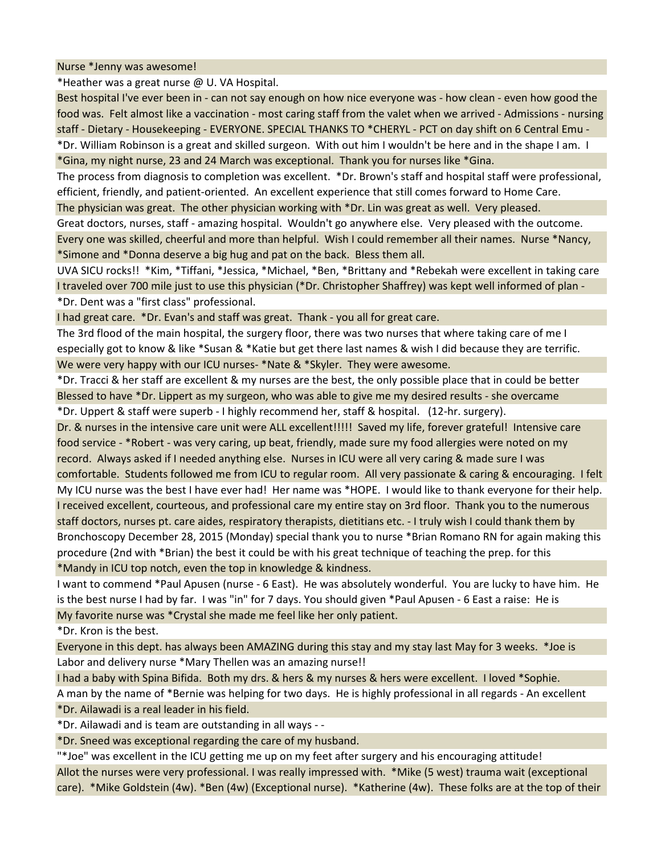Nurse \*Jenny was awesome!

\*Heather was a great nurse @ U. VA Hospital.

Best hospital I've ever been in - can not say enough on how nice everyone was - how clean - even how good the food was. Felt almost like a vaccination - most caring staff from the valet when we arrived - Admissions - nursing staff - Dietary - Housekeeping - EVERYONE. SPECIAL THANKS TO \*CHERYL - PCT on day shift on 6 Central Emu -

\*Dr. William Robinson is a great and skilled surgeon. With out him I wouldn't be here and in the shape I am. I \*Gina, my night nurse, 23 and 24 March was exceptional. Thank you for nurses like \*Gina.

The process from diagnosis to completion was excellent. \*Dr. Brown's staff and hospital staff were professional, efficient, friendly, and patient-oriented. An excellent experience that still comes forward to Home Care.

The physician was great. The other physician working with \*Dr. Lin was great as well. Very pleased.

Great doctors, nurses, staff - amazing hospital. Wouldn't go anywhere else. Very pleased with the outcome. Every one was skilled, cheerful and more than helpful. Wish I could remember all their names. Nurse \*Nancy, \*Simone and \*Donna deserve a big hug and pat on the back. Bless them all.

UVA SICU rocks!! \*Kim, \*Tiffani, \*Jessica, \*Michael, \*Ben, \*Brittany and \*Rebekah were excellent in taking care I traveled over 700 mile just to use this physician (\*Dr. Christopher Shaffrey) was kept well informed of plan - \*Dr. Dent was a "first class" professional.

I had great care. \*Dr. Evan's and staff was great. Thank - you all for great care.

The 3rd flood of the main hospital, the surgery floor, there was two nurses that where taking care of me I especially got to know & like \*Susan & \*Katie but get there last names & wish I did because they are terrific. We were very happy with our ICU nurses- \*Nate & \*Skyler. They were awesome.

\*Dr. Tracci & her staff are excellent & my nurses are the best, the only possible place that in could be better Blessed to have \*Dr. Lippert as my surgeon, who was able to give me my desired results - she overcame \*Dr. Uppert & staff were superb - I highly recommend her, staff & hospital. (12-hr. surgery).

Dr. & nurses in the intensive care unit were ALL excellent!!!!! Saved my life, forever grateful! Intensive care food service - \*Robert - was very caring, up beat, friendly, made sure my food allergies were noted on my record. Always asked if I needed anything else. Nurses in ICU were all very caring & made sure I was comfortable. Students followed me from ICU to regular room. All very passionate & caring & encouraging. I felt My ICU nurse was the best I have ever had! Her name was \*HOPE. I would like to thank everyone for their help. I received excellent, courteous, and professional care my entire stay on 3rd floor. Thank you to the numerous staff doctors, nurses pt. care aides, respiratory therapists, dietitians etc. - I truly wish I could thank them by Bronchoscopy December 28, 2015 (Monday) special thank you to nurse \*Brian Romano RN for again making this procedure (2nd with \*Brian) the best it could be with his great technique of teaching the prep. for this \*Mandy in ICU top notch, even the top in knowledge & kindness.

I want to commend \*Paul Apusen (nurse - 6 East). He was absolutely wonderful. You are lucky to have him. He is the best nurse I had by far. I was "in" for 7 days. You should given \*Paul Apusen - 6 East a raise: He is My favorite nurse was \*Crystal she made me feel like her only patient.

\*Dr. Kron is the best.

Everyone in this dept. has always been AMAZING during this stay and my stay last May for 3 weeks. \*Joe is Labor and delivery nurse \*Mary Thellen was an amazing nurse!!

I had a baby with Spina Bifida. Both my drs. & hers & my nurses & hers were excellent. I loved \*Sophie. A man by the name of \*Bernie was helping for two days. He is highly professional in all regards - An excellent \*Dr. Ailawadi is a real leader in his field.

\*Dr. Ailawadi and is team are outstanding in all ways - -

\*Dr. Sneed was exceptional regarding the care of my husband.

"\*Joe" was excellent in the ICU getting me up on my feet after surgery and his encouraging attitude! Allot the nurses were very professional. I was really impressed with. \*Mike (5 west) trauma wait (exceptional care). \*Mike Goldstein (4w). \*Ben (4w) (Exceptional nurse). \*Katherine (4w). These folks are at the top of their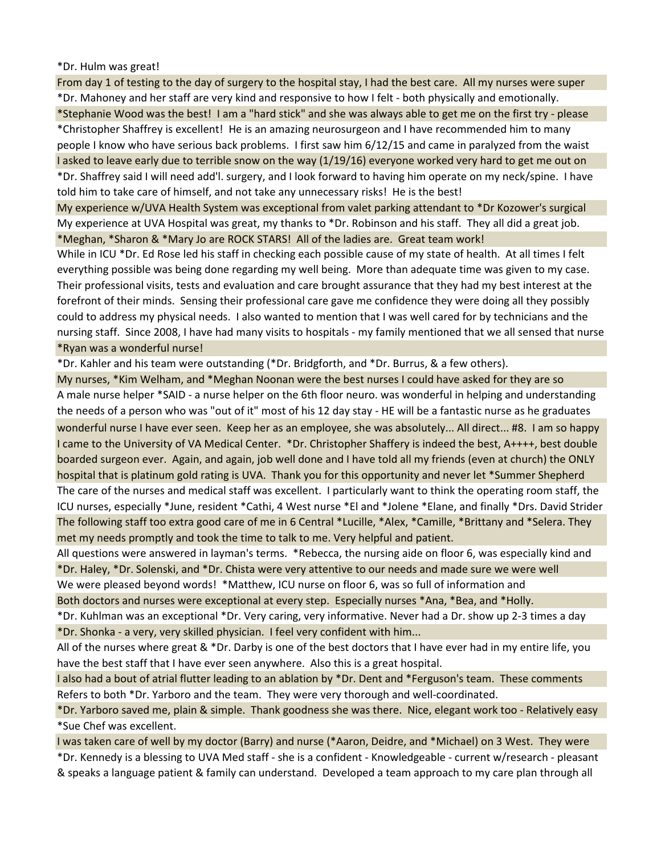\*Dr. Hulm was great!

From day 1 of testing to the day of surgery to the hospital stay, I had the best care. All my nurses were super \*Dr. Mahoney and her staff are very kind and responsive to how I felt - both physically and emotionally. \*Stephanie Wood was the best! I am a "hard stick" and she was always able to get me on the first try - please \*Christopher Shaffrey is excellent! He is an amazing neurosurgeon and I have recommended him to many people I know who have serious back problems. I first saw him 6/12/15 and came in paralyzed from the waist I asked to leave early due to terrible snow on the way (1/19/16) everyone worked very hard to get me out on \*Dr. Shaffrey said I will need add'l. surgery, and I look forward to having him operate on my neck/spine. I have told him to take care of himself, and not take any unnecessary risks! He is the best!

My experience w/UVA Health System was exceptional from valet parking attendant to \*Dr Kozower's surgical My experience at UVA Hospital was great, my thanks to \*Dr. Robinson and his staff. They all did a great job. \*Meghan, \*Sharon & \*Mary Jo are ROCK STARS! All of the ladies are. Great team work!

While in ICU \*Dr. Ed Rose led his staff in checking each possible cause of my state of health. At all times I felt everything possible was being done regarding my well being. More than adequate time was given to my case. Their professional visits, tests and evaluation and care brought assurance that they had my best interest at the forefront of their minds. Sensing their professional care gave me confidence they were doing all they possibly could to address my physical needs. I also wanted to mention that I was well cared for by technicians and the nursing staff. Since 2008, I have had many visits to hospitals - my family mentioned that we all sensed that nurse \*Ryan was a wonderful nurse!

\*Dr. Kahler and his team were outstanding (\*Dr. Bridgforth, and \*Dr. Burrus, & a few others).

My nurses, \*Kim Welham, and \*Meghan Noonan were the best nurses I could have asked for they are so A male nurse helper \*SAID - a nurse helper on the 6th floor neuro. was wonderful in helping and understanding the needs of a person who was "out of it" most of his 12 day stay - HE will be a fantastic nurse as he graduates wonderful nurse I have ever seen. Keep her as an employee, she was absolutely... All direct... #8. I am so happy I came to the University of VA Medical Center. \*Dr. Christopher Shaffery is indeed the best, A++++, best double boarded surgeon ever. Again, and again, job well done and I have told all my friends (even at church) the ONLY hospital that is platinum gold rating is UVA. Thank you for this opportunity and never let \*Summer Shepherd The care of the nurses and medical staff was excellent. I particularly want to think the operating room staff, the ICU nurses, especially \*June, resident \*Cathi, 4 West nurse \*El and \*Jolene \*Elane, and finally \*Drs. David Strider The following staff too extra good care of me in 6 Central \*Lucille, \*Alex, \*Camille, \*Brittany and \*Selera. They met my needs promptly and took the time to talk to me. Very helpful and patient.

All questions were answered in layman's terms. \*Rebecca, the nursing aide on floor 6, was especially kind and \*Dr. Haley, \*Dr. Solenski, and \*Dr. Chista were very attentive to our needs and made sure we were well We were pleased beyond words! \*Matthew, ICU nurse on floor 6, was so full of information and Both doctors and nurses were exceptional at every step. Especially nurses \*Ana, \*Bea, and \*Holly.

\*Dr. Kuhlman was an exceptional \*Dr. Very caring, very informative. Never had a Dr. show up 2-3 times a day \*Dr. Shonka - a very, very skilled physician. I feel very confident with him...

All of the nurses where great & \*Dr. Darby is one of the best doctors that I have ever had in my entire life, you have the best staff that I have ever seen anywhere. Also this is a great hospital.

I also had a bout of atrial flutter leading to an ablation by \*Dr. Dent and \*Ferguson's team. These comments Refers to both \*Dr. Yarboro and the team. They were very thorough and well-coordinated.

\*Dr. Yarboro saved me, plain & simple. Thank goodness she was there. Nice, elegant work too - Relatively easy \*Sue Chef was excellent.

I was taken care of well by my doctor (Barry) and nurse (\*Aaron, Deidre, and \*Michael) on 3 West. They were \*Dr. Kennedy is a blessing to UVA Med staff - she is a confident - Knowledgeable - current w/research - pleasant & speaks a language patient & family can understand. Developed a team approach to my care plan through all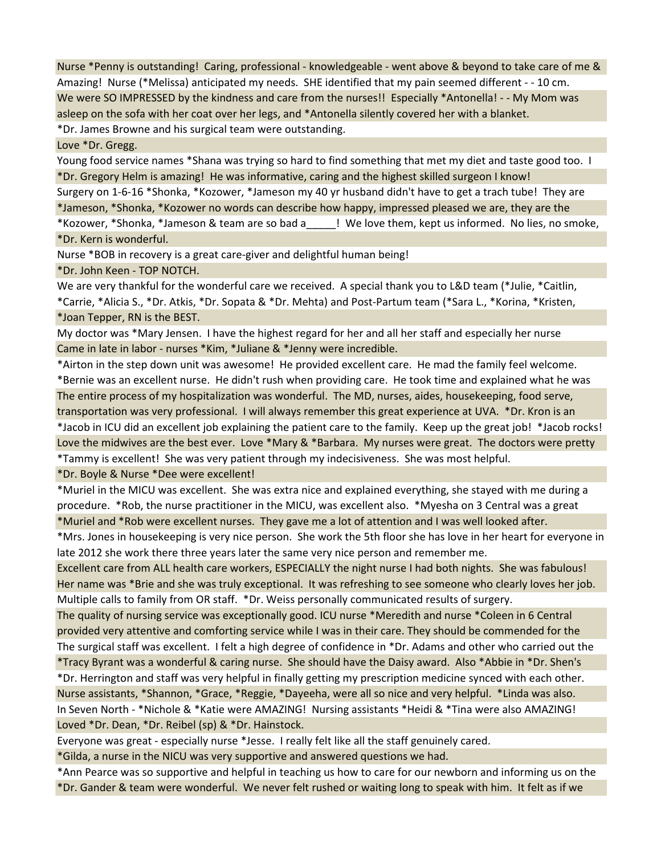Nurse \*Penny is outstanding! Caring, professional - knowledgeable - went above & beyond to take care of me & Amazing! Nurse (\*Melissa) anticipated my needs. SHE identified that my pain seemed different - - 10 cm. We were SO IMPRESSED by the kindness and care from the nurses!! Especially \*Antonella! - - My Mom was asleep on the sofa with her coat over her legs, and \*Antonella silently covered her with a blanket. \*Dr. James Browne and his surgical team were outstanding.

Love \*Dr. Gregg.

Young food service names \*Shana was trying so hard to find something that met my diet and taste good too. I \*Dr. Gregory Helm is amazing! He was informative, caring and the highest skilled surgeon I know! Surgery on 1-6-16 \*Shonka, \*Kozower, \*Jameson my 40 yr husband didn't have to get a trach tube! They are \*Jameson, \*Shonka, \*Kozower no words can describe how happy, impressed pleased we are, they are the \*Kozower, \*Shonka, \*Jameson & team are so bad a\_\_\_\_\_! We love them, kept us informed. No lies, no smoke, \*Dr. Kern is wonderful.

Nurse \*BOB in recovery is a great care-giver and delightful human being!

\*Dr. John Keen - TOP NOTCH.

We are very thankful for the wonderful care we received. A special thank you to L&D team (\*Julie, \*Caitlin, \*Carrie, \*Alicia S., \*Dr. Atkis, \*Dr. Sopata & \*Dr. Mehta) and Post-Partum team (\*Sara L., \*Korina, \*Kristen, \*Joan Tepper, RN is the BEST.

My doctor was \*Mary Jensen. I have the highest regard for her and all her staff and especially her nurse Came in late in labor - nurses \*Kim, \*Juliane & \*Jenny were incredible.

\*Airton in the step down unit was awesome! He provided excellent care. He mad the family feel welcome. \*Bernie was an excellent nurse. He didn't rush when providing care. He took time and explained what he was The entire process of my hospitalization was wonderful. The MD, nurses, aides, housekeeping, food serve, transportation was very professional. I will always remember this great experience at UVA. \*Dr. Kron is an \*Jacob in ICU did an excellent job explaining the patient care to the family. Keep up the great job! \*Jacob rocks! Love the midwives are the best ever. Love \*Mary & \*Barbara. My nurses were great. The doctors were pretty \*Tammy is excellent! She was very patient through my indecisiveness. She was most helpful.

\*Dr. Boyle & Nurse \*Dee were excellent!

\*Muriel in the MICU was excellent. She was extra nice and explained everything, she stayed with me during a procedure. \*Rob, the nurse practitioner in the MICU, was excellent also. \*Myesha on 3 Central was a great \*Muriel and \*Rob were excellent nurses. They gave me a lot of attention and I was well looked after.

\*Mrs. Jones in housekeeping is very nice person. She work the 5th floor she has love in her heart for everyone in late 2012 she work there three years later the same very nice person and remember me.

Excellent care from ALL health care workers, ESPECIALLY the night nurse I had both nights. She was fabulous! Her name was \*Brie and she was truly exceptional. It was refreshing to see someone who clearly loves her job. Multiple calls to family from OR staff. \*Dr. Weiss personally communicated results of surgery.

The quality of nursing service was exceptionally good. ICU nurse \*Meredith and nurse \*Coleen in 6 Central provided very attentive and comforting service while I was in their care. They should be commended for the The surgical staff was excellent. I felt a high degree of confidence in \*Dr. Adams and other who carried out the \*Tracy Byrant was a wonderful & caring nurse. She should have the Daisy award. Also \*Abbie in \*Dr. Shen's

\*Dr. Herrington and staff was very helpful in finally getting my prescription medicine synced with each other. Nurse assistants, \*Shannon, \*Grace, \*Reggie, \*Dayeeha, were all so nice and very helpful. \*Linda was also. In Seven North - \*Nichole & \*Katie were AMAZING! Nursing assistants \*Heidi & \*Tina were also AMAZING! Loved \*Dr. Dean, \*Dr. Reibel (sp) & \*Dr. Hainstock.

Everyone was great - especially nurse \*Jesse. I really felt like all the staff genuinely cared.

\*Gilda, a nurse in the NICU was very supportive and answered questions we had.

\*Ann Pearce was so supportive and helpful in teaching us how to care for our newborn and informing us on the \*Dr. Gander & team were wonderful. We never felt rushed or waiting long to speak with him. It felt as if we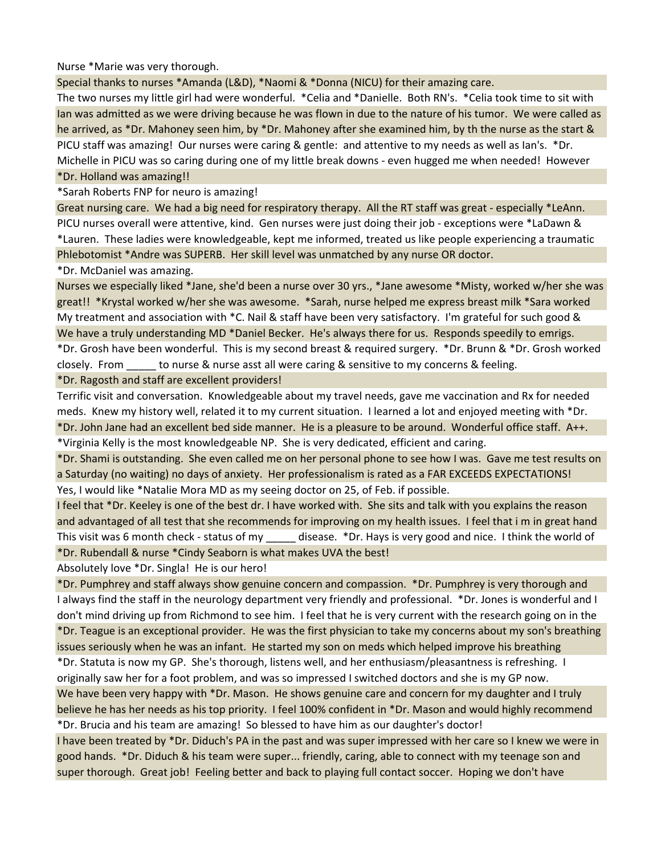Nurse \*Marie was very thorough.

Special thanks to nurses \*Amanda (L&D), \*Naomi & \*Donna (NICU) for their amazing care.

The two nurses my little girl had were wonderful. \*Celia and \*Danielle. Both RN's. \*Celia took time to sit with Ian was admitted as we were driving because he was flown in due to the nature of his tumor. We were called as he arrived, as \*Dr. Mahoney seen him, by \*Dr. Mahoney after she examined him, by th the nurse as the start & PICU staff was amazing! Our nurses were caring & gentle: and attentive to my needs as well as Ian's. \*Dr. Michelle in PICU was so caring during one of my little break downs - even hugged me when needed! However \*Dr. Holland was amazing!!

\*Sarah Roberts FNP for neuro is amazing!

Great nursing care. We had a big need for respiratory therapy. All the RT staff was great - especially \*LeAnn. PICU nurses overall were attentive, kind. Gen nurses were just doing their job - exceptions were \*LaDawn & \*Lauren. These ladies were knowledgeable, kept me informed, treated us like people experiencing a traumatic Phlebotomist \*Andre was SUPERB. Her skill level was unmatched by any nurse OR doctor.

\*Dr. McDaniel was amazing.

Nurses we especially liked \*Jane, she'd been a nurse over 30 yrs., \*Jane awesome \*Misty, worked w/her she was great!! \*Krystal worked w/her she was awesome. \*Sarah, nurse helped me express breast milk \*Sara worked My treatment and association with \*C. Nail & staff have been very satisfactory. I'm grateful for such good & We have a truly understanding MD \*Daniel Becker. He's always there for us. Responds speedily to emrigs. \*Dr. Grosh have been wonderful. This is my second breast & required surgery. \*Dr. Brunn & \*Dr. Grosh worked closely. From \_\_\_\_\_ to nurse & nurse asst all were caring & sensitive to my concerns & feeling.

\*Dr. Ragosth and staff are excellent providers!

Terrific visit and conversation. Knowledgeable about my travel needs, gave me vaccination and Rx for needed meds. Knew my history well, related it to my current situation. I learned a lot and enjoyed meeting with \*Dr. \*Dr. John Jane had an excellent bed side manner. He is a pleasure to be around. Wonderful office staff. A++. \*Virginia Kelly is the most knowledgeable NP. She is very dedicated, efficient and caring.

\*Dr. Shami is outstanding. She even called me on her personal phone to see how I was. Gave me test results on a Saturday (no waiting) no days of anxiety. Her professionalism is rated as a FAR EXCEEDS EXPECTATIONS! Yes, I would like \*Natalie Mora MD as my seeing doctor on 25, of Feb. if possible.

I feel that \*Dr. Keeley is one of the best dr. I have worked with. She sits and talk with you explains the reason and advantaged of all test that she recommends for improving on my health issues. I feel that i m in great hand This visit was 6 month check - status of my disease. \*Dr. Hays is very good and nice. I think the world of \*Dr. Rubendall & nurse \*Cindy Seaborn is what makes UVA the best!

Absolutely love \*Dr. Singla! He is our hero!

\*Dr. Pumphrey and staff always show genuine concern and compassion. \*Dr. Pumphrey is very thorough and I always find the staff in the neurology department very friendly and professional. \*Dr. Jones is wonderful and I don't mind driving up from Richmond to see him. I feel that he is very current with the research going on in the \*Dr. Teague is an exceptional provider. He was the first physician to take my concerns about my son's breathing issues seriously when he was an infant. He started my son on meds which helped improve his breathing

\*Dr. Statuta is now my GP. She's thorough, listens well, and her enthusiasm/pleasantness is refreshing. I originally saw her for a foot problem, and was so impressed I switched doctors and she is my GP now.

We have been very happy with \*Dr. Mason. He shows genuine care and concern for my daughter and I truly believe he has her needs as his top priority. I feel 100% confident in \*Dr. Mason and would highly recommend \*Dr. Brucia and his team are amazing! So blessed to have him as our daughter's doctor!

I have been treated by \*Dr. Diduch's PA in the past and was super impressed with her care so I knew we were in good hands. \*Dr. Diduch & his team were super... friendly, caring, able to connect with my teenage son and super thorough. Great job! Feeling better and back to playing full contact soccer. Hoping we don't have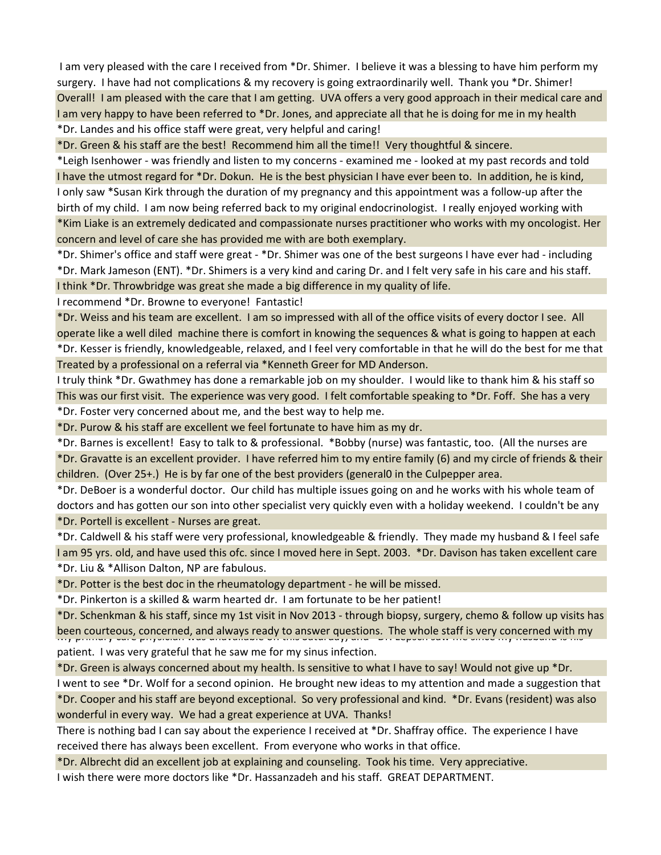I am very pleased with the care I received from \*Dr. Shimer. I believe it was a blessing to have him perform my surgery. I have had not complications & my recovery is going extraordinarily well. Thank you \*Dr. Shimer! Overall! I am pleased with the care that I am getting. UVA offers a very good approach in their medical care and I am very happy to have been referred to \*Dr. Jones, and appreciate all that he is doing for me in my health \*Dr. Landes and his office staff were great, very helpful and caring!

\*Dr. Green & his staff are the best! Recommend him all the time!! Very thoughtful & sincere.

\*Leigh Isenhower - was friendly and listen to my concerns - examined me - looked at my past records and told I have the utmost regard for \*Dr. Dokun. He is the best physician I have ever been to. In addition, he is kind, I only saw \*Susan Kirk through the duration of my pregnancy and this appointment was a follow-up after the birth of my child. I am now being referred back to my original endocrinologist. I really enjoyed working with \*Kim Liake is an extremely dedicated and compassionate nurses practitioner who works with my oncologist. Her concern and level of care she has provided me with are both exemplary.

\*Dr. Shimer's office and staff were great - \*Dr. Shimer was one of the best surgeons I have ever had - including \*Dr. Mark Jameson (ENT). \*Dr. Shimers is a very kind and caring Dr. and I felt very safe in his care and his staff. I think \*Dr. Throwbridge was great she made a big difference in my quality of life.

I recommend \*Dr. Browne to everyone! Fantastic!

\*Dr. Weiss and his team are excellent. I am so impressed with all of the office visits of every doctor I see. All operate like a well diled machine there is comfort in knowing the sequences & what is going to happen at each \*Dr. Kesser is friendly, knowledgeable, relaxed, and I feel very comfortable in that he will do the best for me that Treated by a professional on a referral via \*Kenneth Greer for MD Anderson.

I truly think \*Dr. Gwathmey has done a remarkable job on my shoulder. I would like to thank him & his staff so This was our first visit. The experience was very good. I felt comfortable speaking to \*Dr. Foff. She has a very \*Dr. Foster very concerned about me, and the best way to help me.

\*Dr. Purow & his staff are excellent we feel fortunate to have him as my dr.

\*Dr. Barnes is excellent! Easy to talk to & professional. \*Bobby (nurse) was fantastic, too. (All the nurses are \*Dr. Gravatte is an excellent provider. I have referred him to my entire family (6) and my circle of friends & their children. (Over 25+.) He is by far one of the best providers (general0 in the Culpepper area.

\*Dr. DeBoer is a wonderful doctor. Our child has multiple issues going on and he works with his whole team of doctors and has gotten our son into other specialist very quickly even with a holiday weekend. I couldn't be any \*Dr. Portell is excellent - Nurses are great.

\*Dr. Caldwell & his staff were very professional, knowledgeable & friendly. They made my husband & I feel safe I am 95 yrs. old, and have used this ofc. since I moved here in Sept. 2003. \*Dr. Davison has taken excellent care \*Dr. Liu & \*Allison Dalton, NP are fabulous.

\*Dr. Potter is the best doc in the rheumatology department - he will be missed.

\*Dr. Pinkerton is a skilled & warm hearted dr. I am fortunate to be her patient!

\*Dr. Schenkman & his staff, since my 1st visit in Nov 2013 - through biopsy, surgery, chemo & follow up visits has been courteous, concerned, and always ready to answer questions. The whole staff is very concerned with my patient. I was very grateful that he saw me for my sinus infection.

\*Dr. Green is always concerned about my health. Is sensitive to what I have to say! Would not give up \*Dr.

I went to see \*Dr. Wolf for a second opinion. He brought new ideas to my attention and made a suggestion that \*Dr. Cooper and his staff are beyond exceptional. So very professional and kind. \*Dr. Evans (resident) was also wonderful in every way. We had a great experience at UVA. Thanks!

There is nothing bad I can say about the experience I received at \*Dr. Shaffray office. The experience I have received there has always been excellent. From everyone who works in that office.

\*Dr. Albrecht did an excellent job at explaining and counseling. Took his time. Very appreciative. I wish there were more doctors like \*Dr. Hassanzadeh and his staff. GREAT DEPARTMENT.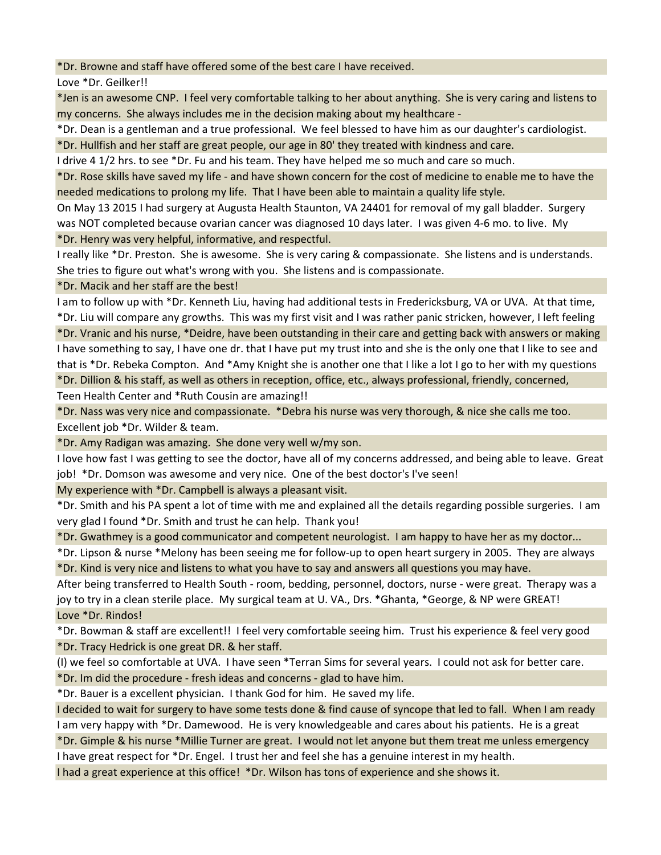\*Dr. Browne and staff have offered some of the best care I have received.

Love \*Dr. Geilker!!

\*Jen is an awesome CNP. I feel very comfortable talking to her about anything. She is very caring and listens to my concerns. She always includes me in the decision making about my healthcare -

\*Dr. Dean is a gentleman and a true professional. We feel blessed to have him as our daughter's cardiologist.

\*Dr. Hullfish and her staff are great people, our age in 80' they treated with kindness and care.

I drive 4 1/2 hrs. to see \*Dr. Fu and his team. They have helped me so much and care so much.

\*Dr. Rose skills have saved my life - and have shown concern for the cost of medicine to enable me to have the needed medications to prolong my life. That I have been able to maintain a quality life style.

On May 13 2015 I had surgery at Augusta Health Staunton, VA 24401 for removal of my gall bladder. Surgery was NOT completed because ovarian cancer was diagnosed 10 days later. I was given 4-6 mo. to live. My \*Dr. Henry was very helpful, informative, and respectful.

I really like \*Dr. Preston. She is awesome. She is very caring & compassionate. She listens and is understands. She tries to figure out what's wrong with you. She listens and is compassionate.

\*Dr. Macik and her staff are the best!

I am to follow up with \*Dr. Kenneth Liu, having had additional tests in Fredericksburg, VA or UVA. At that time, \*Dr. Liu will compare any growths. This was my first visit and I was rather panic stricken, however, I left feeling \*Dr. Vranic and his nurse, \*Deidre, have been outstanding in their care and getting back with answers or making I have something to say, I have one dr. that I have put my trust into and she is the only one that I like to see and that is \*Dr. Rebeka Compton. And \*Amy Knight she is another one that I like a lot I go to her with my questions \*Dr. Dillion & his staff, as well as others in reception, office, etc., always professional, friendly, concerned,

Teen Health Center and \*Ruth Cousin are amazing!!

\*Dr. Nass was very nice and compassionate. \*Debra his nurse was very thorough, & nice she calls me too. Excellent job \*Dr. Wilder & team.

\*Dr. Amy Radigan was amazing. She done very well w/my son.

I love how fast I was getting to see the doctor, have all of my concerns addressed, and being able to leave. Great job! \*Dr. Domson was awesome and very nice. One of the best doctor's I've seen!

My experience with \*Dr. Campbell is always a pleasant visit.

\*Dr. Smith and his PA spent a lot of time with me and explained all the details regarding possible surgeries. I am very glad I found \*Dr. Smith and trust he can help. Thank you!

\*Dr. Gwathmey is a good communicator and competent neurologist. I am happy to have her as my doctor...

\*Dr. Lipson & nurse \*Melony has been seeing me for follow-up to open heart surgery in 2005. They are always \*Dr. Kind is very nice and listens to what you have to say and answers all questions you may have.

After being transferred to Health South - room, bedding, personnel, doctors, nurse - were great. Therapy was a joy to try in a clean sterile place. My surgical team at U. VA., Drs. \*Ghanta, \*George, & NP were GREAT! Love \*Dr. Rindos!

\*Dr. Bowman & staff are excellent!! I feel very comfortable seeing him. Trust his experience & feel very good \*Dr. Tracy Hedrick is one great DR. & her staff.

(I) we feel so comfortable at UVA. I have seen \*Terran Sims for several years. I could not ask for better care. \*Dr. Im did the procedure - fresh ideas and concerns - glad to have him.

\*Dr. Bauer is a excellent physician. I thank God for him. He saved my life.

I decided to wait for surgery to have some tests done & find cause of syncope that led to fall. When I am ready I am very happy with \*Dr. Damewood. He is very knowledgeable and cares about his patients. He is a great

\*Dr. Gimple & his nurse \*Millie Turner are great. I would not let anyone but them treat me unless emergency I have great respect for \*Dr. Engel. I trust her and feel she has a genuine interest in my health.

I had a great experience at this office! \*Dr. Wilson has tons of experience and she shows it.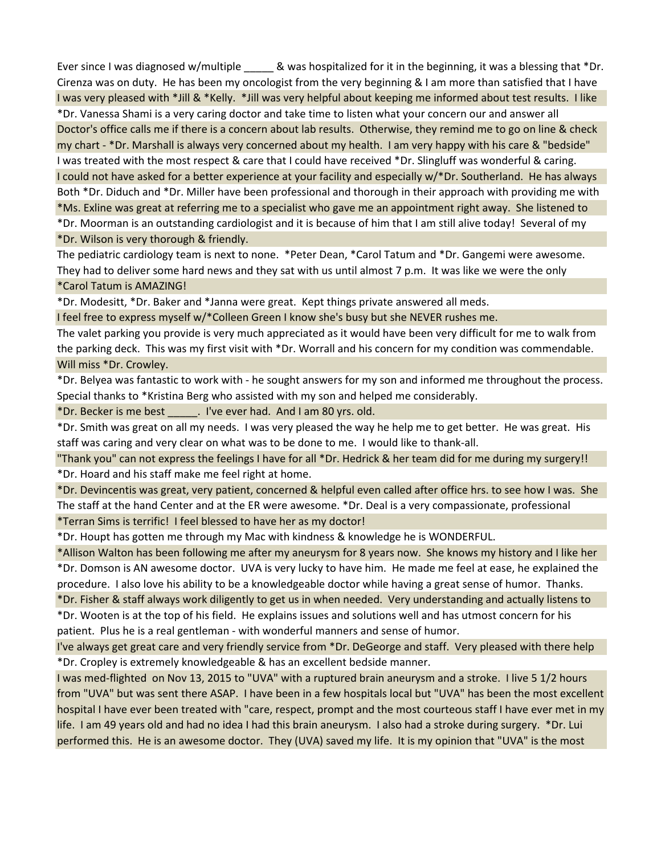Ever since I was diagnosed w/multiple  $\qquad \qquad \&$  was hospitalized for it in the beginning, it was a blessing that \*Dr. Cirenza was on duty. He has been my oncologist from the very beginning & I am more than satisfied that I have I was very pleased with \*Jill & \*Kelly. \*Jill was very helpful about keeping me informed about test results. I like \*Dr. Vanessa Shami is a very caring doctor and take time to listen what your concern our and answer all Doctor's office calls me if there is a concern about lab results. Otherwise, they remind me to go on line & check my chart - \*Dr. Marshall is always very concerned about my health. I am very happy with his care & "bedside" I was treated with the most respect & care that I could have received \*Dr. Slingluff was wonderful & caring. I could not have asked for a better experience at your facility and especially w/\*Dr. Southerland. He has always Both \*Dr. Diduch and \*Dr. Miller have been professional and thorough in their approach with providing me with \*Ms. Exline was great at referring me to a specialist who gave me an appointment right away. She listened to \*Dr. Moorman is an outstanding cardiologist and it is because of him that I am still alive today! Several of my \*Dr. Wilson is very thorough & friendly.

The pediatric cardiology team is next to none. \*Peter Dean, \*Carol Tatum and \*Dr. Gangemi were awesome. They had to deliver some hard news and they sat with us until almost 7 p.m. It was like we were the only \*Carol Tatum is AMAZING!

\*Dr. Modesitt, \*Dr. Baker and \*Janna were great. Kept things private answered all meds.

I feel free to express myself w/\*Colleen Green I know she's busy but she NEVER rushes me.

The valet parking you provide is very much appreciated as it would have been very difficult for me to walk from the parking deck. This was my first visit with \*Dr. Worrall and his concern for my condition was commendable. Will miss \*Dr. Crowley.

\*Dr. Belyea was fantastic to work with - he sought answers for my son and informed me throughout the process. Special thanks to \*Kristina Berg who assisted with my son and helped me considerably.

\*Dr. Becker is me best \_\_\_\_\_. I've ever had. And I am 80 yrs. old.

\*Dr. Smith was great on all my needs. I was very pleased the way he help me to get better. He was great. His staff was caring and very clear on what was to be done to me. I would like to thank-all.

"Thank you" can not express the feelings I have for all \*Dr. Hedrick & her team did for me during my surgery!! \*Dr. Hoard and his staff make me feel right at home.

\*Dr. Devincentis was great, very patient, concerned & helpful even called after office hrs. to see how I was. She The staff at the hand Center and at the ER were awesome. \*Dr. Deal is a very compassionate, professional

\*Terran Sims is terrific! I feel blessed to have her as my doctor!

\*Dr. Houpt has gotten me through my Mac with kindness & knowledge he is WONDERFUL.

\*Allison Walton has been following me after my aneurysm for 8 years now. She knows my history and I like her \*Dr. Domson is AN awesome doctor. UVA is very lucky to have him. He made me feel at ease, he explained the procedure. I also love his ability to be a knowledgeable doctor while having a great sense of humor. Thanks. \*Dr. Fisher & staff always work diligently to get us in when needed. Very understanding and actually listens to

\*Dr. Wooten is at the top of his field. He explains issues and solutions well and has utmost concern for his patient. Plus he is a real gentleman - with wonderful manners and sense of humor.

I've always get great care and very friendly service from \*Dr. DeGeorge and staff. Very pleased with there help \*Dr. Cropley is extremely knowledgeable & has an excellent bedside manner.

I was med-flighted on Nov 13, 2015 to "UVA" with a ruptured brain aneurysm and a stroke. I live 5 1/2 hours from "UVA" but was sent there ASAP. I have been in a few hospitals local but "UVA" has been the most excellent hospital I have ever been treated with "care, respect, prompt and the most courteous staff I have ever met in my life. I am 49 years old and had no idea I had this brain aneurysm. I also had a stroke during surgery. \*Dr. Lui performed this. He is an awesome doctor. They (UVA) saved my life. It is my opinion that "UVA" is the most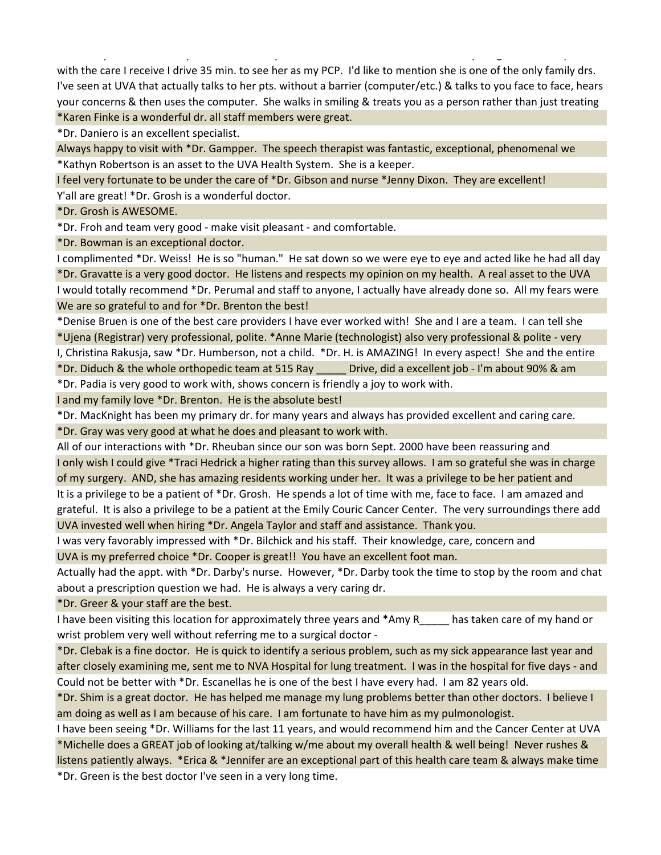\*Dr. Casey is the one family doctor that I truly feel comfortable with. I moved here 3 yrs. ago and am so pleased with the care I receive I drive 35 min. to see her as my PCP. I'd like to mention she is one of the only family drs. I've seen at UVA that actually talks to her pts. without a barrier (computer/etc.) & talks to you face to face, hears your concerns & then uses the computer. She walks in smiling & treats you as a person rather than just treating \*Karen Finke is a wonderful dr. all staff members were great.

\*Dr. Daniero is an excellent specialist.

Always happy to visit with \*Dr. Gampper. The speech therapist was fantastic, exceptional, phenomenal we \*Kathyn Robertson is an asset to the UVA Health System. She is a keeper.

I feel very fortunate to be under the care of \*Dr. Gibson and nurse \*Jenny Dixon. They are excellent!

Y'all are great! \*Dr. Grosh is a wonderful doctor.

\*Dr. Grosh is AWESOME.

\*Dr. Froh and team very good - make visit pleasant - and comfortable.

\*Dr. Bowman is an exceptional doctor.

I complimented \*Dr. Weiss! He is so "human." He sat down so we were eye to eye and acted like he had all day \*Dr. Gravatte is a very good doctor. He listens and respects my opinion on my health. A real asset to the UVA I would totally recommend \*Dr. Perumal and staff to anyone, I actually have already done so. All my fears were We are so grateful to and for \*Dr. Brenton the best!

\*Denise Bruen is one of the best care providers I have ever worked with! She and I are a team. I can tell she \*Ujena (Registrar) very professional, polite. \*Anne Marie (technologist) also very professional & polite - very

I, Christina Rakusja, saw \*Dr. Humberson, not a child. \*Dr. H. is AMAZING! In every aspect! She and the entire

\*Dr. Diduch & the whole orthopedic team at 515 Ray \_\_\_\_\_ Drive, did a excellent job - I'm about 90% & am

\*Dr. Padia is very good to work with, shows concern is friendly a joy to work with.

I and my family love \*Dr. Brenton. He is the absolute best!

\*Dr. MacKnight has been my primary dr. for many years and always has provided excellent and caring care.

\*Dr. Gray was very good at what he does and pleasant to work with.

All of our interactions with \*Dr. Rheuban since our son was born Sept. 2000 have been reassuring and I only wish I could give \*Traci Hedrick a higher rating than this survey allows. I am so grateful she was in charge of my surgery. AND, she has amazing residents working under her. It was a privilege to be her patient and It is a privilege to be a patient of \*Dr. Grosh. He spends a lot of time with me, face to face. I am amazed and grateful. It is also a privilege to be a patient at the Emily Couric Cancer Center. The very surroundings there add UVA invested well when hiring \*Dr. Angela Taylor and staff and assistance. Thank you.

I was very favorably impressed with \*Dr. Bilchick and his staff. Their knowledge, care, concern and UVA is my preferred choice \*Dr. Cooper is great!! You have an excellent foot man.

Actually had the appt. with \*Dr. Darby's nurse. However, \*Dr. Darby took the time to stop by the room and chat about a prescription question we had. He is always a very caring dr.

\*Dr. Greer & your staff are the best.

I have been visiting this location for approximately three years and \*Amy R has taken care of my hand or wrist problem very well without referring me to a surgical doctor -

\*Dr. Clebak is a fine doctor. He is quick to identify a serious problem, such as my sick appearance last year and after closely examining me, sent me to NVA Hospital for lung treatment. I was in the hospital for five days - and Could not be better with \*Dr. Escanellas he is one of the best I have every had. I am 82 years old.

\*Dr. Shim is a great doctor. He has helped me manage my lung problems better than other doctors. I believe I am doing as well as I am because of his care. I am fortunate to have him as my pulmonologist.

I have been seeing \*Dr. Williams for the last 11 years, and would recommend him and the Cancer Center at UVA \*Michelle does a GREAT job of looking at/talking w/me about my overall health & well being! Never rushes & listens patiently always. \*Erica & \*Jennifer are an exceptional part of this health care team & always make time

\*Dr. Green is the best doctor I've seen in a very long time.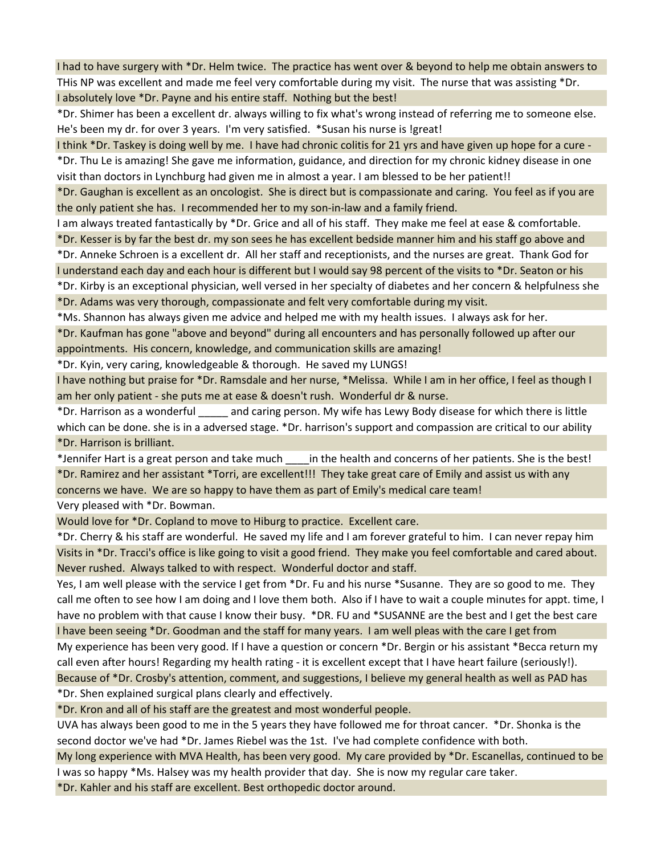I had to have surgery with \*Dr. Helm twice. The practice has went over & beyond to help me obtain answers to THis NP was excellent and made me feel very comfortable during my visit. The nurse that was assisting \*Dr. I absolutely love \*Dr. Payne and his entire staff. Nothing but the best!

\*Dr. Shimer has been a excellent dr. always willing to fix what's wrong instead of referring me to someone else. He's been my dr. for over 3 years. I'm very satisfied. \*Susan his nurse is !great!

I think \*Dr. Taskey is doing well by me. I have had chronic colitis for 21 yrs and have given up hope for a cure - \*Dr. Thu Le is amazing! She gave me information, guidance, and direction for my chronic kidney disease in one visit than doctors in Lynchburg had given me in almost a year. I am blessed to be her patient!!

\*Dr. Gaughan is excellent as an oncologist. She is direct but is compassionate and caring. You feel as if you are the only patient she has. I recommended her to my son-in-law and a family friend.

I am always treated fantastically by \*Dr. Grice and all of his staff. They make me feel at ease & comfortable. \*Dr. Kesser is by far the best dr. my son sees he has excellent bedside manner him and his staff go above and

\*Dr. Anneke Schroen is a excellent dr. All her staff and receptionists, and the nurses are great. Thank God for I understand each day and each hour is different but I would say 98 percent of the visits to \*Dr. Seaton or his

\*Dr. Kirby is an exceptional physician, well versed in her specialty of diabetes and her concern & helpfulness she \*Dr. Adams was very thorough, compassionate and felt very comfortable during my visit.

\*Ms. Shannon has always given me advice and helped me with my health issues. I always ask for her. \*Dr. Kaufman has gone "above and beyond" during all encounters and has personally followed up after our appointments. His concern, knowledge, and communication skills are amazing!

\*Dr. Kyin, very caring, knowledgeable & thorough. He saved my LUNGS!

I have nothing but praise for \*Dr. Ramsdale and her nurse, \*Melissa. While I am in her office, I feel as though I am her only patient - she puts me at ease & doesn't rush. Wonderful dr & nurse.

\*Dr. Harrison as a wonderful \_\_\_\_\_ and caring person. My wife has Lewy Body disease for which there is little which can be done. she is in a adversed stage. \*Dr. harrison's support and compassion are critical to our ability \*Dr. Harrison is brilliant.

\*Jennifer Hart is a great person and take much \_\_\_\_in the health and concerns of her patients. She is the best! \*Dr. Ramirez and her assistant \*Torri, are excellent!!! They take great care of Emily and assist us with any concerns we have. We are so happy to have them as part of Emily's medical care team! Very pleased with \*Dr. Bowman.

Would love for \*Dr. Copland to move to Hiburg to practice. Excellent care.

\*Dr. Cherry & his staff are wonderful. He saved my life and I am forever grateful to him. I can never repay him Visits in \*Dr. Tracci's office is like going to visit a good friend. They make you feel comfortable and cared about. Never rushed. Always talked to with respect. Wonderful doctor and staff.

Yes, I am well please with the service I get from \*Dr. Fu and his nurse \*Susanne. They are so good to me. They call me often to see how I am doing and I love them both. Also if I have to wait a couple minutes for appt. time, I have no problem with that cause I know their busy. \*DR. FU and \*SUSANNE are the best and I get the best care I have been seeing \*Dr. Goodman and the staff for many years. I am well pleas with the care I get from My experience has been very good. If I have a question or concern \*Dr. Bergin or his assistant \*Becca return my call even after hours! Regarding my health rating - it is excellent except that I have heart failure (seriously!). Because of \*Dr. Crosby's attention, comment, and suggestions, I believe my general health as well as PAD has

\*Dr. Shen explained surgical plans clearly and effectively.

\*Dr. Kron and all of his staff are the greatest and most wonderful people.

UVA has always been good to me in the 5 years they have followed me for throat cancer. \*Dr. Shonka is the second doctor we've had \*Dr. James Riebel was the 1st. I've had complete confidence with both.

My long experience with MVA Health, has been very good. My care provided by \*Dr. Escanellas, continued to be I was so happy \*Ms. Halsey was my health provider that day. She is now my regular care taker.

\*Dr. Kahler and his staff are excellent. Best orthopedic doctor around.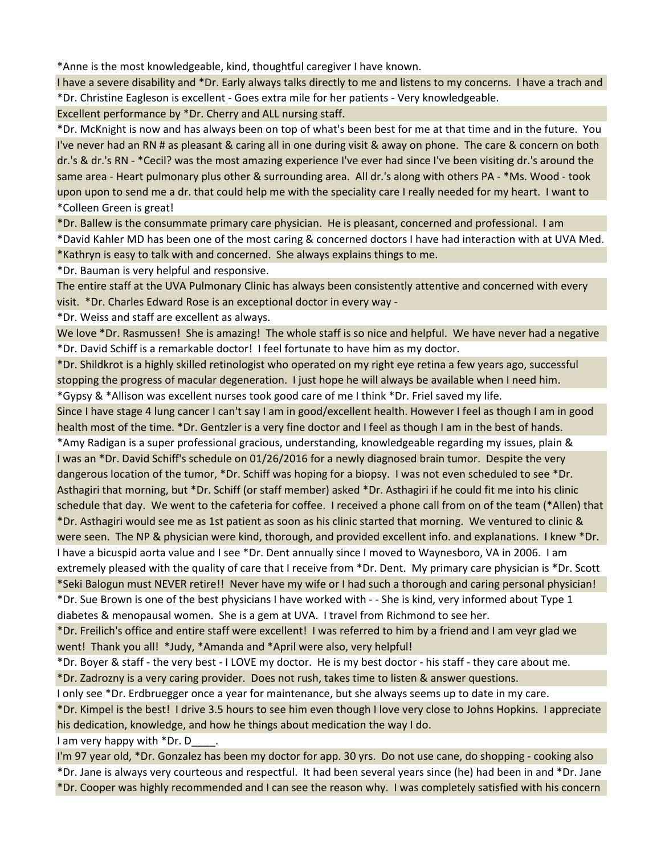\*Anne is the most knowledgeable, kind, thoughtful caregiver I have known.

I have a severe disability and \*Dr. Early always talks directly to me and listens to my concerns. I have a trach and \*Dr. Christine Eagleson is excellent - Goes extra mile for her patients - Very knowledgeable.

Excellent performance by \*Dr. Cherry and ALL nursing staff.

\*Dr. McKnight is now and has always been on top of what's been best for me at that time and in the future. You I've never had an RN # as pleasant & caring all in one during visit & away on phone. The care & concern on both dr.'s & dr.'s RN - \*Cecil? was the most amazing experience I've ever had since I've been visiting dr.'s around the same area - Heart pulmonary plus other & surrounding area. All dr.'s along with others PA - \*Ms. Wood - took upon upon to send me a dr. that could help me with the speciality care I really needed for my heart. I want to \*Colleen Green is great!

\*Dr. Ballew is the consummate primary care physician. He is pleasant, concerned and professional. I am \*David Kahler MD has been one of the most caring & concerned doctors I have had interaction with at UVA Med. \*Kathryn is easy to talk with and concerned. She always explains things to me.

\*Dr. Bauman is very helpful and responsive.

The entire staff at the UVA Pulmonary Clinic has always been consistently attentive and concerned with every visit. \*Dr. Charles Edward Rose is an exceptional doctor in every way -

\*Dr. Weiss and staff are excellent as always.

We love \*Dr. Rasmussen! She is amazing! The whole staff is so nice and helpful. We have never had a negative \*Dr. David Schiff is a remarkable doctor! I feel fortunate to have him as my doctor.

\*Dr. Shildkrot is a highly skilled retinologist who operated on my right eye retina a few years ago, successful stopping the progress of macular degeneration. I just hope he will always be available when I need him. \*Gypsy & \*Allison was excellent nurses took good care of me I think \*Dr. Friel saved my life.

Since I have stage 4 lung cancer I can't say I am in good/excellent health. However I feel as though I am in good health most of the time. \*Dr. Gentzler is a very fine doctor and I feel as though I am in the best of hands.

\*Amy Radigan is a super professional gracious, understanding, knowledgeable regarding my issues, plain & I was an \*Dr. David Schiff's schedule on 01/26/2016 for a newly diagnosed brain tumor. Despite the very dangerous location of the tumor, \*Dr. Schiff was hoping for a biopsy. I was not even scheduled to see \*Dr. Asthagiri that morning, but \*Dr. Schiff (or staff member) asked \*Dr. Asthagiri if he could fit me into his clinic schedule that day. We went to the cafeteria for coffee. I received a phone call from on of the team (\*Allen) that \*Dr. Asthagiri would see me as 1st patient as soon as his clinic started that morning. We ventured to clinic & were seen. The NP & physician were kind, thorough, and provided excellent info. and explanations. I knew \*Dr. I have a bicuspid aorta value and I see \*Dr. Dent annually since I moved to Waynesboro, VA in 2006. I am extremely pleased with the quality of care that I receive from \*Dr. Dent. My primary care physician is \*Dr. Scott \*Seki Balogun must NEVER retire!! Never have my wife or I had such a thorough and caring personal physician! \*Dr. Sue Brown is one of the best physicians I have worked with - - She is kind, very informed about Type 1

diabetes & menopausal women. She is a gem at UVA. I travel from Richmond to see her.

\*Dr. Freilich's office and entire staff were excellent! I was referred to him by a friend and I am veyr glad we went! Thank you all! \*Judy, \*Amanda and \*April were also, very helpful!

\*Dr. Boyer & staff - the very best - I LOVE my doctor. He is my best doctor - his staff - they care about me. \*Dr. Zadrozny is a very caring provider. Does not rush, takes time to listen & answer questions.

I only see \*Dr. Erdbruegger once a year for maintenance, but she always seems up to date in my care.

\*Dr. Kimpel is the best! I drive 3.5 hours to see him even though I love very close to Johns Hopkins. I appreciate his dedication, knowledge, and how he things about medication the way I do.

I am very happy with \*Dr. D .

I'm 97 year old, \*Dr. Gonzalez has been my doctor for app. 30 yrs. Do not use cane, do shopping - cooking also \*Dr. Jane is always very courteous and respectful. It had been several years since (he) had been in and \*Dr. Jane \*Dr. Cooper was highly recommended and I can see the reason why. I was completely satisfied with his concern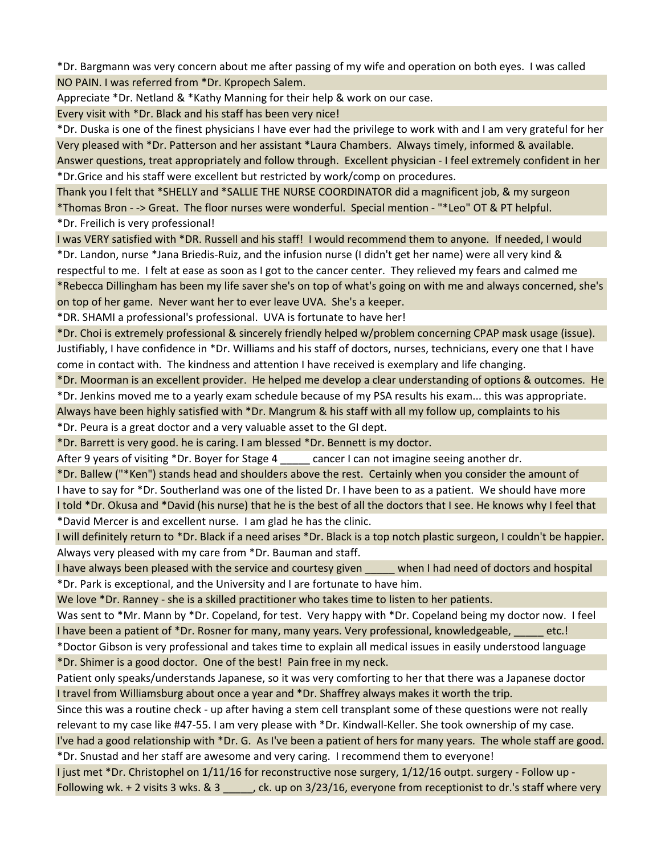\*Dr. Bargmann was very concern about me after passing of my wife and operation on both eyes. I was called NO PAIN. I was referred from \*Dr. Kpropech Salem.

Appreciate \*Dr. Netland & \*Kathy Manning for their help & work on our case.

Every visit with \*Dr. Black and his staff has been very nice!

\*Dr. Duska is one of the finest physicians I have ever had the privilege to work with and I am very grateful for her Very pleased with \*Dr. Patterson and her assistant \*Laura Chambers. Always timely, informed & available. Answer questions, treat appropriately and follow through. Excellent physician - I feel extremely confident in her \*Dr.Grice and his staff were excellent but restricted by work/comp on procedures.

Thank you I felt that \*SHELLY and \*SALLIE THE NURSE COORDINATOR did a magnificent job, & my surgeon \*Thomas Bron - -> Great. The floor nurses were wonderful. Special mention - "\*Leo" OT & PT helpful. \*Dr. Freilich is very professional!

I was VERY satisfied with \*DR. Russell and his staff! I would recommend them to anyone. If needed, I would \*Dr. Landon, nurse \*Jana Briedis-Ruiz, and the infusion nurse (I didn't get her name) were all very kind & respectful to me. I felt at ease as soon as I got to the cancer center. They relieved my fears and calmed me \*Rebecca Dillingham has been my life saver she's on top of what's going on with me and always concerned, she's on top of her game. Never want her to ever leave UVA. She's a keeper.

\*DR. SHAMI a professional's professional. UVA is fortunate to have her!

\*Dr. Choi is extremely professional & sincerely friendly helped w/problem concerning CPAP mask usage (issue). Justifiably, I have confidence in \*Dr. Williams and his staff of doctors, nurses, technicians, every one that I have come in contact with. The kindness and attention I have received is exemplary and life changing.

\*Dr. Moorman is an excellent provider. He helped me develop a clear understanding of options & outcomes. He \*Dr. Jenkins moved me to a yearly exam schedule because of my PSA results his exam... this was appropriate.

Always have been highly satisfied with \*Dr. Mangrum & his staff with all my follow up, complaints to his \*Dr. Peura is a great doctor and a very valuable asset to the GI dept.

\*Dr. Barrett is very good. he is caring. I am blessed \*Dr. Bennett is my doctor.

After 9 years of visiting \*Dr. Boyer for Stage 4 cancer I can not imagine seeing another dr.

\*Dr. Ballew ("\*Ken") stands head and shoulders above the rest. Certainly when you consider the amount of I have to say for \*Dr. Southerland was one of the listed Dr. I have been to as a patient. We should have more I told \*Dr. Okusa and \*David (his nurse) that he is the best of all the doctors that I see. He knows why I feel that \*David Mercer is and excellent nurse. I am glad he has the clinic.

I will definitely return to \*Dr. Black if a need arises \*Dr. Black is a top notch plastic surgeon, I couldn't be happier. Always very pleased with my care from \*Dr. Bauman and staff.

I have always been pleased with the service and courtesy given when I had need of doctors and hospital \*Dr. Park is exceptional, and the University and I are fortunate to have him.

We love \*Dr. Ranney - she is a skilled practitioner who takes time to listen to her patients.

Was sent to \*Mr. Mann by \*Dr. Copeland, for test. Very happy with \*Dr. Copeland being my doctor now. I feel I have been a patient of \*Dr. Rosner for many, many years. Very professional, knowledgeable, \_\_\_\_\_ etc.!

\*Doctor Gibson is very professional and takes time to explain all medical issues in easily understood language \*Dr. Shimer is a good doctor. One of the best! Pain free in my neck.

Patient only speaks/understands Japanese, so it was very comforting to her that there was a Japanese doctor I travel from Williamsburg about once a year and \*Dr. Shaffrey always makes it worth the trip.

Since this was a routine check - up after having a stem cell transplant some of these questions were not really relevant to my case like #47-55. I am very please with \*Dr. Kindwall-Keller. She took ownership of my case.

I've had a good relationship with \*Dr. G. As I've been a patient of hers for many years. The whole staff are good. \*Dr. Snustad and her staff are awesome and very caring. I recommend them to everyone!

I just met \*Dr. Christophel on 1/11/16 for reconstructive nose surgery, 1/12/16 outpt. surgery - Follow up - Following wk. + 2 visits 3 wks. & 3 \_\_\_\_\_, ck. up on 3/23/16, everyone from receptionist to dr.'s staff where very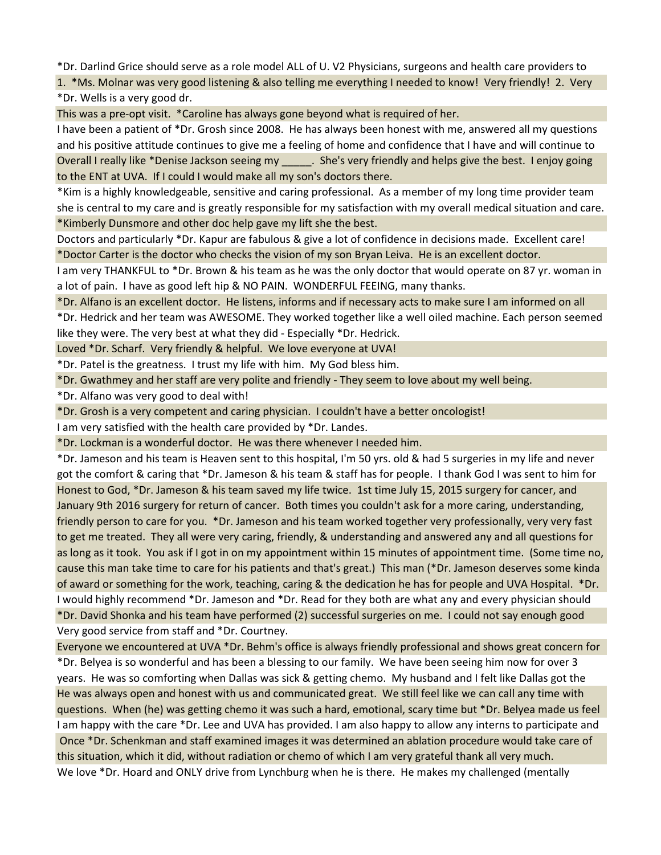\*Dr. Darlind Grice should serve as a role model ALL of U. V2 Physicians, surgeons and health care providers to

1. \*Ms. Molnar was very good listening & also telling me everything I needed to know! Very friendly! 2. Very \*Dr. Wells is a very good dr.

This was a pre-opt visit. \*Caroline has always gone beyond what is required of her.

I have been a patient of \*Dr. Grosh since 2008. He has always been honest with me, answered all my questions and his positive attitude continues to give me a feeling of home and confidence that I have and will continue to Overall I really like \*Denise Jackson seeing my \_\_\_\_\_. She's very friendly and helps give the best. I enjoy going to the ENT at UVA. If I could I would make all my son's doctors there.

\*Kim is a highly knowledgeable, sensitive and caring professional. As a member of my long time provider team she is central to my care and is greatly responsible for my satisfaction with my overall medical situation and care. \*Kimberly Dunsmore and other doc help gave my lift she the best.

Doctors and particularly \*Dr. Kapur are fabulous & give a lot of confidence in decisions made. Excellent care! \*Doctor Carter is the doctor who checks the vision of my son Bryan Leiva. He is an excellent doctor.

I am very THANKFUL to \*Dr. Brown & his team as he was the only doctor that would operate on 87 yr. woman in a lot of pain. I have as good left hip & NO PAIN. WONDERFUL FEEING, many thanks.

\*Dr. Alfano is an excellent doctor. He listens, informs and if necessary acts to make sure I am informed on all \*Dr. Hedrick and her team was AWESOME. They worked together like a well oiled machine. Each person seemed like they were. The very best at what they did - Especially \*Dr. Hedrick.

Loved \*Dr. Scharf. Very friendly & helpful. We love everyone at UVA!

\*Dr. Patel is the greatness. I trust my life with him. My God bless him.

\*Dr. Gwathmey and her staff are very polite and friendly - They seem to love about my well being.

\*Dr. Alfano was very good to deal with!

\*Dr. Grosh is a very competent and caring physician. I couldn't have a better oncologist!

I am very satisfied with the health care provided by \*Dr. Landes.

\*Dr. Lockman is a wonderful doctor. He was there whenever I needed him.

\*Dr. Jameson and his team is Heaven sent to this hospital, I'm 50 yrs. old & had 5 surgeries in my life and never got the comfort & caring that \*Dr. Jameson & his team & staff has for people. I thank God I was sent to him for Honest to God, \*Dr. Jameson & his team saved my life twice. 1st time July 15, 2015 surgery for cancer, and January 9th 2016 surgery for return of cancer. Both times you couldn't ask for a more caring, understanding, friendly person to care for you. \*Dr. Jameson and his team worked together very professionally, very very fast to get me treated. They all were very caring, friendly, & understanding and answered any and all questions for as long as it took. You ask if I got in on my appointment within 15 minutes of appointment time. (Some time no, cause this man take time to care for his patients and that's great.) This man (\*Dr. Jameson deserves some kinda of award or something for the work, teaching, caring & the dedication he has for people and UVA Hospital. \*Dr. I would highly recommend \*Dr. Jameson and \*Dr. Read for they both are what any and every physician should \*Dr. David Shonka and his team have performed (2) successful surgeries on me. I could not say enough good Very good service from staff and \*Dr. Courtney.

Everyone we encountered at UVA \*Dr. Behm's office is always friendly professional and shows great concern for \*Dr. Belyea is so wonderful and has been a blessing to our family. We have been seeing him now for over 3 years. He was so comforting when Dallas was sick & getting chemo. My husband and I felt like Dallas got the He was always open and honest with us and communicated great. We still feel like we can call any time with questions. When (he) was getting chemo it was such a hard, emotional, scary time but \*Dr. Belyea made us feel I am happy with the care \*Dr. Lee and UVA has provided. I am also happy to allow any interns to participate and Once \*Dr. Schenkman and staff examined images it was determined an ablation procedure would take care of this situation, which it did, without radiation or chemo of which I am very grateful thank all very much. We love \*Dr. Hoard and ONLY drive from Lynchburg when he is there. He makes my challenged (mentally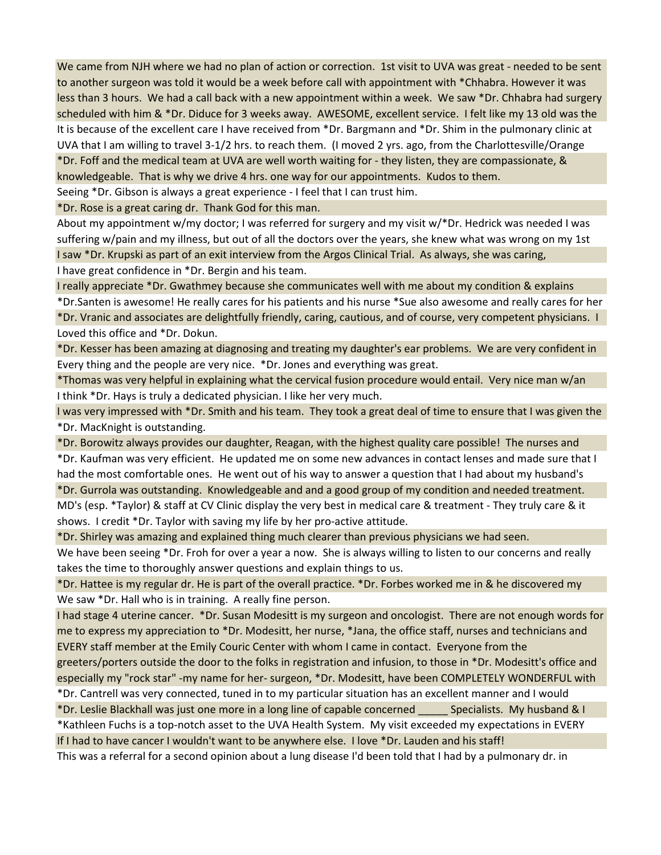We came from NJH where we had no plan of action or correction. 1st visit to UVA was great - needed to be sent to another surgeon was told it would be a week before call with appointment with \*Chhabra. However it was less than 3 hours. We had a call back with a new appointment within a week. We saw \*Dr. Chhabra had surgery scheduled with him & \*Dr. Diduce for 3 weeks away. AWESOME, excellent service. I felt like my 13 old was the It is because of the excellent care I have received from \*Dr. Bargmann and \*Dr. Shim in the pulmonary clinic at UVA that I am willing to travel 3-1/2 hrs. to reach them. (I moved 2 yrs. ago, from the Charlottesville/Orange \*Dr. Foff and the medical team at UVA are well worth waiting for - they listen, they are compassionate, & knowledgeable. That is why we drive 4 hrs. one way for our appointments. Kudos to them.

Seeing \*Dr. Gibson is always a great experience - I feel that I can trust him.

\*Dr. Rose is a great caring dr. Thank God for this man.

About my appointment w/my doctor; I was referred for surgery and my visit w/\*Dr. Hedrick was needed I was suffering w/pain and my illness, but out of all the doctors over the years, she knew what was wrong on my 1st I saw \*Dr. Krupski as part of an exit interview from the Argos Clinical Trial. As always, she was caring, I have great confidence in \*Dr. Bergin and his team.

I really appreciate \*Dr. Gwathmey because she communicates well with me about my condition & explains \*Dr.Santen is awesome! He really cares for his patients and his nurse \*Sue also awesome and really cares for her \*Dr. Vranic and associates are delightfully friendly, caring, cautious, and of course, very competent physicians. I Loved this office and \*Dr. Dokun.

\*Dr. Kesser has been amazing at diagnosing and treating my daughter's ear problems. We are very confident in Every thing and the people are very nice. \*Dr. Jones and everything was great.

\*Thomas was very helpful in explaining what the cervical fusion procedure would entail. Very nice man w/an I think \*Dr. Hays is truly a dedicated physician. I like her very much.

I was very impressed with \*Dr. Smith and his team. They took a great deal of time to ensure that I was given the \*Dr. MacKnight is outstanding.

\*Dr. Borowitz always provides our daughter, Reagan, with the highest quality care possible! The nurses and \*Dr. Kaufman was very efficient. He updated me on some new advances in contact lenses and made sure that I had the most comfortable ones. He went out of his way to answer a question that I had about my husband's

\*Dr. Gurrola was outstanding. Knowledgeable and and a good group of my condition and needed treatment. MD's (esp. \*Taylor) & staff at CV Clinic display the very best in medical care & treatment - They truly care & it shows. I credit \*Dr. Taylor with saving my life by her pro-active attitude.

\*Dr. Shirley was amazing and explained thing much clearer than previous physicians we had seen.

We have been seeing \*Dr. Froh for over a year a now. She is always willing to listen to our concerns and really takes the time to thoroughly answer questions and explain things to us.

\*Dr. Hattee is my regular dr. He is part of the overall practice. \*Dr. Forbes worked me in & he discovered my We saw \*Dr. Hall who is in training. A really fine person.

I had stage 4 uterine cancer. \*Dr. Susan Modesitt is my surgeon and oncologist. There are not enough words for me to express my appreciation to \*Dr. Modesitt, her nurse, \*Jana, the office staff, nurses and technicians and EVERY staff member at the Emily Couric Center with whom I came in contact. Everyone from the greeters/porters outside the door to the folks in registration and infusion, to those in \*Dr. Modesitt's office and especially my "rock star" -my name for her- surgeon, \*Dr. Modesitt, have been COMPLETELY WONDERFUL with

\*Dr. Cantrell was very connected, tuned in to my particular situation has an excellent manner and I would

\*Dr. Leslie Blackhall was just one more in a long line of capable concerned \_\_\_\_\_ Specialists. My husband & I \*Kathleen Fuchs is a top-notch asset to the UVA Health System. My visit exceeded my expectations in EVERY If I had to have cancer I wouldn't want to be anywhere else. I love \*Dr. Lauden and his staff!

This was a referral for a second opinion about a lung disease I'd been told that I had by a pulmonary dr. in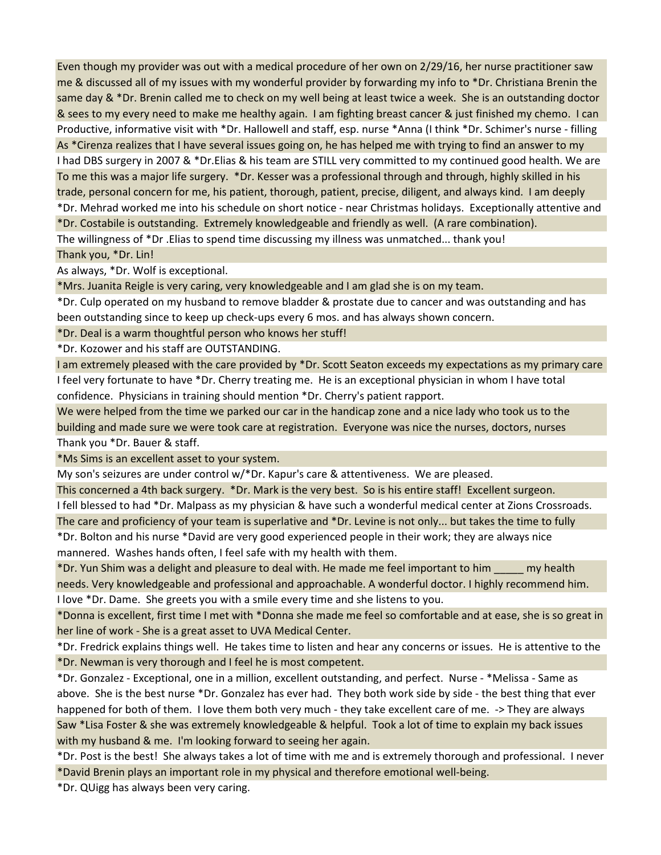Even though my provider was out with a medical procedure of her own on 2/29/16, her nurse practitioner saw me & discussed all of my issues with my wonderful provider by forwarding my info to \*Dr. Christiana Brenin the same day & \*Dr. Brenin called me to check on my well being at least twice a week. She is an outstanding doctor & sees to my every need to make me healthy again. I am fighting breast cancer & just finished my chemo. I can Productive, informative visit with \*Dr. Hallowell and staff, esp. nurse \*Anna (I think \*Dr. Schimer's nurse - filling As \*Cirenza realizes that I have several issues going on, he has helped me with trying to find an answer to my I had DBS surgery in 2007 & \*Dr.Elias & his team are STILL very committed to my continued good health. We are To me this was a major life surgery. \*Dr. Kesser was a professional through and through, highly skilled in his trade, personal concern for me, his patient, thorough, patient, precise, diligent, and always kind. I am deeply \*Dr. Mehrad worked me into his schedule on short notice - near Christmas holidays. Exceptionally attentive and \*Dr. Costabile is outstanding. Extremely knowledgeable and friendly as well. (A rare combination). The willingness of \*Dr .Elias to spend time discussing my illness was unmatched... thank you! Thank you, \*Dr. Lin!

As always, \*Dr. Wolf is exceptional.

\*Mrs. Juanita Reigle is very caring, very knowledgeable and I am glad she is on my team.

\*Dr. Culp operated on my husband to remove bladder & prostate due to cancer and was outstanding and has been outstanding since to keep up check-ups every 6 mos. and has always shown concern.

\*Dr. Deal is a warm thoughtful person who knows her stuff!

\*Dr. Kozower and his staff are OUTSTANDING.

I am extremely pleased with the care provided by \*Dr. Scott Seaton exceeds my expectations as my primary care I feel very fortunate to have \*Dr. Cherry treating me. He is an exceptional physician in whom I have total confidence. Physicians in training should mention \*Dr. Cherry's patient rapport.

We were helped from the time we parked our car in the handicap zone and a nice lady who took us to the building and made sure we were took care at registration. Everyone was nice the nurses, doctors, nurses Thank you \*Dr. Bauer & staff.

\*Ms Sims is an excellent asset to your system.

My son's seizures are under control w/\*Dr. Kapur's care & attentiveness. We are pleased.

This concerned a 4th back surgery. \*Dr. Mark is the very best. So is his entire staff! Excellent surgeon.

I fell blessed to had \*Dr. Malpass as my physician & have such a wonderful medical center at Zions Crossroads.

The care and proficiency of your team is superlative and \*Dr. Levine is not only... but takes the time to fully

\*Dr. Bolton and his nurse \*David are very good experienced people in their work; they are always nice mannered. Washes hands often, I feel safe with my health with them.

\*Dr. Yun Shim was a delight and pleasure to deal with. He made me feel important to him \_\_\_\_\_ my health needs. Very knowledgeable and professional and approachable. A wonderful doctor. I highly recommend him. I love \*Dr. Dame. She greets you with a smile every time and she listens to you.

\*Donna is excellent, first time I met with \*Donna she made me feel so comfortable and at ease, she is so great in her line of work - She is a great asset to UVA Medical Center.

\*Dr. Fredrick explains things well. He takes time to listen and hear any concerns or issues. He is attentive to the \*Dr. Newman is very thorough and I feel he is most competent.

\*Dr. Gonzalez - Exceptional, one in a million, excellent outstanding, and perfect. Nurse - \*Melissa - Same as above. She is the best nurse \*Dr. Gonzalez has ever had. They both work side by side - the best thing that ever happened for both of them. I love them both very much - they take excellent care of me. -> They are always Saw \*Lisa Foster & she was extremely knowledgeable & helpful. Took a lot of time to explain my back issues with my husband & me. I'm looking forward to seeing her again.

\*Dr. Post is the best! She always takes a lot of time with me and is extremely thorough and professional. I never \*David Brenin plays an important role in my physical and therefore emotional well-being.

\*Dr. QUigg has always been very caring.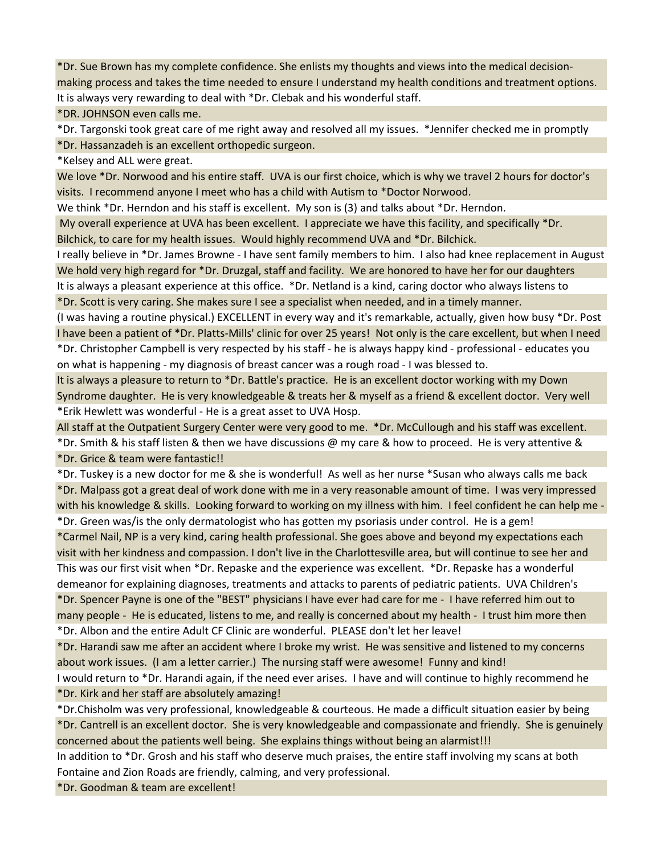\*Dr. Sue Brown has my complete confidence. She enlists my thoughts and views into the medical decisionmaking process and takes the time needed to ensure I understand my health conditions and treatment options.

It is always very rewarding to deal with \*Dr. Clebak and his wonderful staff.

\*DR. JOHNSON even calls me.

\*Dr. Targonski took great care of me right away and resolved all my issues. \*Jennifer checked me in promptly

\*Dr. Hassanzadeh is an excellent orthopedic surgeon.

\*Kelsey and ALL were great.

We love \*Dr. Norwood and his entire staff. UVA is our first choice, which is why we travel 2 hours for doctor's visits. I recommend anyone I meet who has a child with Autism to \*Doctor Norwood.

We think \*Dr. Herndon and his staff is excellent. My son is (3) and talks about \*Dr. Herndon.

 My overall experience at UVA has been excellent. I appreciate we have this facility, and specifically \*Dr. Bilchick, to care for my health issues. Would highly recommend UVA and \*Dr. Bilchick.

I really believe in \*Dr. James Browne - I have sent family members to him. I also had knee replacement in August We hold very high regard for \*Dr. Druzgal, staff and facility. We are honored to have her for our daughters It is always a pleasant experience at this office. \*Dr. Netland is a kind, caring doctor who always listens to \*Dr. Scott is very caring. She makes sure I see a specialist when needed, and in a timely manner.

(I was having a routine physical.) EXCELLENT in every way and it's remarkable, actually, given how busy \*Dr. Post I have been a patient of \*Dr. Platts-Mills' clinic for over 25 years! Not only is the care excellent, but when I need \*Dr. Christopher Campbell is very respected by his staff - he is always happy kind - professional - educates you on what is happening - my diagnosis of breast cancer was a rough road - I was blessed to.

It is always a pleasure to return to \*Dr. Battle's practice. He is an excellent doctor working with my Down Syndrome daughter. He is very knowledgeable & treats her & myself as a friend & excellent doctor. Very well \*Erik Hewlett was wonderful - He is a great asset to UVA Hosp.

All staff at the Outpatient Surgery Center were very good to me. \*Dr. McCullough and his staff was excellent. \*Dr. Smith & his staff listen & then we have discussions @ my care & how to proceed. He is very attentive & \*Dr. Grice & team were fantastic!!

\*Dr. Tuskey is a new doctor for me & she is wonderful! As well as her nurse \*Susan who always calls me back \*Dr. Malpass got a great deal of work done with me in a very reasonable amount of time. I was very impressed with his knowledge & skills. Looking forward to working on my illness with him. I feel confident he can help me - \*Dr. Green was/is the only dermatologist who has gotten my psoriasis under control. He is a gem!

\*Carmel Nail, NP is a very kind, caring health professional. She goes above and beyond my expectations each visit with her kindness and compassion. I don't live in the Charlottesville area, but will continue to see her and This was our first visit when \*Dr. Repaske and the experience was excellent. \*Dr. Repaske has a wonderful demeanor for explaining diagnoses, treatments and attacks to parents of pediatric patients. UVA Children's \*Dr. Spencer Payne is one of the "BEST" physicians I have ever had care for me - I have referred him out to many people - He is educated, listens to me, and really is concerned about my health - I trust him more then \*Dr. Albon and the entire Adult CF Clinic are wonderful. PLEASE don't let her leave!

\*Dr. Harandi saw me after an accident where I broke my wrist. He was sensitive and listened to my concerns about work issues. (I am a letter carrier.) The nursing staff were awesome! Funny and kind!

I would return to \*Dr. Harandi again, if the need ever arises. I have and will continue to highly recommend he \*Dr. Kirk and her staff are absolutely amazing!

\*Dr.Chisholm was very professional, knowledgeable & courteous. He made a difficult situation easier by being \*Dr. Cantrell is an excellent doctor. She is very knowledgeable and compassionate and friendly. She is genuinely concerned about the patients well being. She explains things without being an alarmist!!!

In addition to \*Dr. Grosh and his staff who deserve much praises, the entire staff involving my scans at both Fontaine and Zion Roads are friendly, calming, and very professional.

\*Dr. Goodman & team are excellent!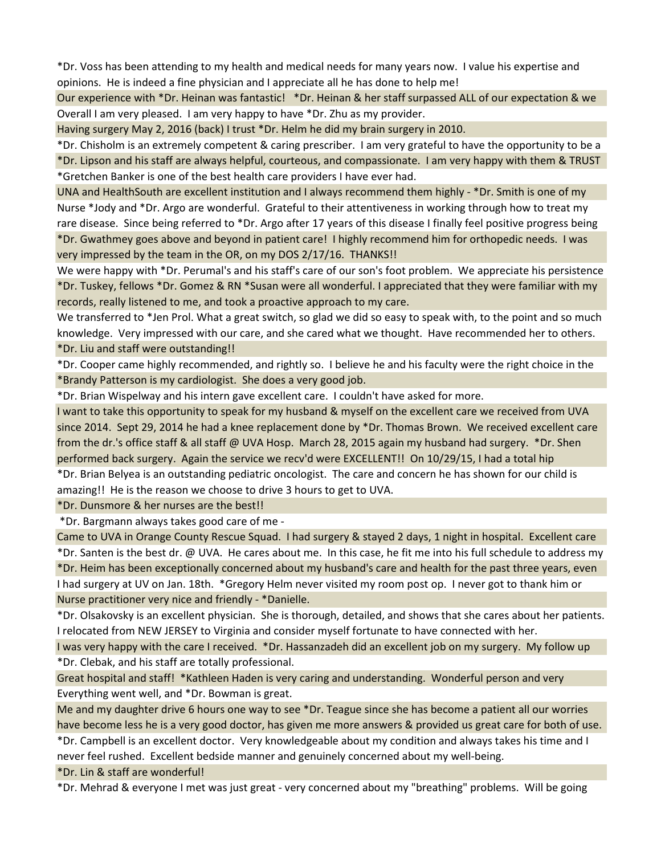\*Dr. Voss has been attending to my health and medical needs for many years now. I value his expertise and opinions. He is indeed a fine physician and I appreciate all he has done to help me!

Our experience with \*Dr. Heinan was fantastic! \*Dr. Heinan & her staff surpassed ALL of our expectation & we Overall I am very pleased. I am very happy to have \*Dr. Zhu as my provider.

Having surgery May 2, 2016 (back) I trust \*Dr. Helm he did my brain surgery in 2010.

\*Dr. Chisholm is an extremely competent & caring prescriber. I am very grateful to have the opportunity to be a \*Dr. Lipson and his staff are always helpful, courteous, and compassionate. I am very happy with them & TRUST \*Gretchen Banker is one of the best health care providers I have ever had.

UNA and HealthSouth are excellent institution and I always recommend them highly - \*Dr. Smith is one of my Nurse \*Jody and \*Dr. Argo are wonderful. Grateful to their attentiveness in working through how to treat my rare disease. Since being referred to \*Dr. Argo after 17 years of this disease I finally feel positive progress being \*Dr. Gwathmey goes above and beyond in patient care! I highly recommend him for orthopedic needs. I was very impressed by the team in the OR, on my DOS 2/17/16. THANKS!!

We were happy with \*Dr. Perumal's and his staff's care of our son's foot problem. We appreciate his persistence \*Dr. Tuskey, fellows \*Dr. Gomez & RN \*Susan were all wonderful. I appreciated that they were familiar with my records, really listened to me, and took a proactive approach to my care.

We transferred to \*Jen Prol. What a great switch, so glad we did so easy to speak with, to the point and so much knowledge. Very impressed with our care, and she cared what we thought. Have recommended her to others.

\*Dr. Liu and staff were outstanding!!

\*Dr. Cooper came highly recommended, and rightly so. I believe he and his faculty were the right choice in the \*Brandy Patterson is my cardiologist. She does a very good job.

\*Dr. Brian Wispelway and his intern gave excellent care. I couldn't have asked for more.

I want to take this opportunity to speak for my husband & myself on the excellent care we received from UVA since 2014. Sept 29, 2014 he had a knee replacement done by \*Dr. Thomas Brown. We received excellent care from the dr.'s office staff & all staff @ UVA Hosp. March 28, 2015 again my husband had surgery. \*Dr. Shen performed back surgery. Again the service we recv'd were EXCELLENT!! On 10/29/15, I had a total hip

\*Dr. Brian Belyea is an outstanding pediatric oncologist. The care and concern he has shown for our child is amazing!! He is the reason we choose to drive 3 hours to get to UVA.

\*Dr. Dunsmore & her nurses are the best!!

\*Dr. Bargmann always takes good care of me -

Came to UVA in Orange County Rescue Squad. I had surgery & stayed 2 days, 1 night in hospital. Excellent care \*Dr. Santen is the best dr. @ UVA. He cares about me. In this case, he fit me into his full schedule to address my \*Dr. Heim has been exceptionally concerned about my husband's care and health for the past three years, even I had surgery at UV on Jan. 18th. \*Gregory Helm never visited my room post op. I never got to thank him or Nurse practitioner very nice and friendly - \*Danielle.

\*Dr. Olsakovsky is an excellent physician. She is thorough, detailed, and shows that she cares about her patients. I relocated from NEW JERSEY to Virginia and consider myself fortunate to have connected with her.

I was very happy with the care I received. \*Dr. Hassanzadeh did an excellent job on my surgery. My follow up \*Dr. Clebak, and his staff are totally professional.

Great hospital and staff! \*Kathleen Haden is very caring and understanding. Wonderful person and very Everything went well, and \*Dr. Bowman is great.

Me and my daughter drive 6 hours one way to see \*Dr. Teague since she has become a patient all our worries have become less he is a very good doctor, has given me more answers & provided us great care for both of use.

\*Dr. Campbell is an excellent doctor. Very knowledgeable about my condition and always takes his time and I never feel rushed. Excellent bedside manner and genuinely concerned about my well-being.

\*Dr. Lin & staff are wonderful!

\*Dr. Mehrad & everyone I met was just great - very concerned about my "breathing" problems. Will be going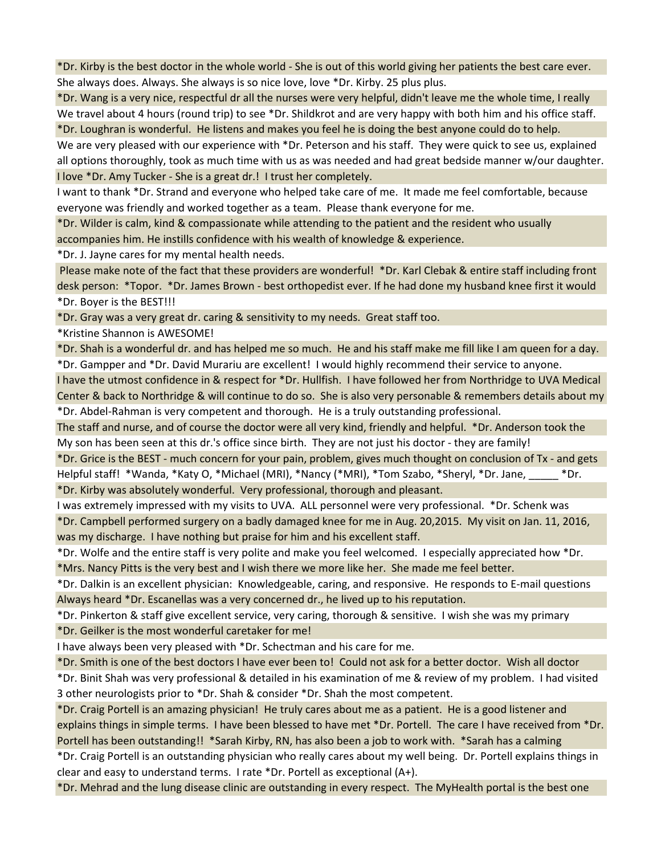\*Dr. Kirby is the best doctor in the whole world - She is out of this world giving her patients the best care ever. She always does. Always. She always is so nice love, love \*Dr. Kirby. 25 plus plus.

\*Dr. Wang is a very nice, respectful dr all the nurses were very helpful, didn't leave me the whole time, I really We travel about 4 hours (round trip) to see \*Dr. Shildkrot and are very happy with both him and his office staff. \*Dr. Loughran is wonderful. He listens and makes you feel he is doing the best anyone could do to help.

We are very pleased with our experience with \*Dr. Peterson and his staff. They were quick to see us, explained all options thoroughly, took as much time with us as was needed and had great bedside manner w/our daughter. I love \*Dr. Amy Tucker - She is a great dr.! I trust her completely.

I want to thank \*Dr. Strand and everyone who helped take care of me. It made me feel comfortable, because everyone was friendly and worked together as a team. Please thank everyone for me.

\*Dr. Wilder is calm, kind & compassionate while attending to the patient and the resident who usually accompanies him. He instills confidence with his wealth of knowledge & experience.

\*Dr. J. Jayne cares for my mental health needs.

 Please make note of the fact that these providers are wonderful! \*Dr. Karl Clebak & entire staff including front desk person: \*Topor. \*Dr. James Brown - best orthopedist ever. If he had done my husband knee first it would \*Dr. Boyer is the BEST!!!

\*Dr. Gray was a very great dr. caring & sensitivity to my needs. Great staff too.

\*Kristine Shannon is AWESOME!

\*Dr. Shah is a wonderful dr. and has helped me so much. He and his staff make me fill like I am queen for a day. \*Dr. Gampper and \*Dr. David Murariu are excellent! I would highly recommend their service to anyone.

I have the utmost confidence in & respect for \*Dr. Hullfish. I have followed her from Northridge to UVA Medical Center & back to Northridge & will continue to do so. She is also very personable & remembers details about my \*Dr. Abdel-Rahman is very competent and thorough. He is a truly outstanding professional.

The staff and nurse, and of course the doctor were all very kind, friendly and helpful. \*Dr. Anderson took the My son has been seen at this dr.'s office since birth. They are not just his doctor - they are family!

\*Dr. Grice is the BEST - much concern for your pain, problem, gives much thought on conclusion of Tx - and gets Helpful staff! \*Wanda, \*Katy O, \*Michael (MRI), \*Nancy (\*MRI), \*Tom Szabo, \*Sheryl, \*Dr. Jane, \*Dr.

\*Dr. Kirby was absolutely wonderful. Very professional, thorough and pleasant.

I was extremely impressed with my visits to UVA. ALL personnel were very professional. \*Dr. Schenk was \*Dr. Campbell performed surgery on a badly damaged knee for me in Aug. 20,2015. My visit on Jan. 11, 2016, was my discharge. I have nothing but praise for him and his excellent staff.

\*Dr. Wolfe and the entire staff is very polite and make you feel welcomed. I especially appreciated how \*Dr.

\*Mrs. Nancy Pitts is the very best and I wish there we more like her. She made me feel better.

\*Dr. Dalkin is an excellent physician: Knowledgeable, caring, and responsive. He responds to E-mail questions Always heard \*Dr. Escanellas was a very concerned dr., he lived up to his reputation.

\*Dr. Pinkerton & staff give excellent service, very caring, thorough & sensitive. I wish she was my primary \*Dr. Geilker is the most wonderful caretaker for me!

I have always been very pleased with \*Dr. Schectman and his care for me.

\*Dr. Smith is one of the best doctors I have ever been to! Could not ask for a better doctor. Wish all doctor

\*Dr. Binit Shah was very professional & detailed in his examination of me & review of my problem. I had visited 3 other neurologists prior to \*Dr. Shah & consider \*Dr. Shah the most competent.

\*Dr. Craig Portell is an amazing physician! He truly cares about me as a patient. He is a good listener and explains things in simple terms. I have been blessed to have met \*Dr. Portell. The care I have received from \*Dr. Portell has been outstanding!! \*Sarah Kirby, RN, has also been a job to work with. \*Sarah has a calming

\*Dr. Craig Portell is an outstanding physician who really cares about my well being. Dr. Portell explains things in clear and easy to understand terms. I rate \*Dr. Portell as exceptional (A+).

\*Dr. Mehrad and the lung disease clinic are outstanding in every respect. The MyHealth portal is the best one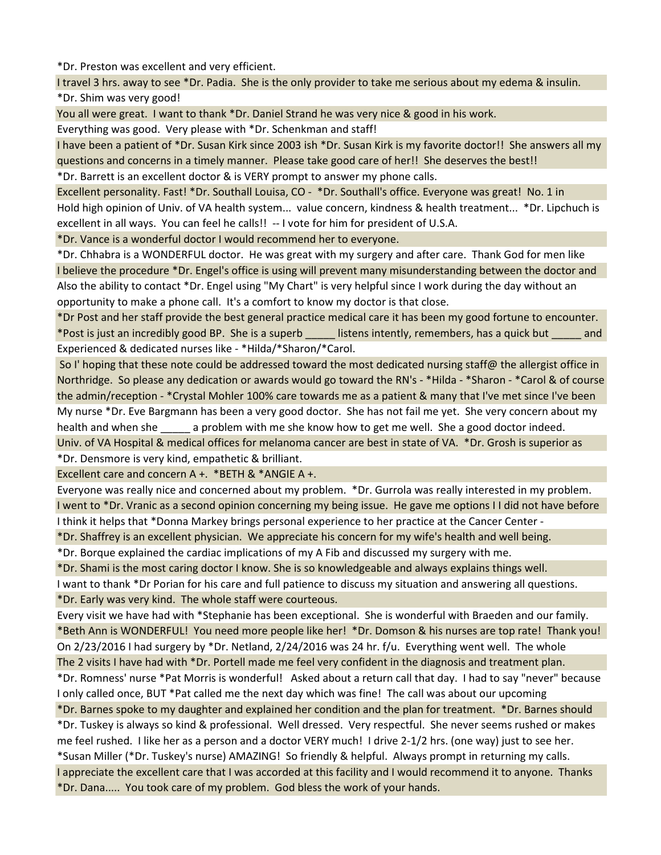\*Dr. Preston was excellent and very efficient.

I travel 3 hrs. away to see \*Dr. Padia. She is the only provider to take me serious about my edema & insulin. \*Dr. Shim was very good!

You all were great. I want to thank \*Dr. Daniel Strand he was very nice & good in his work.

Everything was good. Very please with \*Dr. Schenkman and staff!

I have been a patient of \*Dr. Susan Kirk since 2003 ish \*Dr. Susan Kirk is my favorite doctor!! She answers all my questions and concerns in a timely manner. Please take good care of her!! She deserves the best!!

\*Dr. Barrett is an excellent doctor & is VERY prompt to answer my phone calls.

Excellent personality. Fast! \*Dr. Southall Louisa, CO - \*Dr. Southall's office. Everyone was great! No. 1 in Hold high opinion of Univ. of VA health system... value concern, kindness & health treatment... \*Dr. Lipchuch is excellent in all ways. You can feel he calls!! -- I vote for him for president of U.S.A.

\*Dr. Vance is a wonderful doctor I would recommend her to everyone.

\*Dr. Chhabra is a WONDERFUL doctor. He was great with my surgery and after care. Thank God for men like I believe the procedure \*Dr. Engel's office is using will prevent many misunderstanding between the doctor and Also the ability to contact \*Dr. Engel using "My Chart" is very helpful since I work during the day without an opportunity to make a phone call. It's a comfort to know my doctor is that close.

\*Dr Post and her staff provide the best general practice medical care it has been my good fortune to encounter. \*Post is just an incredibly good BP. She is a superb \_\_\_\_\_ listens intently, remembers, has a quick but \_\_\_\_\_ and Experienced & dedicated nurses like - \*Hilda/\*Sharon/\*Carol.

 So I' hoping that these note could be addressed toward the most dedicated nursing staff@ the allergist office in Northridge. So please any dedication or awards would go toward the RN's - \*Hilda - \*Sharon - \*Carol & of course the admin/reception - \*Crystal Mohler 100% care towards me as a patient & many that I've met since I've been My nurse \*Dr. Eve Bargmann has been a very good doctor. She has not fail me yet. She very concern about my health and when she aproblem with me she know how to get me well. She a good doctor indeed. Univ. of VA Hospital & medical offices for melanoma cancer are best in state of VA. \*Dr. Grosh is superior as

\*Dr. Densmore is very kind, empathetic & brilliant.

Excellent care and concern A +. \*BETH & \*ANGIE A +.

Everyone was really nice and concerned about my problem. \*Dr. Gurrola was really interested in my problem. I went to \*Dr. Vranic as a second opinion concerning my being issue. He gave me options I I did not have before I think it helps that \*Donna Markey brings personal experience to her practice at the Cancer Center -

\*Dr. Shaffrey is an excellent physician. We appreciate his concern for my wife's health and well being.

\*Dr. Borque explained the cardiac implications of my A Fib and discussed my surgery with me.

\*Dr. Shami is the most caring doctor I know. She is so knowledgeable and always explains things well.

I want to thank \*Dr Porian for his care and full patience to discuss my situation and answering all questions. \*Dr. Early was very kind. The whole staff were courteous.

Every visit we have had with \*Stephanie has been exceptional. She is wonderful with Braeden and our family. \*Beth Ann is WONDERFUL! You need more people like her! \*Dr. Domson & his nurses are top rate! Thank you! On 2/23/2016 I had surgery by \*Dr. Netland, 2/24/2016 was 24 hr. f/u. Everything went well. The whole The 2 visits I have had with \*Dr. Portell made me feel very confident in the diagnosis and treatment plan.

\*Dr. Romness' nurse \*Pat Morris is wonderful! Asked about a return call that day. I had to say "never" because I only called once, BUT \*Pat called me the next day which was fine! The call was about our upcoming

\*Dr. Barnes spoke to my daughter and explained her condition and the plan for treatment. \*Dr. Barnes should \*Dr. Tuskey is always so kind & professional. Well dressed. Very respectful. She never seems rushed or makes me feel rushed. I like her as a person and a doctor VERY much! I drive 2-1/2 hrs. (one way) just to see her. \*Susan Miller (\*Dr. Tuskey's nurse) AMAZING! So friendly & helpful. Always prompt in returning my calls. I appreciate the excellent care that I was accorded at this facility and I would recommend it to anyone. Thanks \*Dr. Dana..... You took care of my problem. God bless the work of your hands.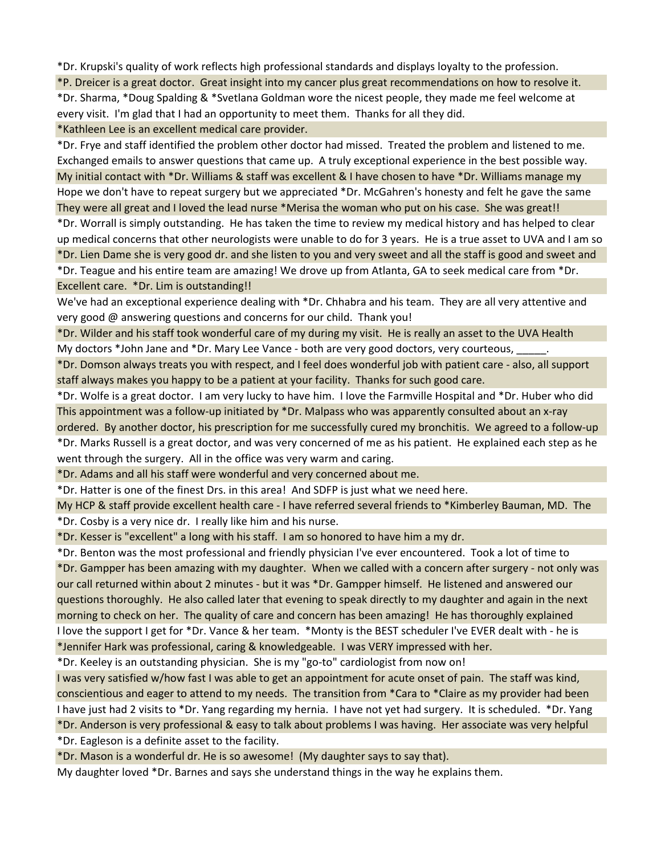\*Dr. Krupski's quality of work reflects high professional standards and displays loyalty to the profession.

\*P. Dreicer is a great doctor. Great insight into my cancer plus great recommendations on how to resolve it. \*Dr. Sharma, \*Doug Spalding & \*Svetlana Goldman wore the nicest people, they made me feel welcome at every visit. I'm glad that I had an opportunity to meet them. Thanks for all they did.

\*Kathleen Lee is an excellent medical care provider.

\*Dr. Frye and staff identified the problem other doctor had missed. Treated the problem and listened to me. Exchanged emails to answer questions that came up. A truly exceptional experience in the best possible way. My initial contact with \*Dr. Williams & staff was excellent & I have chosen to have \*Dr. Williams manage my Hope we don't have to repeat surgery but we appreciated \*Dr. McGahren's honesty and felt he gave the same They were all great and I loved the lead nurse \*Merisa the woman who put on his case. She was great!!

\*Dr. Worrall is simply outstanding. He has taken the time to review my medical history and has helped to clear up medical concerns that other neurologists were unable to do for 3 years. He is a true asset to UVA and I am so \*Dr. Lien Dame she is very good dr. and she listen to you and very sweet and all the staff is good and sweet and \*Dr. Teague and his entire team are amazing! We drove up from Atlanta, GA to seek medical care from \*Dr. Excellent care. \*Dr. Lim is outstanding!!

We've had an exceptional experience dealing with \*Dr. Chhabra and his team. They are all very attentive and very good @ answering questions and concerns for our child. Thank you!

\*Dr. Wilder and his staff took wonderful care of my during my visit. He is really an asset to the UVA Health My doctors \*John Jane and \*Dr. Mary Lee Vance - both are very good doctors, very courteous,

\*Dr. Domson always treats you with respect, and I feel does wonderful job with patient care - also, all support staff always makes you happy to be a patient at your facility. Thanks for such good care.

\*Dr. Wolfe is a great doctor. I am very lucky to have him. I love the Farmville Hospital and \*Dr. Huber who did This appointment was a follow-up initiated by \*Dr. Malpass who was apparently consulted about an x-ray ordered. By another doctor, his prescription for me successfully cured my bronchitis. We agreed to a follow-up \*Dr. Marks Russell is a great doctor, and was very concerned of me as his patient. He explained each step as he went through the surgery. All in the office was very warm and caring.

\*Dr. Adams and all his staff were wonderful and very concerned about me.

\*Dr. Hatter is one of the finest Drs. in this area! And SDFP is just what we need here.

My HCP & staff provide excellent health care - I have referred several friends to \*Kimberley Bauman, MD. The \*Dr. Cosby is a very nice dr. I really like him and his nurse.

\*Dr. Kesser is "excellent" a long with his staff. I am so honored to have him a my dr.

\*Dr. Benton was the most professional and friendly physician I've ever encountered. Took a lot of time to \*Dr. Gampper has been amazing with my daughter. When we called with a concern after surgery - not only was our call returned within about 2 minutes - but it was \*Dr. Gampper himself. He listened and answered our questions thoroughly. He also called later that evening to speak directly to my daughter and again in the next morning to check on her. The quality of care and concern has been amazing! He has thoroughly explained I love the support I get for \*Dr. Vance & her team. \*Monty is the BEST scheduler I've EVER dealt with - he is \*Jennifer Hark was professional, caring & knowledgeable. I was VERY impressed with her.

\*Dr. Keeley is an outstanding physician. She is my "go-to" cardiologist from now on!

I was very satisfied w/how fast I was able to get an appointment for acute onset of pain. The staff was kind, conscientious and eager to attend to my needs. The transition from \*Cara to \*Claire as my provider had been I have just had 2 visits to \*Dr. Yang regarding my hernia. I have not yet had surgery. It is scheduled. \*Dr. Yang \*Dr. Anderson is very professional & easy to talk about problems I was having. Her associate was very helpful

\*Dr. Eagleson is a definite asset to the facility.

\*Dr. Mason is a wonderful dr. He is so awesome! (My daughter says to say that).

My daughter loved \*Dr. Barnes and says she understand things in the way he explains them.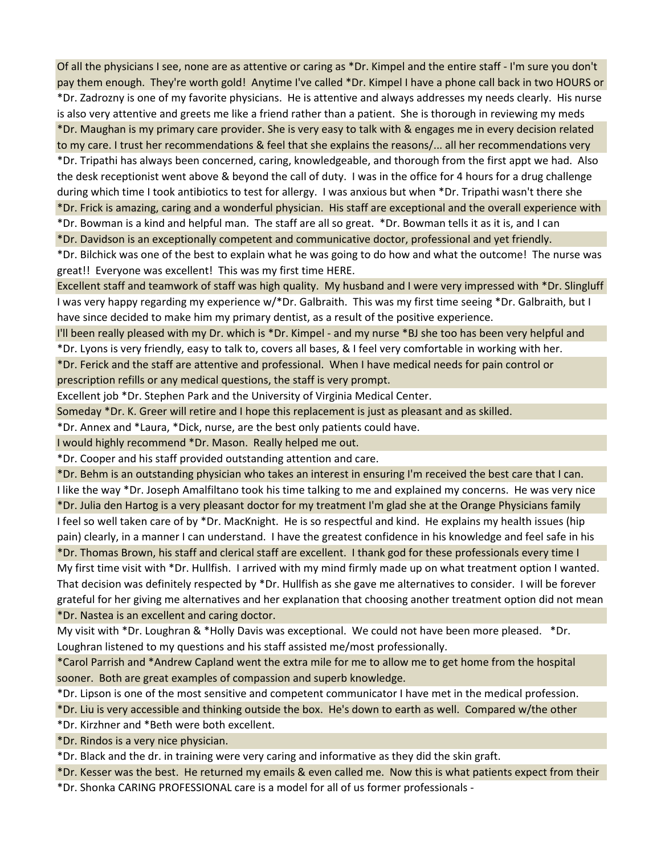Of all the physicians I see, none are as attentive or caring as \*Dr. Kimpel and the entire staff - I'm sure you don't pay them enough. They're worth gold! Anytime I've called \*Dr. Kimpel I have a phone call back in two HOURS or

\*Dr. Zadrozny is one of my favorite physicians. He is attentive and always addresses my needs clearly. His nurse is also very attentive and greets me like a friend rather than a patient. She is thorough in reviewing my meds \*Dr. Maughan is my primary care provider. She is very easy to talk with & engages me in every decision related

to my care. I trust her recommendations & feel that she explains the reasons/... all her recommendations very \*Dr. Tripathi has always been concerned, caring, knowledgeable, and thorough from the first appt we had. Also the desk receptionist went above & beyond the call of duty. I was in the office for 4 hours for a drug challenge during which time I took antibiotics to test for allergy. I was anxious but when \*Dr. Tripathi wasn't there she \*Dr. Frick is amazing, caring and a wonderful physician. His staff are exceptional and the overall experience with

\*Dr. Bowman is a kind and helpful man. The staff are all so great. \*Dr. Bowman tells it as it is, and I can

\*Dr. Davidson is an exceptionally competent and communicative doctor, professional and yet friendly.

\*Dr. Bilchick was one of the best to explain what he was going to do how and what the outcome! The nurse was great!! Everyone was excellent! This was my first time HERE.

Excellent staff and teamwork of staff was high quality. My husband and I were very impressed with \*Dr. Slingluff I was very happy regarding my experience w/\*Dr. Galbraith. This was my first time seeing \*Dr. Galbraith, but I have since decided to make him my primary dentist, as a result of the positive experience.

I'll been really pleased with my Dr. which is \*Dr. Kimpel - and my nurse \*BJ she too has been very helpful and

\*Dr. Lyons is very friendly, easy to talk to, covers all bases, & I feel very comfortable in working with her.

\*Dr. Ferick and the staff are attentive and professional. When I have medical needs for pain control or prescription refills or any medical questions, the staff is very prompt.

Excellent job \*Dr. Stephen Park and the University of Virginia Medical Center.

Someday \*Dr. K. Greer will retire and I hope this replacement is just as pleasant and as skilled.

\*Dr. Annex and \*Laura, \*Dick, nurse, are the best only patients could have.

I would highly recommend \*Dr. Mason. Really helped me out.

\*Dr. Cooper and his staff provided outstanding attention and care.

\*Dr. Behm is an outstanding physician who takes an interest in ensuring I'm received the best care that I can.

I like the way \*Dr. Joseph Amalfiltano took his time talking to me and explained my concerns. He was very nice \*Dr. Julia den Hartog is a very pleasant doctor for my treatment I'm glad she at the Orange Physicians family

I feel so well taken care of by \*Dr. MacKnight. He is so respectful and kind. He explains my health issues (hip pain) clearly, in a manner I can understand. I have the greatest confidence in his knowledge and feel safe in his

\*Dr. Thomas Brown, his staff and clerical staff are excellent. I thank god for these professionals every time I My first time visit with \*Dr. Hullfish. I arrived with my mind firmly made up on what treatment option I wanted. That decision was definitely respected by \*Dr. Hullfish as she gave me alternatives to consider. I will be forever grateful for her giving me alternatives and her explanation that choosing another treatment option did not mean \*Dr. Nastea is an excellent and caring doctor.

My visit with \*Dr. Loughran & \*Holly Davis was exceptional. We could not have been more pleased. \*Dr. Loughran listened to my questions and his staff assisted me/most professionally.

\*Carol Parrish and \*Andrew Capland went the extra mile for me to allow me to get home from the hospital sooner. Both are great examples of compassion and superb knowledge.

\*Dr. Lipson is one of the most sensitive and competent communicator I have met in the medical profession.

\*Dr. Liu is very accessible and thinking outside the box. He's down to earth as well. Compared w/the other

\*Dr. Kirzhner and \*Beth were both excellent.

\*Dr. Rindos is a very nice physician.

\*Dr. Black and the dr. in training were very caring and informative as they did the skin graft.

\*Dr. Kesser was the best. He returned my emails & even called me. Now this is what patients expect from their

\*Dr. Shonka CARING PROFESSIONAL care is a model for all of us former professionals -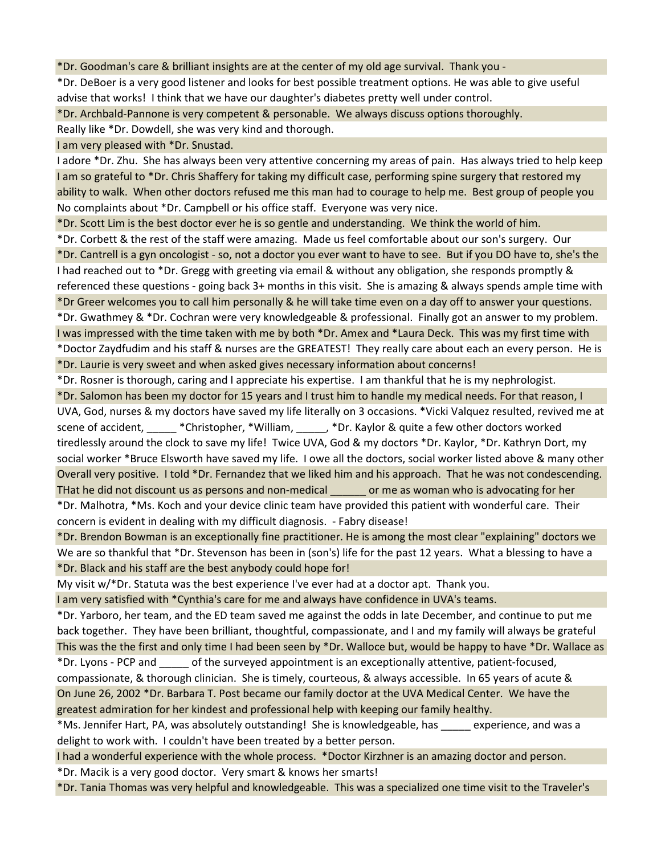\*Dr. Goodman's care & brilliant insights are at the center of my old age survival. Thank you -

\*Dr. DeBoer is a very good listener and looks for best possible treatment options. He was able to give useful advise that works! I think that we have our daughter's diabetes pretty well under control.

\*Dr. Archbald-Pannone is very competent & personable. We always discuss options thoroughly.

Really like \*Dr. Dowdell, she was very kind and thorough.

I am very pleased with \*Dr. Snustad.

I adore \*Dr. Zhu. She has always been very attentive concerning my areas of pain. Has always tried to help keep I am so grateful to \*Dr. Chris Shaffery for taking my difficult case, performing spine surgery that restored my ability to walk. When other doctors refused me this man had to courage to help me. Best group of people you No complaints about \*Dr. Campbell or his office staff. Everyone was very nice.

\*Dr. Scott Lim is the best doctor ever he is so gentle and understanding. We think the world of him.

\*Dr. Corbett & the rest of the staff were amazing. Made us feel comfortable about our son's surgery. Our \*Dr. Cantrell is a gyn oncologist - so, not a doctor you ever want to have to see. But if you DO have to, she's the I had reached out to \*Dr. Gregg with greeting via email & without any obligation, she responds promptly & referenced these questions - going back 3+ months in this visit. She is amazing & always spends ample time with \*Dr Greer welcomes you to call him personally & he will take time even on a day off to answer your questions.

\*Dr. Gwathmey & \*Dr. Cochran were very knowledgeable & professional. Finally got an answer to my problem. I was impressed with the time taken with me by both \*Dr. Amex and \*Laura Deck. This was my first time with \*Doctor Zaydfudim and his staff & nurses are the GREATEST! They really care about each an every person. He is

\*Dr. Laurie is very sweet and when asked gives necessary information about concerns!

\*Dr. Rosner is thorough, caring and I appreciate his expertise. I am thankful that he is my nephrologist.

\*Dr. Salomon has been my doctor for 15 years and I trust him to handle my medical needs. For that reason, I UVA, God, nurses & my doctors have saved my life literally on 3 occasions. \*Vicki Valquez resulted, revived me at scene of accident, \_\_\_\_\_\_ \*Christopher, \*William, \_\_\_\_\_, \*Dr. Kaylor & quite a few other doctors worked tiredlessly around the clock to save my life! Twice UVA, God & my doctors \*Dr. Kaylor, \*Dr. Kathryn Dort, my social worker \*Bruce Elsworth have saved my life. I owe all the doctors, social worker listed above & many other Overall very positive. I told \*Dr. Fernandez that we liked him and his approach. That he was not condescending. THat he did not discount us as persons and non-medical \_\_\_\_\_\_ or me as woman who is advocating for her \*Dr. Malhotra, \*Ms. Koch and your device clinic team have provided this patient with wonderful care. Their concern is evident in dealing with my difficult diagnosis. - Fabry disease!

\*Dr. Brendon Bowman is an exceptionally fine practitioner. He is among the most clear "explaining" doctors we We are so thankful that \*Dr. Stevenson has been in (son's) life for the past 12 years. What a blessing to have a \*Dr. Black and his staff are the best anybody could hope for!

My visit w/\*Dr. Statuta was the best experience I've ever had at a doctor apt. Thank you.

I am very satisfied with \*Cynthia's care for me and always have confidence in UVA's teams.

\*Dr. Yarboro, her team, and the ED team saved me against the odds in late December, and continue to put me back together. They have been brilliant, thoughtful, compassionate, and I and my family will always be grateful This was the the first and only time I had been seen by \*Dr. Walloce but, would be happy to have \*Dr. Wallace as \*Dr. Lyons - PCP and \_\_\_\_\_ of the surveyed appointment is an exceptionally attentive, patient-focused,

compassionate, & thorough clinician. She is timely, courteous, & always accessible. In 65 years of acute & On June 26, 2002 \*Dr. Barbara T. Post became our family doctor at the UVA Medical Center. We have the greatest admiration for her kindest and professional help with keeping our family healthy.

\*Ms. Jennifer Hart, PA, was absolutely outstanding! She is knowledgeable, has \_\_\_\_\_ experience, and was a delight to work with. I couldn't have been treated by a better person.

I had a wonderful experience with the whole process. \*Doctor Kirzhner is an amazing doctor and person.

\*Dr. Macik is a very good doctor. Very smart & knows her smarts!

\*Dr. Tania Thomas was very helpful and knowledgeable. This was a specialized one time visit to the Traveler's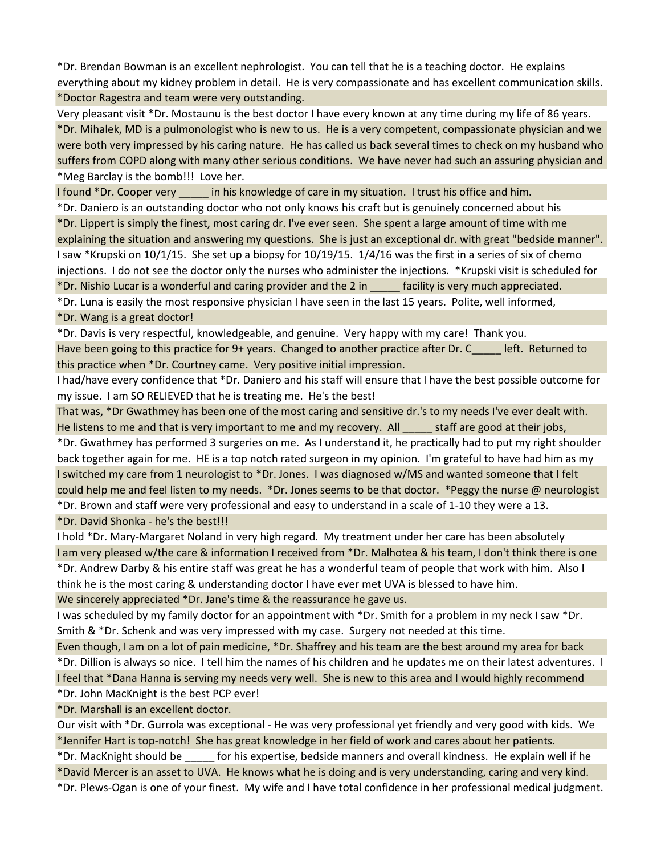\*Dr. Brendan Bowman is an excellent nephrologist. You can tell that he is a teaching doctor. He explains everything about my kidney problem in detail. He is very compassionate and has excellent communication skills. \*Doctor Ragestra and team were very outstanding.

Very pleasant visit \*Dr. Mostaunu is the best doctor I have every known at any time during my life of 86 years. \*Dr. Mihalek, MD is a pulmonologist who is new to us. He is a very competent, compassionate physician and we were both very impressed by his caring nature. He has called us back several times to check on my husband who suffers from COPD along with many other serious conditions. We have never had such an assuring physician and \*Meg Barclay is the bomb!!! Love her.

I found \*Dr. Cooper very in his knowledge of care in my situation. I trust his office and him.

\*Dr. Daniero is an outstanding doctor who not only knows his craft but is genuinely concerned about his \*Dr. Lippert is simply the finest, most caring dr. I've ever seen. She spent a large amount of time with me explaining the situation and answering my questions. She is just an exceptional dr. with great "bedside manner". I saw \*Krupski on 10/1/15. She set up a biopsy for 10/19/15. 1/4/16 was the first in a series of six of chemo injections. I do not see the doctor only the nurses who administer the injections. \*Krupski visit is scheduled for \*Dr. Nishio Lucar is a wonderful and caring provider and the 2 in \_\_\_\_\_ facility is very much appreciated. \*Dr. Luna is easily the most responsive physician I have seen in the last 15 years. Polite, well informed,

\*Dr. Wang is a great doctor!

\*Dr. Davis is very respectful, knowledgeable, and genuine. Very happy with my care! Thank you. Have been going to this practice for 9+ years. Changed to another practice after Dr. C\_\_\_\_\_ left. Returned to this practice when \*Dr. Courtney came. Very positive initial impression.

I had/have every confidence that \*Dr. Daniero and his staff will ensure that I have the best possible outcome for my issue. I am SO RELIEVED that he is treating me. He's the best!

That was, \*Dr Gwathmey has been one of the most caring and sensitive dr.'s to my needs I've ever dealt with. He listens to me and that is very important to me and my recovery. All staff are good at their jobs,

\*Dr. Gwathmey has performed 3 surgeries on me. As I understand it, he practically had to put my right shoulder back together again for me. HE is a top notch rated surgeon in my opinion. I'm grateful to have had him as my I switched my care from 1 neurologist to \*Dr. Jones. I was diagnosed w/MS and wanted someone that I felt could help me and feel listen to my needs. \*Dr. Jones seems to be that doctor. \*Peggy the nurse @ neurologist \*Dr. Brown and staff were very professional and easy to understand in a scale of 1-10 they were a 13.

\*Dr. David Shonka - he's the best!!!

I hold \*Dr. Mary-Margaret Noland in very high regard. My treatment under her care has been absolutely I am very pleased w/the care & information I received from \*Dr. Malhotea & his team, I don't think there is one \*Dr. Andrew Darby & his entire staff was great he has a wonderful team of people that work with him. Also I think he is the most caring & understanding doctor I have ever met UVA is blessed to have him.

We sincerely appreciated \*Dr. Jane's time & the reassurance he gave us.

I was scheduled by my family doctor for an appointment with \*Dr. Smith for a problem in my neck I saw \*Dr. Smith & \*Dr. Schenk and was very impressed with my case. Surgery not needed at this time.

Even though, I am on a lot of pain medicine, \*Dr. Shaffrey and his team are the best around my area for back \*Dr. Dillion is always so nice. I tell him the names of his children and he updates me on their latest adventures. I I feel that \*Dana Hanna is serving my needs very well. She is new to this area and I would highly recommend

\*Dr. John MacKnight is the best PCP ever!

\*Dr. Marshall is an excellent doctor.

Our visit with \*Dr. Gurrola was exceptional - He was very professional yet friendly and very good with kids. We \*Jennifer Hart is top-notch! She has great knowledge in her field of work and cares about her patients.

\*Dr. MacKnight should be \_\_\_\_\_ for his expertise, bedside manners and overall kindness. He explain well if he

\*David Mercer is an asset to UVA. He knows what he is doing and is very understanding, caring and very kind.

\*Dr. Plews-Ogan is one of your finest. My wife and I have total confidence in her professional medical judgment.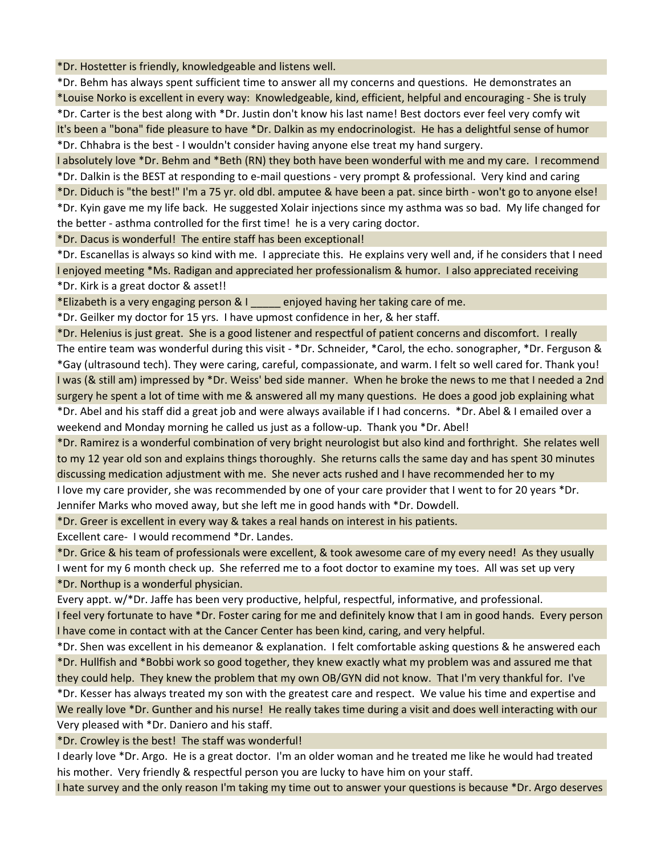\*Dr. Hostetter is friendly, knowledgeable and listens well.

\*Dr. Behm has always spent sufficient time to answer all my concerns and questions. He demonstrates an \*Louise Norko is excellent in every way: Knowledgeable, kind, efficient, helpful and encouraging - She is truly \*Dr. Carter is the best along with \*Dr. Justin don't know his last name! Best doctors ever feel very comfy wit It's been a "bona" fide pleasure to have \*Dr. Dalkin as my endocrinologist. He has a delightful sense of humor \*Dr. Chhabra is the best - I wouldn't consider having anyone else treat my hand surgery.

I absolutely love \*Dr. Behm and \*Beth (RN) they both have been wonderful with me and my care. I recommend \*Dr. Dalkin is the BEST at responding to e-mail questions - very prompt & professional. Very kind and caring \*Dr. Diduch is "the best!" I'm a 75 yr. old dbl. amputee & have been a pat. since birth - won't go to anyone else! \*Dr. Kyin gave me my life back. He suggested Xolair injections since my asthma was so bad. My life changed for the better - asthma controlled for the first time! he is a very caring doctor.

\*Dr. Dacus is wonderful! The entire staff has been exceptional!

\*Dr. Escanellas is always so kind with me. I appreciate this. He explains very well and, if he considers that I need I enjoyed meeting \*Ms. Radigan and appreciated her professionalism & humor. I also appreciated receiving \*Dr. Kirk is a great doctor & asset!!

\*Elizabeth is a very engaging person & I \_\_\_\_\_ enjoyed having her taking care of me.

\*Dr. Geilker my doctor for 15 yrs. I have upmost confidence in her, & her staff.

\*Dr. Helenius is just great. She is a good listener and respectful of patient concerns and discomfort. I really The entire team was wonderful during this visit - \*Dr. Schneider, \*Carol, the echo. sonographer, \*Dr. Ferguson & \*Gay (ultrasound tech). They were caring, careful, compassionate, and warm. I felt so well cared for. Thank you! I was (& still am) impressed by \*Dr. Weiss' bed side manner. When he broke the news to me that I needed a 2nd surgery he spent a lot of time with me & answered all my many questions. He does a good job explaining what \*Dr. Abel and his staff did a great job and were always available if I had concerns. \*Dr. Abel & I emailed over a weekend and Monday morning he called us just as a follow-up. Thank you \*Dr. Abel!

\*Dr. Ramirez is a wonderful combination of very bright neurologist but also kind and forthright. She relates well to my 12 year old son and explains things thoroughly. She returns calls the same day and has spent 30 minutes discussing medication adjustment with me. She never acts rushed and I have recommended her to my I love my care provider, she was recommended by one of your care provider that I went to for 20 years \*Dr.

Jennifer Marks who moved away, but she left me in good hands with \*Dr. Dowdell.

\*Dr. Greer is excellent in every way & takes a real hands on interest in his patients.

Excellent care- I would recommend \*Dr. Landes.

\*Dr. Grice & his team of professionals were excellent, & took awesome care of my every need! As they usually I went for my 6 month check up. She referred me to a foot doctor to examine my toes. All was set up very \*Dr. Northup is a wonderful physician.

Every appt. w/\*Dr. Jaffe has been very productive, helpful, respectful, informative, and professional.

I feel very fortunate to have \*Dr. Foster caring for me and definitely know that I am in good hands. Every person I have come in contact with at the Cancer Center has been kind, caring, and very helpful.

\*Dr. Shen was excellent in his demeanor & explanation. I felt comfortable asking questions & he answered each \*Dr. Hullfish and \*Bobbi work so good together, they knew exactly what my problem was and assured me that they could help. They knew the problem that my own OB/GYN did not know. That I'm very thankful for. I've

\*Dr. Kesser has always treated my son with the greatest care and respect. We value his time and expertise and We really love \*Dr. Gunther and his nurse! He really takes time during a visit and does well interacting with our Very pleased with \*Dr. Daniero and his staff.

\*Dr. Crowley is the best! The staff was wonderful!

I dearly love \*Dr. Argo. He is a great doctor. I'm an older woman and he treated me like he would had treated his mother. Very friendly & respectful person you are lucky to have him on your staff.

I hate survey and the only reason I'm taking my time out to answer your questions is because \*Dr. Argo deserves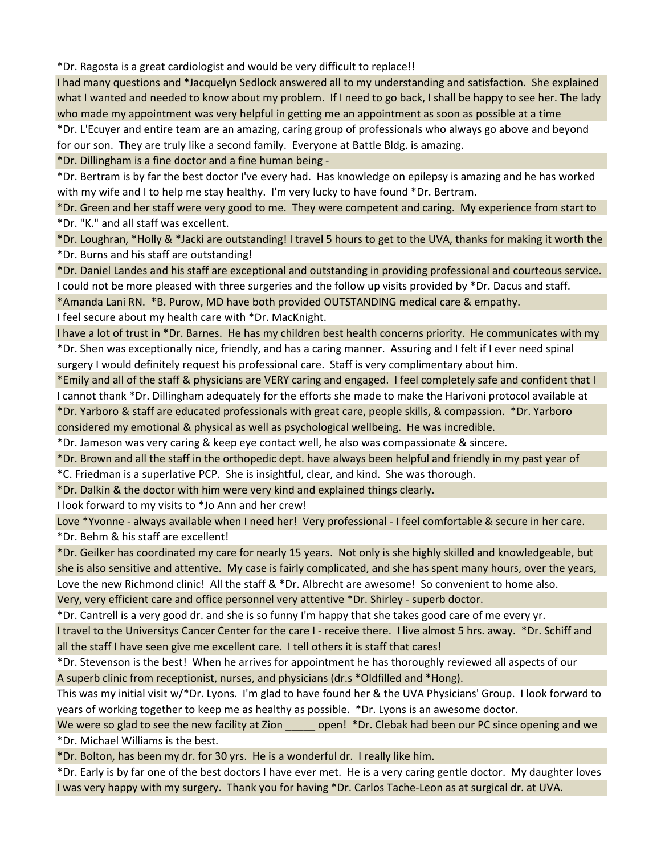\*Dr. Ragosta is a great cardiologist and would be very difficult to replace!!

I had many questions and \*Jacquelyn Sedlock answered all to my understanding and satisfaction. She explained what I wanted and needed to know about my problem. If I need to go back, I shall be happy to see her. The lady who made my appointment was very helpful in getting me an appointment as soon as possible at a time

\*Dr. L'Ecuyer and entire team are an amazing, caring group of professionals who always go above and beyond for our son. They are truly like a second family. Everyone at Battle Bldg. is amazing.

\*Dr. Dillingham is a fine doctor and a fine human being -

\*Dr. Bertram is by far the best doctor I've every had. Has knowledge on epilepsy is amazing and he has worked with my wife and I to help me stay healthy. I'm very lucky to have found \*Dr. Bertram.

\*Dr. Green and her staff were very good to me. They were competent and caring. My experience from start to \*Dr. "K." and all staff was excellent.

\*Dr. Loughran, \*Holly & \*Jacki are outstanding! I travel 5 hours to get to the UVA, thanks for making it worth the \*Dr. Burns and his staff are outstanding!

\*Dr. Daniel Landes and his staff are exceptional and outstanding in providing professional and courteous service. I could not be more pleased with three surgeries and the follow up visits provided by \*Dr. Dacus and staff.

\*Amanda Lani RN. \*B. Purow, MD have both provided OUTSTANDING medical care & empathy.

I feel secure about my health care with \*Dr. MacKnight.

I have a lot of trust in \*Dr. Barnes. He has my children best health concerns priority. He communicates with my \*Dr. Shen was exceptionally nice, friendly, and has a caring manner. Assuring and I felt if I ever need spinal surgery I would definitely request his professional care. Staff is very complimentary about him.

\*Emily and all of the staff & physicians are VERY caring and engaged. I feel completely safe and confident that I I cannot thank \*Dr. Dillingham adequately for the efforts she made to make the Harivoni protocol available at \*Dr. Yarboro & staff are educated professionals with great care, people skills, & compassion. \*Dr. Yarboro

considered my emotional & physical as well as psychological wellbeing. He was incredible.

\*Dr. Jameson was very caring & keep eye contact well, he also was compassionate & sincere.

\*Dr. Brown and all the staff in the orthopedic dept. have always been helpful and friendly in my past year of

\*C. Friedman is a superlative PCP. She is insightful, clear, and kind. She was thorough.

\*Dr. Dalkin & the doctor with him were very kind and explained things clearly.

I look forward to my visits to \*Jo Ann and her crew!

Love \*Yvonne - always available when I need her! Very professional - I feel comfortable & secure in her care. \*Dr. Behm & his staff are excellent!

\*Dr. Geilker has coordinated my care for nearly 15 years. Not only is she highly skilled and knowledgeable, but she is also sensitive and attentive. My case is fairly complicated, and she has spent many hours, over the years, Love the new Richmond clinic! All the staff & \*Dr. Albrecht are awesome! So convenient to home also. Very, very efficient care and office personnel very attentive \*Dr. Shirley - superb doctor.

\*Dr. Cantrell is a very good dr. and she is so funny I'm happy that she takes good care of me every yr. I travel to the Universitys Cancer Center for the care I - receive there. I live almost 5 hrs. away. \*Dr. Schiff and

all the staff I have seen give me excellent care. I tell others it is staff that cares!

\*Dr. Stevenson is the best! When he arrives for appointment he has thoroughly reviewed all aspects of our A superb clinic from receptionist, nurses, and physicians (dr.s \*Oldfilled and \*Hong).

This was my initial visit w/\*Dr. Lyons. I'm glad to have found her & the UVA Physicians' Group. I look forward to years of working together to keep me as healthy as possible. \*Dr. Lyons is an awesome doctor.

We were so glad to see the new facility at Zion open! \*Dr. Clebak had been our PC since opening and we \*Dr. Michael Williams is the best.

\*Dr. Bolton, has been my dr. for 30 yrs. He is a wonderful dr. I really like him.

\*Dr. Early is by far one of the best doctors I have ever met. He is a very caring gentle doctor. My daughter loves I was very happy with my surgery. Thank you for having \*Dr. Carlos Tache-Leon as at surgical dr. at UVA.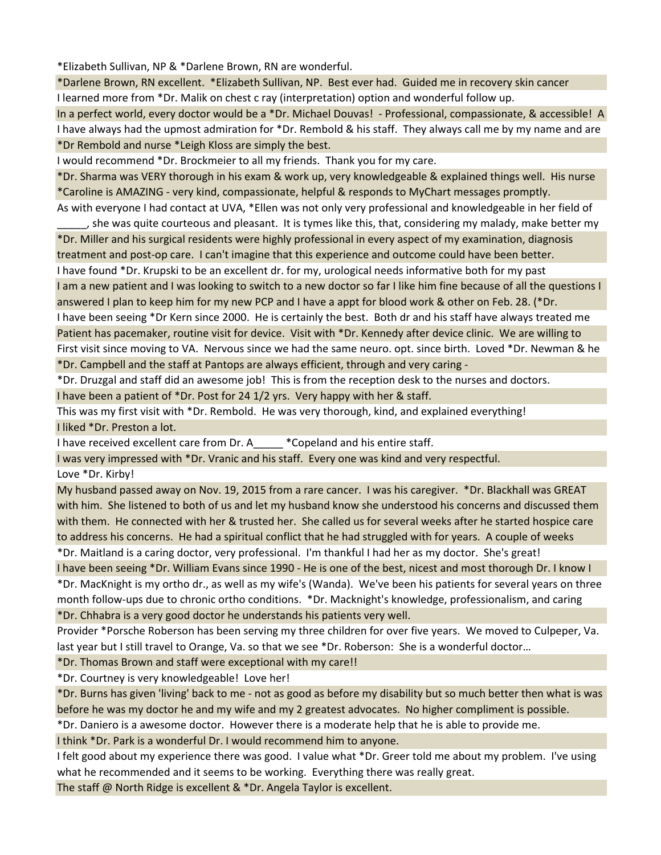\*Elizabeth Sullivan, NP & \*Darlene Brown, RN are wonderful.

\*Darlene Brown, RN excellent. \*Elizabeth Sullivan, NP. Best ever had. Guided me in recovery skin cancer I learned more from \*Dr. Malik on chest c ray (interpretation) option and wonderful follow up.

In a perfect world, every doctor would be a \*Dr. Michael Douvas! - Professional, compassionate, & accessible! A I have always had the upmost admiration for \*Dr. Rembold & his staff. They always call me by my name and are \*Dr Rembold and nurse \*Leigh Kloss are simply the best.

I would recommend \*Dr. Brockmeier to all my friends. Thank you for my care.

\*Dr. Sharma was VERY thorough in his exam & work up, very knowledgeable & explained things well. His nurse \*Caroline is AMAZING - very kind, compassionate, helpful & responds to MyChart messages promptly. As with everyone I had contact at UVA, \*Ellen was not only very professional and knowledgeable in her field of

\_\_\_\_\_, she was quite courteous and pleasant. It is tymes like this, that, considering my malady, make better my \*Dr. Miller and his surgical residents were highly professional in every aspect of my examination, diagnosis treatment and post-op care. I can't imagine that this experience and outcome could have been better. I have found \*Dr. Krupski to be an excellent dr. for my, urological needs informative both for my past I am a new patient and I was looking to switch to a new doctor so far I like him fine because of all the questions I answered I plan to keep him for my new PCP and I have a appt for blood work & other on Feb. 28. (\*Dr. I have been seeing \*Dr Kern since 2000. He is certainly the best. Both dr and his staff have always treated me Patient has pacemaker, routine visit for device. Visit with \*Dr. Kennedy after device clinic. We are willing to First visit since moving to VA. Nervous since we had the same neuro. opt. since birth. Loved \*Dr. Newman & he \*Dr. Campbell and the staff at Pantops are always efficient, through and very caring -

\*Dr. Druzgal and staff did an awesome job! This is from the reception desk to the nurses and doctors.

I have been a patient of \*Dr. Post for 24 1/2 yrs. Very happy with her & staff.

This was my first visit with \*Dr. Rembold. He was very thorough, kind, and explained everything! I liked \*Dr. Preston a lot.

I have received excellent care from Dr. A\_\_\_\_\_ \*Copeland and his entire staff.

I was very impressed with \*Dr. Vranic and his staff. Every one was kind and very respectful.

Love \*Dr. Kirby!

My husband passed away on Nov. 19, 2015 from a rare cancer. I was his caregiver. \*Dr. Blackhall was GREAT with him. She listened to both of us and let my husband know she understood his concerns and discussed them with them. He connected with her & trusted her. She called us for several weeks after he started hospice care to address his concerns. He had a spiritual conflict that he had struggled with for years. A couple of weeks \*Dr. Maitland is a caring doctor, very professional. I'm thankful I had her as my doctor. She's great!

I have been seeing \*Dr. William Evans since 1990 - He is one of the best, nicest and most thorough Dr. I know I \*Dr. MacKnight is my ortho dr., as well as my wife's (Wanda). We've been his patients for several years on three month follow-ups due to chronic ortho conditions. \*Dr. Macknight's knowledge, professionalism, and caring \*Dr. Chhabra is a very good doctor he understands his patients very well.

Provider \*Porsche Roberson has been serving my three children for over five years. We moved to Culpeper, Va. last year but I still travel to Orange, Va. so that we see \*Dr. Roberson: She is a wonderful doctor...

\*Dr. Thomas Brown and staff were exceptional with my care!!

\*Dr. Courtney is very knowledgeable! Love her!

\*Dr. Burns has given 'living' back to me - not as good as before my disability but so much better then what is was before he was my doctor he and my wife and my 2 greatest advocates. No higher compliment is possible.

\*Dr. Daniero is a awesome doctor. However there is a moderate help that he is able to provide me.

I think \*Dr. Park is a wonderful Dr. I would recommend him to anyone.

I felt good about my experience there was good. I value what \*Dr. Greer told me about my problem. I've using what he recommended and it seems to be working. Everything there was really great.

The staff @ North Ridge is excellent & \*Dr. Angela Taylor is excellent.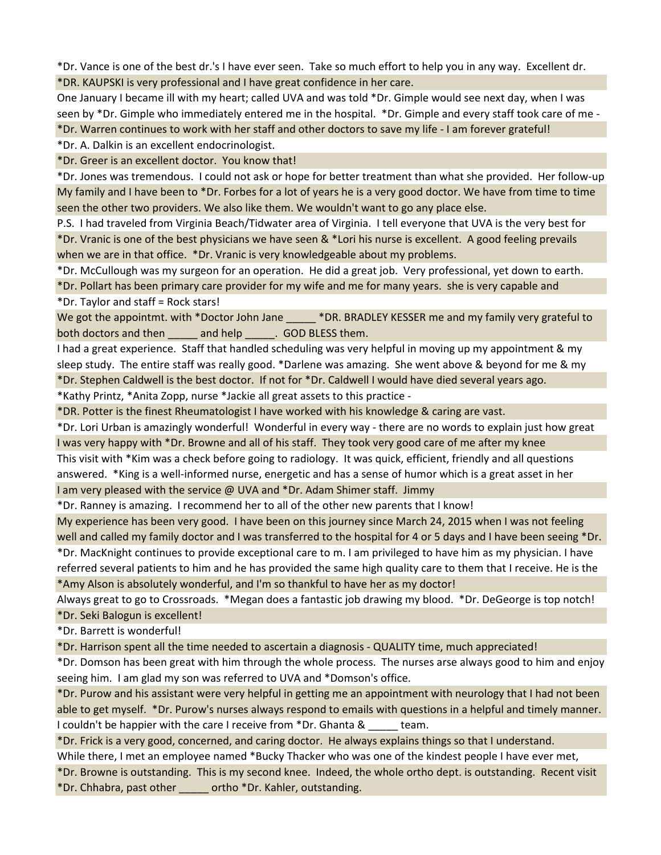\*Dr. Vance is one of the best dr.'s I have ever seen. Take so much effort to help you in any way. Excellent dr. \*DR. KAUPSKI is very professional and I have great confidence in her care.

One January I became ill with my heart; called UVA and was told \*Dr. Gimple would see next day, when I was seen by \*Dr. Gimple who immediately entered me in the hospital. \*Dr. Gimple and every staff took care of me - \*Dr. Warren continues to work with her staff and other doctors to save my life - I am forever grateful!

\*Dr. A. Dalkin is an excellent endocrinologist.

\*Dr. Greer is an excellent doctor. You know that!

\*Dr. Jones was tremendous. I could not ask or hope for better treatment than what she provided. Her follow-up My family and I have been to \*Dr. Forbes for a lot of years he is a very good doctor. We have from time to time seen the other two providers. We also like them. We wouldn't want to go any place else.

P.S. I had traveled from Virginia Beach/Tidwater area of Virginia. I tell everyone that UVA is the very best for \*Dr. Vranic is one of the best physicians we have seen & \*Lori his nurse is excellent. A good feeling prevails when we are in that office. \*Dr. Vranic is very knowledgeable about my problems.

\*Dr. McCullough was my surgeon for an operation. He did a great job. Very professional, yet down to earth.

\*Dr. Pollart has been primary care provider for my wife and me for many years. she is very capable and \*Dr. Taylor and staff = Rock stars!

We got the appointmt. with \*Doctor John Jane \_\_\_\_\_ \*DR. BRADLEY KESSER me and my family very grateful to both doctors and then \_\_\_\_\_\_ and help \_\_\_\_\_\_. GOD BLESS them.

I had a great experience. Staff that handled scheduling was very helpful in moving up my appointment & my sleep study. The entire staff was really good. \*Darlene was amazing. She went above & beyond for me & my \*Dr. Stephen Caldwell is the best doctor. If not for \*Dr. Caldwell I would have died several years ago.

\*Kathy Printz, \*Anita Zopp, nurse \*Jackie all great assets to this practice -

\*DR. Potter is the finest Rheumatologist I have worked with his knowledge & caring are vast.

\*Dr. Lori Urban is amazingly wonderful! Wonderful in every way - there are no words to explain just how great I was very happy with \*Dr. Browne and all of his staff. They took very good care of me after my knee

This visit with \*Kim was a check before going to radiology. It was quick, efficient, friendly and all questions answered. \*King is a well-informed nurse, energetic and has a sense of humor which is a great asset in her

I am very pleased with the service @ UVA and \*Dr. Adam Shimer staff. Jimmy

\*Dr. Ranney is amazing. I recommend her to all of the other new parents that I know!

My experience has been very good. I have been on this journey since March 24, 2015 when I was not feeling well and called my family doctor and I was transferred to the hospital for 4 or 5 days and I have been seeing \*Dr.

\*Dr. MacKnight continues to provide exceptional care to m. I am privileged to have him as my physician. I have referred several patients to him and he has provided the same high quality care to them that I receive. He is the \*Amy Alson is absolutely wonderful, and I'm so thankful to have her as my doctor!

Always great to go to Crossroads. \*Megan does a fantastic job drawing my blood. \*Dr. DeGeorge is top notch! \*Dr. Seki Balogun is excellent!

\*Dr. Barrett is wonderful!

\*Dr. Harrison spent all the time needed to ascertain a diagnosis - QUALITY time, much appreciated!

\*Dr. Domson has been great with him through the whole process. The nurses arse always good to him and enjoy seeing him. I am glad my son was referred to UVA and \*Domson's office.

\*Dr. Purow and his assistant were very helpful in getting me an appointment with neurology that I had not been able to get myself. \*Dr. Purow's nurses always respond to emails with questions in a helpful and timely manner. I couldn't be happier with the care I receive from \*Dr. Ghanta & team.

\*Dr. Frick is a very good, concerned, and caring doctor. He always explains things so that I understand. While there, I met an employee named \*Bucky Thacker who was one of the kindest people I have ever met,

\*Dr. Browne is outstanding. This is my second knee. Indeed, the whole ortho dept. is outstanding. Recent visit \*Dr. Chhabra, past other \_\_\_\_\_ ortho \*Dr. Kahler, outstanding.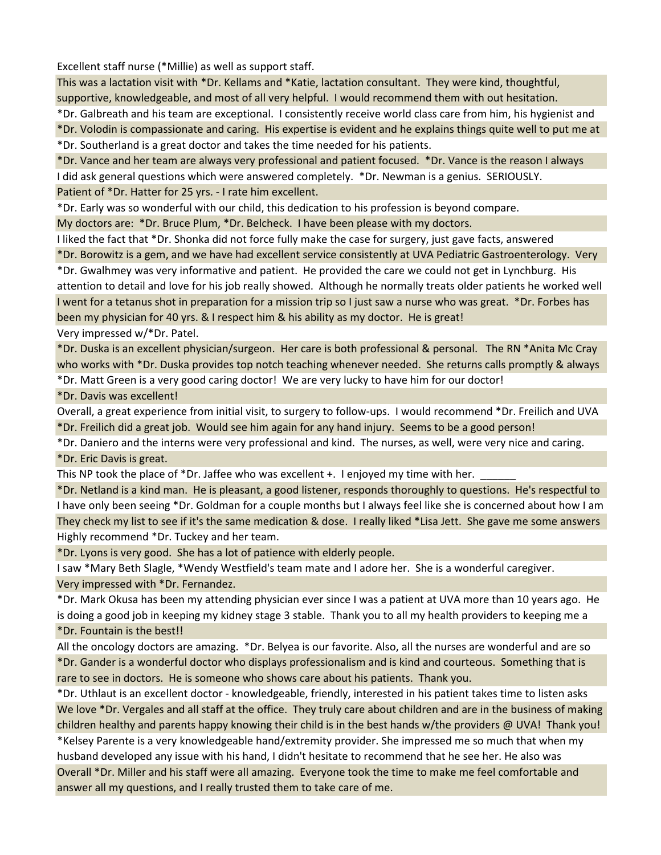Excellent staff nurse (\*Millie) as well as support staff.

This was a lactation visit with \*Dr. Kellams and \*Katie, lactation consultant. They were kind, thoughtful, supportive, knowledgeable, and most of all very helpful. I would recommend them with out hesitation.

\*Dr. Galbreath and his team are exceptional. I consistently receive world class care from him, his hygienist and \*Dr. Volodin is compassionate and caring. His expertise is evident and he explains things quite well to put me at \*Dr. Southerland is a great doctor and takes the time needed for his patients.

\*Dr. Vance and her team are always very professional and patient focused. \*Dr. Vance is the reason I always I did ask general questions which were answered completely. \*Dr. Newman is a genius. SERIOUSLY. Patient of \*Dr. Hatter for 25 yrs. - I rate him excellent.

\*Dr. Early was so wonderful with our child, this dedication to his profession is beyond compare.

My doctors are: \*Dr. Bruce Plum, \*Dr. Belcheck. I have been please with my doctors.

I liked the fact that \*Dr. Shonka did not force fully make the case for surgery, just gave facts, answered

\*Dr. Borowitz is a gem, and we have had excellent service consistently at UVA Pediatric Gastroenterology. Very \*Dr. Gwalhmey was very informative and patient. He provided the care we could not get in Lynchburg. His attention to detail and love for his job really showed. Although he normally treats older patients he worked well I went for a tetanus shot in preparation for a mission trip so I just saw a nurse who was great. \*Dr. Forbes has been my physician for 40 yrs. & I respect him & his ability as my doctor. He is great! Very impressed w/\*Dr. Patel.

\*Dr. Duska is an excellent physician/surgeon. Her care is both professional & personal. The RN \*Anita Mc Cray who works with \*Dr. Duska provides top notch teaching whenever needed. She returns calls promptly & always

\*Dr. Matt Green is a very good caring doctor! We are very lucky to have him for our doctor!

\*Dr. Davis was excellent!

Overall, a great experience from initial visit, to surgery to follow-ups. I would recommend \*Dr. Freilich and UVA \*Dr. Freilich did a great job. Would see him again for any hand injury. Seems to be a good person!

\*Dr. Daniero and the interns were very professional and kind. The nurses, as well, were very nice and caring. \*Dr. Eric Davis is great.

This NP took the place of \*Dr. Jaffee who was excellent +. I enjoyed my time with her.

\*Dr. Netland is a kind man. He is pleasant, a good listener, responds thoroughly to questions. He's respectful to I have only been seeing \*Dr. Goldman for a couple months but I always feel like she is concerned about how I am They check my list to see if it's the same medication & dose. I really liked \*Lisa Jett. She gave me some answers Highly recommend \*Dr. Tuckey and her team.

\*Dr. Lyons is very good. She has a lot of patience with elderly people.

I saw \*Mary Beth Slagle, \*Wendy Westfield's team mate and I adore her. She is a wonderful caregiver. Very impressed with \*Dr. Fernandez.

\*Dr. Mark Okusa has been my attending physician ever since I was a patient at UVA more than 10 years ago. He is doing a good job in keeping my kidney stage 3 stable. Thank you to all my health providers to keeping me a \*Dr. Fountain is the best!!

All the oncology doctors are amazing. \*Dr. Belyea is our favorite. Also, all the nurses are wonderful and are so \*Dr. Gander is a wonderful doctor who displays professionalism and is kind and courteous. Something that is rare to see in doctors. He is someone who shows care about his patients. Thank you.

\*Dr. Uthlaut is an excellent doctor - knowledgeable, friendly, interested in his patient takes time to listen asks We love \*Dr. Vergales and all staff at the office. They truly care about children and are in the business of making children healthy and parents happy knowing their child is in the best hands w/the providers @ UVA! Thank you!

\*Kelsey Parente is a very knowledgeable hand/extremity provider. She impressed me so much that when my husband developed any issue with his hand, I didn't hesitate to recommend that he see her. He also was Overall \*Dr. Miller and his staff were all amazing. Everyone took the time to make me feel comfortable and answer all my questions, and I really trusted them to take care of me.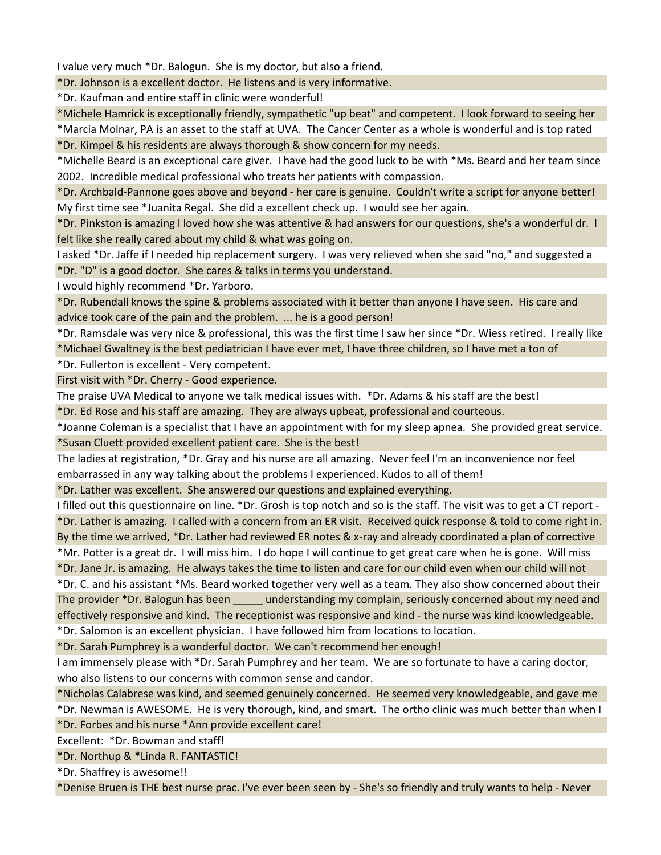I value very much \*Dr. Balogun. She is my doctor, but also a friend.

\*Dr. Johnson is a excellent doctor. He listens and is very informative.

\*Dr. Kaufman and entire staff in clinic were wonderful!

\*Michele Hamrick is exceptionally friendly, sympathetic "up beat" and competent. I look forward to seeing her

\*Marcia Molnar, PA is an asset to the staff at UVA. The Cancer Center as a whole is wonderful and is top rated

\*Dr. Kimpel & his residents are always thorough & show concern for my needs.

\*Michelle Beard is an exceptional care giver. I have had the good luck to be with \*Ms. Beard and her team since 2002. Incredible medical professional who treats her patients with compassion.

\*Dr. Archbald-Pannone goes above and beyond - her care is genuine. Couldn't write a script for anyone better! My first time see \*Juanita Regal. She did a excellent check up. I would see her again.

\*Dr. Pinkston is amazing I loved how she was attentive & had answers for our questions, she's a wonderful dr. I felt like she really cared about my child & what was going on.

I asked \*Dr. Jaffe if I needed hip replacement surgery. I was very relieved when she said "no," and suggested a \*Dr. "D" is a good doctor. She cares & talks in terms you understand.

I would highly recommend \*Dr. Yarboro.

\*Dr. Rubendall knows the spine & problems associated with it better than anyone I have seen. His care and advice took care of the pain and the problem. ... he is a good person!

\*Dr. Ramsdale was very nice & professional, this was the first time I saw her since \*Dr. Wiess retired. I really like

\*Michael Gwaltney is the best pediatrician I have ever met, I have three children, so I have met a ton of

\*Dr. Fullerton is excellent - Very competent.

First visit with \*Dr. Cherry - Good experience.

The praise UVA Medical to anyone we talk medical issues with. \*Dr. Adams & his staff are the best!

\*Dr. Ed Rose and his staff are amazing. They are always upbeat, professional and courteous.

\*Joanne Coleman is a specialist that I have an appointment with for my sleep apnea. She provided great service. \*Susan Cluett provided excellent patient care. She is the best!

The ladies at registration, \*Dr. Gray and his nurse are all amazing. Never feel I'm an inconvenience nor feel embarrassed in any way talking about the problems I experienced. Kudos to all of them!

\*Dr. Lather was excellent. She answered our questions and explained everything.

I filled out this questionnaire on line. \*Dr. Grosh is top notch and so is the staff. The visit was to get a CT report - \*Dr. Lather is amazing. I called with a concern from an ER visit. Received quick response & told to come right in. By the time we arrived, \*Dr. Lather had reviewed ER notes & x-ray and already coordinated a plan of corrective \*Mr. Potter is a great dr. I will miss him. I do hope I will continue to get great care when he is gone. Will miss

\*Dr. Jane Jr. is amazing. He always takes the time to listen and care for our child even when our child will not \*Dr. C. and his assistant \*Ms. Beard worked together very well as a team. They also show concerned about their The provider \*Dr. Balogun has been understanding my complain, seriously concerned about my need and

effectively responsive and kind. The receptionist was responsive and kind - the nurse was kind knowledgeable. \*Dr. Salomon is an excellent physician. I have followed him from locations to location.

\*Dr. Sarah Pumphrey is a wonderful doctor. We can't recommend her enough!

I am immensely please with \*Dr. Sarah Pumphrey and her team. We are so fortunate to have a caring doctor, who also listens to our concerns with common sense and candor.

\*Nicholas Calabrese was kind, and seemed genuinely concerned. He seemed very knowledgeable, and gave me \*Dr. Newman is AWESOME. He is very thorough, kind, and smart. The ortho clinic was much better than when I

\*Dr. Forbes and his nurse \*Ann provide excellent care!

Excellent: \*Dr. Bowman and staff!

\*Dr. Northup & \*Linda R. FANTASTIC!

\*Dr. Shaffrey is awesome!!

\*Denise Bruen is THE best nurse prac. I've ever been seen by - She's so friendly and truly wants to help - Never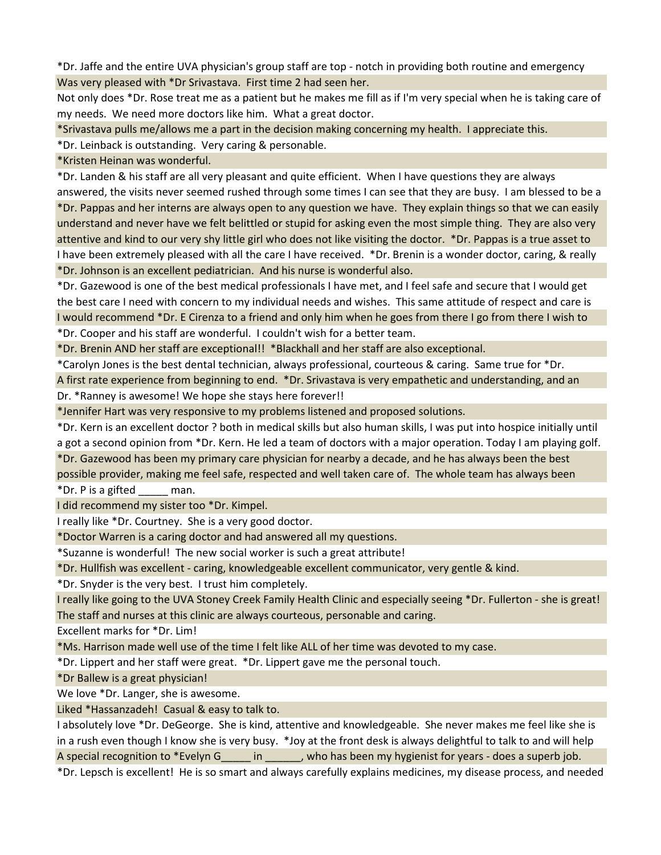\*Dr. Jaffe and the entire UVA physician's group staff are top - notch in providing both routine and emergency Was very pleased with \*Dr Srivastava. First time 2 had seen her.

Not only does \*Dr. Rose treat me as a patient but he makes me fill as if I'm very special when he is taking care of my needs. We need more doctors like him. What a great doctor.

\*Srivastava pulls me/allows me a part in the decision making concerning my health. I appreciate this.

\*Dr. Leinback is outstanding. Very caring & personable.

\*Kristen Heinan was wonderful.

\*Dr. Landen & his staff are all very pleasant and quite efficient. When I have questions they are always answered, the visits never seemed rushed through some times I can see that they are busy. I am blessed to be a \*Dr. Pappas and her interns are always open to any question we have. They explain things so that we can easily understand and never have we felt belittled or stupid for asking even the most simple thing. They are also very attentive and kind to our very shy little girl who does not like visiting the doctor. \*Dr. Pappas is a true asset to I have been extremely pleased with all the care I have received. \*Dr. Brenin is a wonder doctor, caring, & really \*Dr. Johnson is an excellent pediatrician. And his nurse is wonderful also.

\*Dr. Gazewood is one of the best medical professionals I have met, and I feel safe and secure that I would get the best care I need with concern to my individual needs and wishes. This same attitude of respect and care is I would recommend \*Dr. E Cirenza to a friend and only him when he goes from there I go from there I wish to \*Dr. Cooper and his staff are wonderful. I couldn't wish for a better team.

\*Dr. Brenin AND her staff are exceptional!! \*Blackhall and her staff are also exceptional.

\*Carolyn Jones is the best dental technician, always professional, courteous & caring. Same true for \*Dr. A first rate experience from beginning to end. \*Dr. Srivastava is very empathetic and understanding, and an Dr. \*Ranney is awesome! We hope she stays here forever!!

\*Jennifer Hart was very responsive to my problems listened and proposed solutions.

\*Dr. Kern is an excellent doctor ? both in medical skills but also human skills, I was put into hospice initially until a got a second opinion from \*Dr. Kern. He led a team of doctors with a major operation. Today I am playing golf. \*Dr. Gazewood has been my primary care physician for nearby a decade, and he has always been the best possible provider, making me feel safe, respected and well taken care of. The whole team has always been

\*Dr. P is a gifted \_\_\_\_\_ man.

I did recommend my sister too \*Dr. Kimpel.

I really like \*Dr. Courtney. She is a very good doctor.

\*Doctor Warren is a caring doctor and had answered all my questions.

\*Suzanne is wonderful! The new social worker is such a great attribute!

\*Dr. Hullfish was excellent - caring, knowledgeable excellent communicator, very gentle & kind.

\*Dr. Snyder is the very best. I trust him completely.

I really like going to the UVA Stoney Creek Family Health Clinic and especially seeing \*Dr. Fullerton - she is great! The staff and nurses at this clinic are always courteous, personable and caring.

Excellent marks for \*Dr. Lim!

\*Ms. Harrison made well use of the time I felt like ALL of her time was devoted to my case.

\*Dr. Lippert and her staff were great. \*Dr. Lippert gave me the personal touch.

\*Dr Ballew is a great physician!

We love \*Dr. Langer, she is awesome.

Liked \*Hassanzadeh! Casual & easy to talk to.

I absolutely love \*Dr. DeGeorge. She is kind, attentive and knowledgeable. She never makes me feel like she is in a rush even though I know she is very busy. \*Joy at the front desk is always delightful to talk to and will help A special recognition to \*Evelyn G \_\_\_\_\_\_ in \_\_\_\_\_\_, who has been my hygienist for years - does a superb job.

\*Dr. Lepsch is excellent! He is so smart and always carefully explains medicines, my disease process, and needed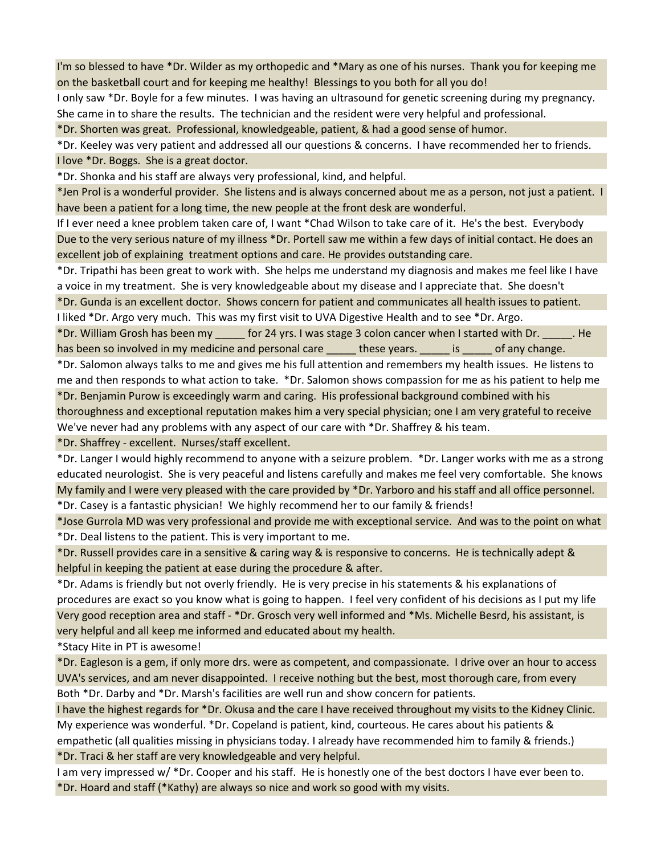I'm so blessed to have \*Dr. Wilder as my orthopedic and \*Mary as one of his nurses. Thank you for keeping me on the basketball court and for keeping me healthy! Blessings to you both for all you do!

I only saw \*Dr. Boyle for a few minutes. I was having an ultrasound for genetic screening during my pregnancy. She came in to share the results. The technician and the resident were very helpful and professional.

\*Dr. Shorten was great. Professional, knowledgeable, patient, & had a good sense of humor.

\*Dr. Keeley was very patient and addressed all our questions & concerns. I have recommended her to friends. I love \*Dr. Boggs. She is a great doctor.

\*Dr. Shonka and his staff are always very professional, kind, and helpful.

\*Jen Prol is a wonderful provider. She listens and is always concerned about me as a person, not just a patient. I have been a patient for a long time, the new people at the front desk are wonderful.

If I ever need a knee problem taken care of, I want \*Chad Wilson to take care of it. He's the best. Everybody Due to the very serious nature of my illness \*Dr. Portell saw me within a few days of initial contact. He does an excellent job of explaining treatment options and care. He provides outstanding care.

\*Dr. Tripathi has been great to work with. She helps me understand my diagnosis and makes me feel like I have a voice in my treatment. She is very knowledgeable about my disease and I appreciate that. She doesn't

\*Dr. Gunda is an excellent doctor. Shows concern for patient and communicates all health issues to patient. I liked \*Dr. Argo very much. This was my first visit to UVA Digestive Health and to see \*Dr. Argo.

\*Dr. William Grosh has been my \_\_\_\_\_ for 24 yrs. I was stage 3 colon cancer when I started with Dr. \_\_\_\_\_. He has been so involved in my medicine and personal care \_\_\_\_\_\_ these years. \_\_\_\_\_ is \_\_\_\_\_ of any change.

\*Dr. Salomon always talks to me and gives me his full attention and remembers my health issues. He listens to me and then responds to what action to take. \*Dr. Salomon shows compassion for me as his patient to help me \*Dr. Benjamin Purow is exceedingly warm and caring. His professional background combined with his thoroughness and exceptional reputation makes him a very special physician; one I am very grateful to receive We've never had any problems with any aspect of our care with \*Dr. Shaffrey & his team.

\*Dr. Shaffrey - excellent. Nurses/staff excellent.

\*Dr. Langer I would highly recommend to anyone with a seizure problem. \*Dr. Langer works with me as a strong educated neurologist. She is very peaceful and listens carefully and makes me feel very comfortable. She knows My family and I were very pleased with the care provided by \*Dr. Yarboro and his staff and all office personnel.

\*Dr. Casey is a fantastic physician! We highly recommend her to our family & friends!

\*Jose Gurrola MD was very professional and provide me with exceptional service. And was to the point on what \*Dr. Deal listens to the patient. This is very important to me.

\*Dr. Russell provides care in a sensitive & caring way & is responsive to concerns. He is technically adept & helpful in keeping the patient at ease during the procedure & after.

\*Dr. Adams is friendly but not overly friendly. He is very precise in his statements & his explanations of procedures are exact so you know what is going to happen. I feel very confident of his decisions as I put my life Very good reception area and staff - \*Dr. Grosch very well informed and \*Ms. Michelle Besrd, his assistant, is very helpful and all keep me informed and educated about my health.

\*Stacy Hite in PT is awesome!

\*Dr. Eagleson is a gem, if only more drs. were as competent, and compassionate. I drive over an hour to access UVA's services, and am never disappointed. I receive nothing but the best, most thorough care, from every Both \*Dr. Darby and \*Dr. Marsh's facilities are well run and show concern for patients.

I have the highest regards for \*Dr. Okusa and the care I have received throughout my visits to the Kidney Clinic. My experience was wonderful. \*Dr. Copeland is patient, kind, courteous. He cares about his patients & empathetic (all qualities missing in physicians today. I already have recommended him to family & friends.) \*Dr. Traci & her staff are very knowledgeable and very helpful.

I am very impressed w/ \*Dr. Cooper and his staff. He is honestly one of the best doctors I have ever been to. \*Dr. Hoard and staff (\*Kathy) are always so nice and work so good with my visits.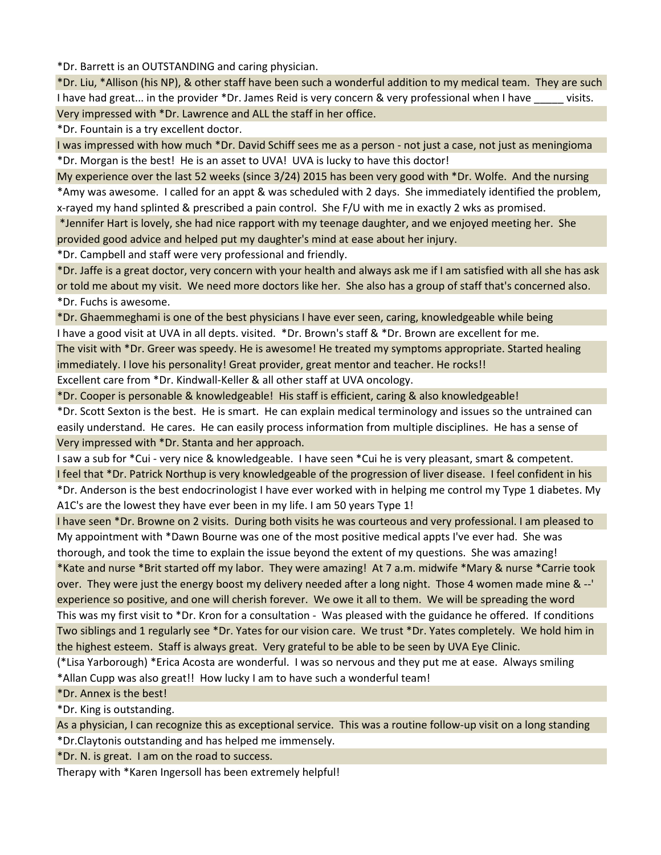\*Dr. Barrett is an OUTSTANDING and caring physician.

\*Dr. Liu, \*Allison (his NP), & other staff have been such a wonderful addition to my medical team. They are such I have had great... in the provider \*Dr. James Reid is very concern & very professional when I have visits. Very impressed with \*Dr. Lawrence and ALL the staff in her office.

\*Dr. Fountain is a try excellent doctor.

I was impressed with how much \*Dr. David Schiff sees me as a person - not just a case, not just as meningioma \*Dr. Morgan is the best! He is an asset to UVA! UVA is lucky to have this doctor!

My experience over the last 52 weeks (since 3/24) 2015 has been very good with \*Dr. Wolfe. And the nursing \*Amy was awesome. I called for an appt & was scheduled with 2 days. She immediately identified the problem, x-rayed my hand splinted & prescribed a pain control. She F/U with me in exactly 2 wks as promised.

 \*Jennifer Hart is lovely, she had nice rapport with my teenage daughter, and we enjoyed meeting her. She provided good advice and helped put my daughter's mind at ease about her injury.

\*Dr. Campbell and staff were very professional and friendly.

\*Dr. Jaffe is a great doctor, very concern with your health and always ask me if I am satisfied with all she has ask or told me about my visit. We need more doctors like her. She also has a group of staff that's concerned also. \*Dr. Fuchs is awesome.

\*Dr. Ghaemmeghami is one of the best physicians I have ever seen, caring, knowledgeable while being I have a good visit at UVA in all depts. visited. \*Dr. Brown's staff & \*Dr. Brown are excellent for me.

The visit with \*Dr. Greer was speedy. He is awesome! He treated my symptoms appropriate. Started healing immediately. I love his personality! Great provider, great mentor and teacher. He rocks!! Excellent care from \*Dr. Kindwall-Keller & all other staff at UVA oncology.

\*Dr. Cooper is personable & knowledgeable! His staff is efficient, caring & also knowledgeable!

\*Dr. Scott Sexton is the best. He is smart. He can explain medical terminology and issues so the untrained can easily understand. He cares. He can easily process information from multiple disciplines. He has a sense of Very impressed with \*Dr. Stanta and her approach.

I saw a sub for \*Cui - very nice & knowledgeable. I have seen \*Cui he is very pleasant, smart & competent.

I feel that \*Dr. Patrick Northup is very knowledgeable of the progression of liver disease. I feel confident in his \*Dr. Anderson is the best endocrinologist I have ever worked with in helping me control my Type 1 diabetes. My A1C's are the lowest they have ever been in my life. I am 50 years Type 1!

I have seen \*Dr. Browne on 2 visits. During both visits he was courteous and very professional. I am pleased to My appointment with \*Dawn Bourne was one of the most positive medical appts I've ever had. She was thorough, and took the time to explain the issue beyond the extent of my questions. She was amazing!

\*Kate and nurse \*Brit started off my labor. They were amazing! At 7 a.m. midwife \*Mary & nurse \*Carrie took over. They were just the energy boost my delivery needed after a long night. Those 4 women made mine & --' experience so positive, and one will cherish forever. We owe it all to them. We will be spreading the word This was my first visit to \*Dr. Kron for a consultation - Was pleased with the guidance he offered. If conditions Two siblings and 1 regularly see \*Dr. Yates for our vision care. We trust \*Dr. Yates completely. We hold him in the highest esteem. Staff is always great. Very grateful to be able to be seen by UVA Eye Clinic.

(\*Lisa Yarborough) \*Erica Acosta are wonderful. I was so nervous and they put me at ease. Always smiling \*Allan Cupp was also great!! How lucky I am to have such a wonderful team!

\*Dr. Annex is the best!

\*Dr. King is outstanding.

As a physician, I can recognize this as exceptional service. This was a routine follow-up visit on a long standing

\*Dr.Claytonis outstanding and has helped me immensely.

\*Dr. N. is great. I am on the road to success.

Therapy with \*Karen Ingersoll has been extremely helpful!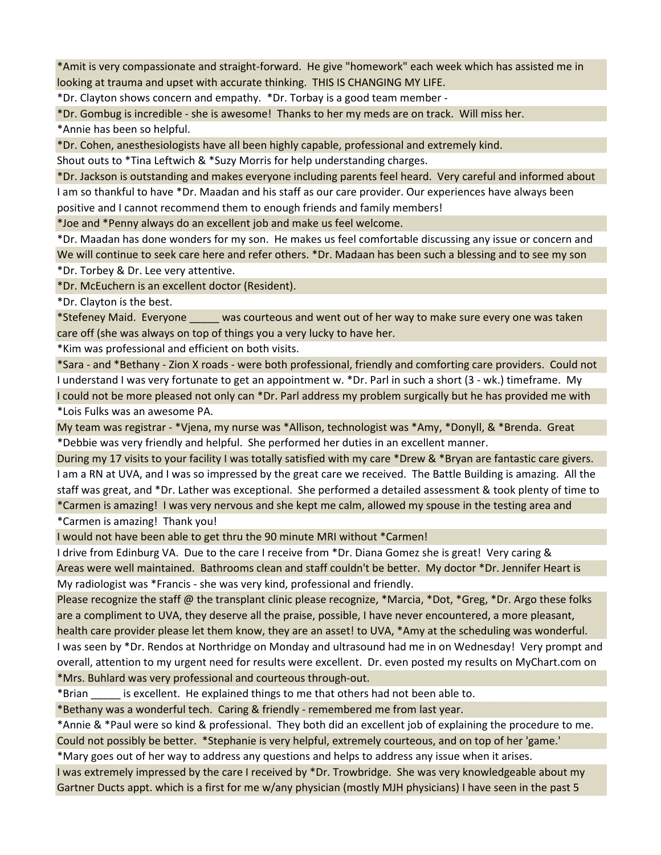\*Amit is very compassionate and straight-forward. He give "homework" each week which has assisted me in looking at trauma and upset with accurate thinking. THIS IS CHANGING MY LIFE.

\*Dr. Clayton shows concern and empathy. \*Dr. Torbay is a good team member -

\*Dr. Gombug is incredible - she is awesome! Thanks to her my meds are on track. Will miss her.

\*Annie has been so helpful.

\*Dr. Cohen, anesthesiologists have all been highly capable, professional and extremely kind.

Shout outs to \*Tina Leftwich & \*Suzy Morris for help understanding charges.

\*Dr. Jackson is outstanding and makes everyone including parents feel heard. Very careful and informed about I am so thankful to have \*Dr. Maadan and his staff as our care provider. Our experiences have always been positive and I cannot recommend them to enough friends and family members!

\*Joe and \*Penny always do an excellent job and make us feel welcome.

\*Dr. Maadan has done wonders for my son. He makes us feel comfortable discussing any issue or concern and We will continue to seek care here and refer others. \*Dr. Madaan has been such a blessing and to see my son \*Dr. Torbey & Dr. Lee very attentive.

\*Dr. McEuchern is an excellent doctor (Resident).

\*Dr. Clayton is the best.

\*Stefeney Maid. Everyone \_\_\_\_\_ was courteous and went out of her way to make sure every one was taken care off (she was always on top of things you a very lucky to have her.

\*Kim was professional and efficient on both visits.

\*Sara - and \*Bethany - Zion X roads - were both professional, friendly and comforting care providers. Could not I understand I was very fortunate to get an appointment w. \*Dr. Parl in such a short (3 - wk.) timeframe. My I could not be more pleased not only can \*Dr. Parl address my problem surgically but he has provided me with \*Lois Fulks was an awesome PA.

My team was registrar - \*Vjena, my nurse was \*Allison, technologist was \*Amy, \*Donyll, & \*Brenda. Great \*Debbie was very friendly and helpful. She performed her duties in an excellent manner.

During my 17 visits to your facility I was totally satisfied with my care \*Drew & \*Bryan are fantastic care givers. I am a RN at UVA, and I was so impressed by the great care we received. The Battle Building is amazing. All the staff was great, and \*Dr. Lather was exceptional. She performed a detailed assessment & took plenty of time to \*Carmen is amazing! I was very nervous and she kept me calm, allowed my spouse in the testing area and

\*Carmen is amazing! Thank you!

I would not have been able to get thru the 90 minute MRI without \*Carmen!

I drive from Edinburg VA. Due to the care I receive from \*Dr. Diana Gomez she is great! Very caring & Areas were well maintained. Bathrooms clean and staff couldn't be better. My doctor \*Dr. Jennifer Heart is My radiologist was \*Francis - she was very kind, professional and friendly.

Please recognize the staff @ the transplant clinic please recognize, \*Marcia, \*Dot, \*Greg, \*Dr. Argo these folks are a compliment to UVA, they deserve all the praise, possible, I have never encountered, a more pleasant, health care provider please let them know, they are an asset! to UVA, \*Amy at the scheduling was wonderful. I was seen by \*Dr. Rendos at Northridge on Monday and ultrasound had me in on Wednesday! Very prompt and overall, attention to my urgent need for results were excellent. Dr. even posted my results on MyChart.com on \*Mrs. Buhlard was very professional and courteous through-out.

\*Brian \_\_\_\_\_ is excellent. He explained things to me that others had not been able to.

\*Bethany was a wonderful tech. Caring & friendly - remembered me from last year.

\*Annie & \*Paul were so kind & professional. They both did an excellent job of explaining the procedure to me.

Could not possibly be better. \*Stephanie is very helpful, extremely courteous, and on top of her 'game.' \*Mary goes out of her way to address any questions and helps to address any issue when it arises.

I was extremely impressed by the care I received by \*Dr. Trowbridge. She was very knowledgeable about my Gartner Ducts appt. which is a first for me w/any physician (mostly MJH physicians) I have seen in the past 5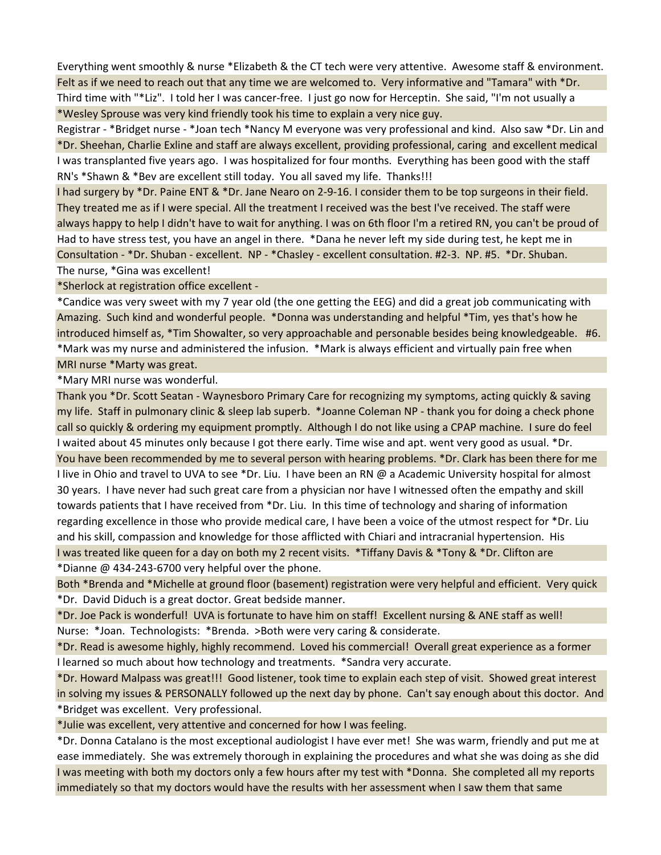Everything went smoothly & nurse \*Elizabeth & the CT tech were very attentive. Awesome staff & environment. Felt as if we need to reach out that any time we are welcomed to. Very informative and "Tamara" with \*Dr. Third time with "\*Liz". I told her I was cancer-free. I just go now for Herceptin. She said, "I'm not usually a \*Wesley Sprouse was very kind friendly took his time to explain a very nice guy.

Registrar - \*Bridget nurse - \*Joan tech \*Nancy M everyone was very professional and kind. Also saw \*Dr. Lin and \*Dr. Sheehan, Charlie Exline and staff are always excellent, providing professional, caring and excellent medical I was transplanted five years ago. I was hospitalized for four months. Everything has been good with the staff RN's \*Shawn & \*Bev are excellent still today. You all saved my life. Thanks!!!

I had surgery by \*Dr. Paine ENT & \*Dr. Jane Nearo on 2-9-16. I consider them to be top surgeons in their field. They treated me as if I were special. All the treatment I received was the best I've received. The staff were always happy to help I didn't have to wait for anything. I was on 6th floor I'm a retired RN, you can't be proud of Had to have stress test, you have an angel in there. \*Dana he never left my side during test, he kept me in Consultation - \*Dr. Shuban - excellent. NP - \*Chasley - excellent consultation. #2-3. NP. #5. \*Dr. Shuban. The nurse, \*Gina was excellent!

\*Sherlock at registration office excellent -

\*Candice was very sweet with my 7 year old (the one getting the EEG) and did a great job communicating with Amazing. Such kind and wonderful people. \*Donna was understanding and helpful \*Tim, yes that's how he introduced himself as, \*Tim Showalter, so very approachable and personable besides being knowledgeable. #6. \*Mark was my nurse and administered the infusion. \*Mark is always efficient and virtually pain free when

MRI nurse \*Marty was great.

\*Mary MRI nurse was wonderful.

Thank you \*Dr. Scott Seatan - Waynesboro Primary Care for recognizing my symptoms, acting quickly & saving my life. Staff in pulmonary clinic & sleep lab superb. \*Joanne Coleman NP - thank you for doing a check phone call so quickly & ordering my equipment promptly. Although I do not like using a CPAP machine. I sure do feel I waited about 45 minutes only because I got there early. Time wise and apt. went very good as usual. \*Dr. You have been recommended by me to several person with hearing problems. \*Dr. Clark has been there for me I live in Ohio and travel to UVA to see \*Dr. Liu. I have been an RN @ a Academic University hospital for almost 30 years. I have never had such great care from a physician nor have I witnessed often the empathy and skill towards patients that I have received from \*Dr. Liu. In this time of technology and sharing of information regarding excellence in those who provide medical care, I have been a voice of the utmost respect for \*Dr. Liu and his skill, compassion and knowledge for those afflicted with Chiari and intracranial hypertension. His I was treated like queen for a day on both my 2 recent visits. \*Tiffany Davis & \*Tony & \*Dr. Clifton are \*Dianne @ 434-243-6700 very helpful over the phone.

Both \*Brenda and \*Michelle at ground floor (basement) registration were very helpful and efficient. Very quick \*Dr. David Diduch is a great doctor. Great bedside manner.

\*Dr. Joe Pack is wonderful! UVA is fortunate to have him on staff! Excellent nursing & ANE staff as well! Nurse: \*Joan. Technologists: \*Brenda. >Both were very caring & considerate.

\*Dr. Read is awesome highly, highly recommend. Loved his commercial! Overall great experience as a former I learned so much about how technology and treatments. \*Sandra very accurate.

\*Dr. Howard Malpass was great!!! Good listener, took time to explain each step of visit. Showed great interest in solving my issues & PERSONALLY followed up the next day by phone. Can't say enough about this doctor. And \*Bridget was excellent. Very professional.

\*Julie was excellent, very attentive and concerned for how I was feeling.

\*Dr. Donna Catalano is the most exceptional audiologist I have ever met! She was warm, friendly and put me at ease immediately. She was extremely thorough in explaining the procedures and what she was doing as she did I was meeting with both my doctors only a few hours after my test with \*Donna. She completed all my reports immediately so that my doctors would have the results with her assessment when I saw them that same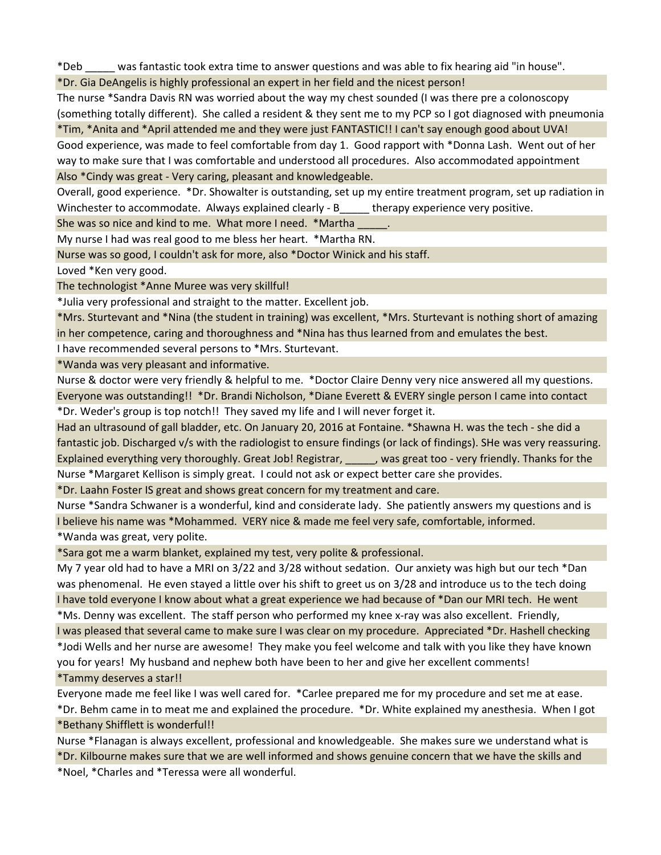\*Deb \_\_\_\_\_ was fantastic took extra time to answer questions and was able to fix hearing aid "in house".

\*Dr. Gia DeAngelis is highly professional an expert in her field and the nicest person!

The nurse \*Sandra Davis RN was worried about the way my chest sounded (I was there pre a colonoscopy (something totally different). She called a resident & they sent me to my PCP so I got diagnosed with pneumonia \*Tim, \*Anita and \*April attended me and they were just FANTASTIC!! I can't say enough good about UVA!

Good experience, was made to feel comfortable from day 1. Good rapport with \*Donna Lash. Went out of her way to make sure that I was comfortable and understood all procedures. Also accommodated appointment

Also \*Cindy was great - Very caring, pleasant and knowledgeable.

Overall, good experience. \*Dr. Showalter is outstanding, set up my entire treatment program, set up radiation in Winchester to accommodate. Always explained clearly - B\_\_\_\_ therapy experience very positive.

She was so nice and kind to me. What more I need. \*Martha

My nurse I had was real good to me bless her heart. \*Martha RN.

Nurse was so good, I couldn't ask for more, also \*Doctor Winick and his staff.

Loved \*Ken very good.

The technologist \*Anne Muree was very skillful!

\*Julia very professional and straight to the matter. Excellent job.

\*Mrs. Sturtevant and \*Nina (the student in training) was excellent, \*Mrs. Sturtevant is nothing short of amazing in her competence, caring and thoroughness and \*Nina has thus learned from and emulates the best.

I have recommended several persons to \*Mrs. Sturtevant.

\*Wanda was very pleasant and informative.

Nurse & doctor were very friendly & helpful to me. \*Doctor Claire Denny very nice answered all my questions. Everyone was outstanding!! \*Dr. Brandi Nicholson, \*Diane Everett & EVERY single person I came into contact \*Dr. Weder's group is top notch!! They saved my life and I will never forget it.

Had an ultrasound of gall bladder, etc. On January 20, 2016 at Fontaine. \*Shawna H. was the tech - she did a fantastic job. Discharged v/s with the radiologist to ensure findings (or lack of findings). SHe was very reassuring. Explained everything very thoroughly. Great Job! Registrar, was great too - very friendly. Thanks for the Nurse \*Margaret Kellison is simply great. I could not ask or expect better care she provides.

\*Dr. Laahn Foster IS great and shows great concern for my treatment and care.

Nurse \*Sandra Schwaner is a wonderful, kind and considerate lady. She patiently answers my questions and is I believe his name was \*Mohammed. VERY nice & made me feel very safe, comfortable, informed.

\*Wanda was great, very polite.

\*Sara got me a warm blanket, explained my test, very polite & professional.

My 7 year old had to have a MRI on 3/22 and 3/28 without sedation. Our anxiety was high but our tech \*Dan was phenomenal. He even stayed a little over his shift to greet us on 3/28 and introduce us to the tech doing I have told everyone I know about what a great experience we had because of \*Dan our MRI tech. He went

\*Ms. Denny was excellent. The staff person who performed my knee x-ray was also excellent. Friendly,

I was pleased that several came to make sure I was clear on my procedure. Appreciated \*Dr. Hashell checking \*Jodi Wells and her nurse are awesome! They make you feel welcome and talk with you like they have known you for years! My husband and nephew both have been to her and give her excellent comments!

\*Tammy deserves a star!!

Everyone made me feel like I was well cared for. \*Carlee prepared me for my procedure and set me at ease. \*Dr. Behm came in to meat me and explained the procedure. \*Dr. White explained my anesthesia. When I got

\*Bethany Shifflett is wonderful!!

Nurse \*Flanagan is always excellent, professional and knowledgeable. She makes sure we understand what is \*Dr. Kilbourne makes sure that we are well informed and shows genuine concern that we have the skills and

\*Noel, \*Charles and \*Teressa were all wonderful.